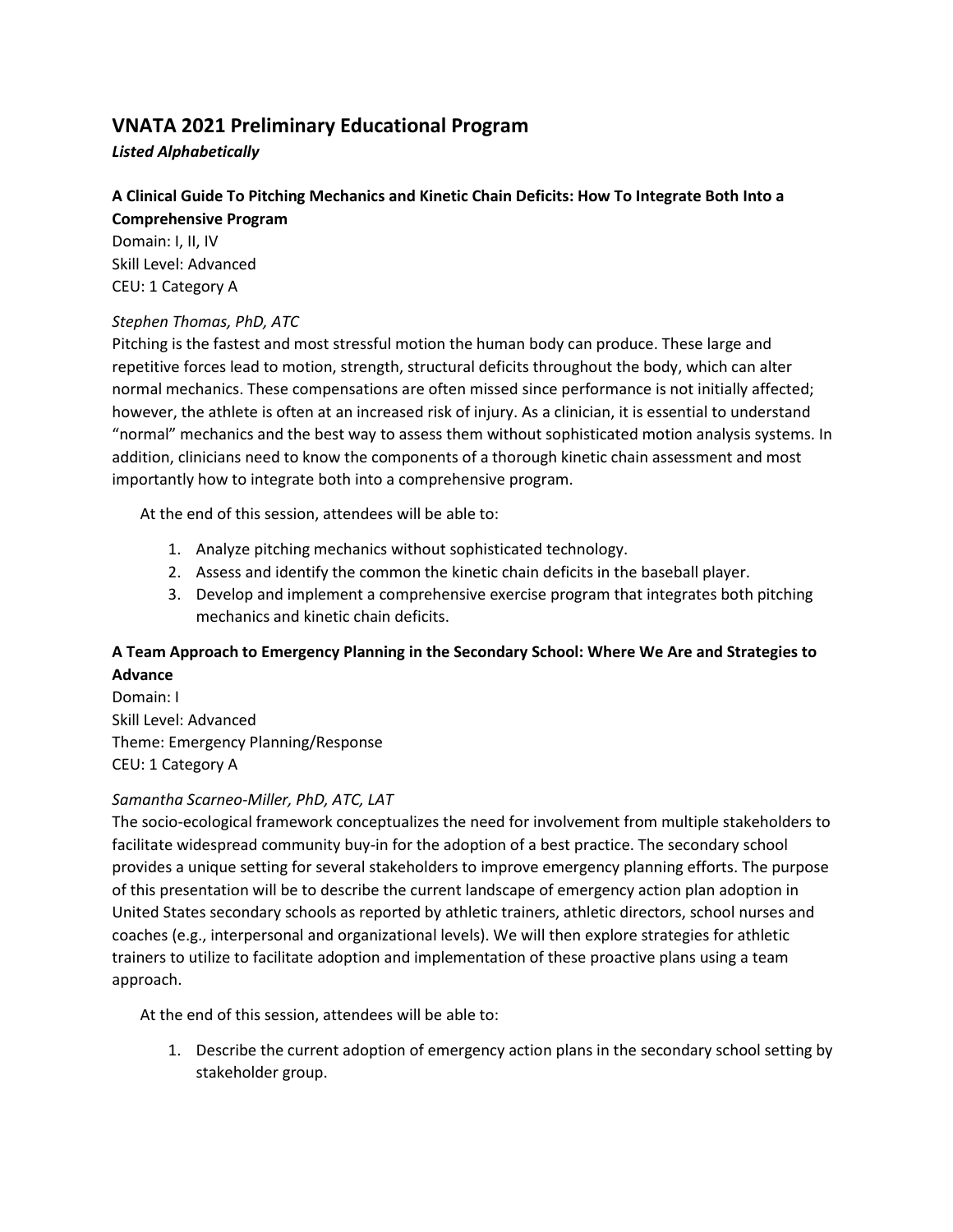# **VNATA 2021 Preliminary Educational Program**

*Listed Alphabetically*

## **A Clinical Guide To Pitching Mechanics and Kinetic Chain Deficits: How To Integrate Both Into a**

**Comprehensive Program** Domain: I, II, IV Skill Level: Advanced CEU: 1 Category A

## *Stephen Thomas, PhD, ATC*

Pitching is the fastest and most stressful motion the human body can produce. These large and repetitive forces lead to motion, strength, structural deficits throughout the body, which can alter normal mechanics. These compensations are often missed since performance is not initially affected; however, the athlete is often at an increased risk of injury. As a clinician, it is essential to understand "normal" mechanics and the best way to assess them without sophisticated motion analysis systems. In addition, clinicians need to know the components of a thorough kinetic chain assessment and most importantly how to integrate both into a comprehensive program.

At the end of this session, attendees will be able to:

- 1. Analyze pitching mechanics without sophisticated technology.
- 2. Assess and identify the common the kinetic chain deficits in the baseball player.
- 3. Develop and implement a comprehensive exercise program that integrates both pitching mechanics and kinetic chain deficits.

## **A Team Approach to Emergency Planning in the Secondary School: Where We Are and Strategies to Advance**

Domain: I Skill Level: Advanced Theme: Emergency Planning/Response CEU: 1 Category A

## *Samantha Scarneo-Miller, PhD, ATC, LAT*

The socio-ecological framework conceptualizes the need for involvement from multiple stakeholders to facilitate widespread community buy-in for the adoption of a best practice. The secondary school provides a unique setting for several stakeholders to improve emergency planning efforts. The purpose of this presentation will be to describe the current landscape of emergency action plan adoption in United States secondary schools as reported by athletic trainers, athletic directors, school nurses and coaches (e.g., interpersonal and organizational levels). We will then explore strategies for athletic trainers to utilize to facilitate adoption and implementation of these proactive plans using a team approach.

At the end of this session, attendees will be able to:

1. Describe the current adoption of emergency action plans in the secondary school setting by stakeholder group.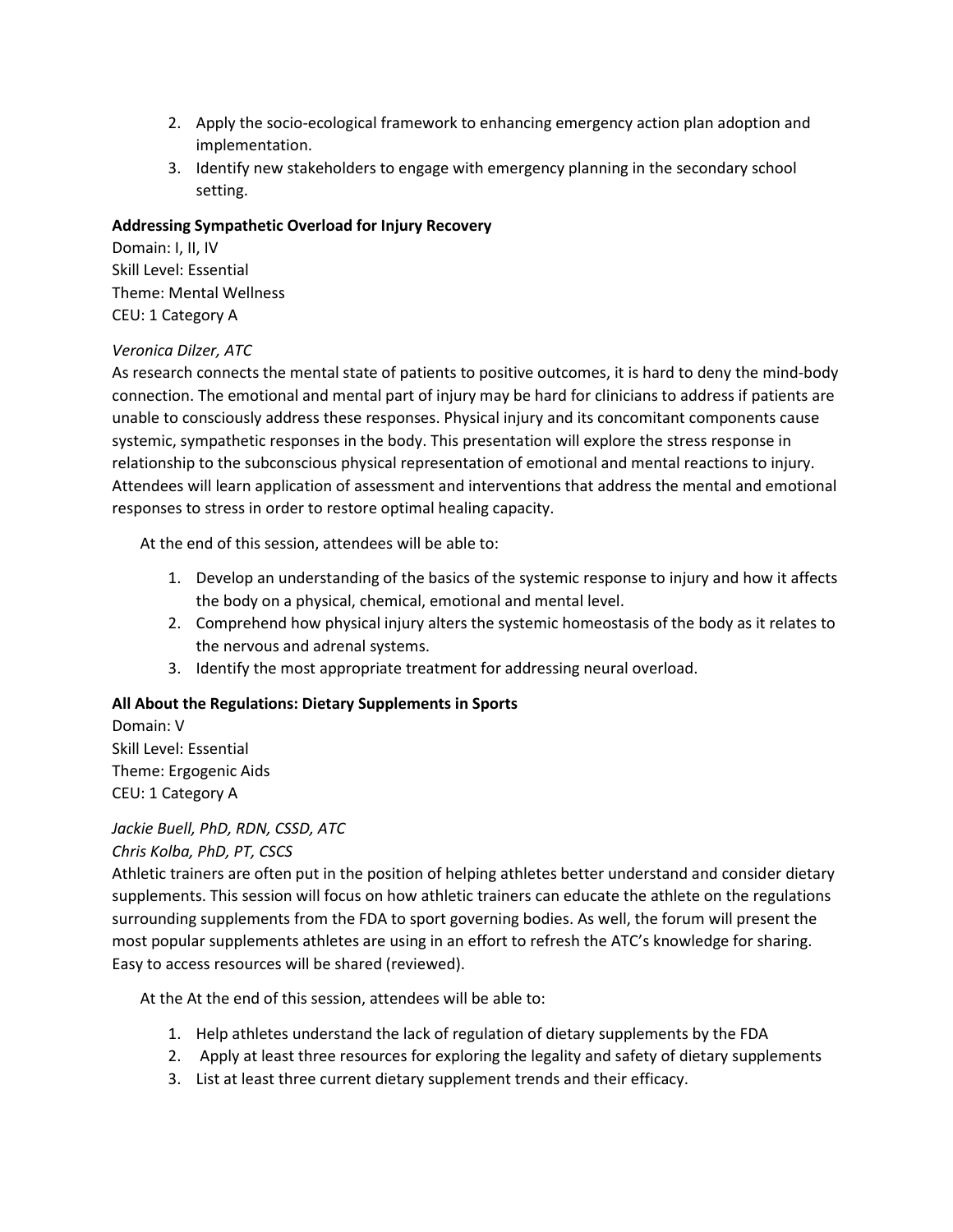- 2. Apply the socio-ecological framework to enhancing emergency action plan adoption and implementation.
- 3. Identify new stakeholders to engage with emergency planning in the secondary school setting.

#### **Addressing Sympathetic Overload for Injury Recovery**

Domain: I, II, IV Skill Level: Essential Theme: Mental Wellness CEU: 1 Category A

## *Veronica Dilzer, ATC*

As research connects the mental state of patients to positive outcomes, it is hard to deny the mind-body connection. The emotional and mental part of injury may be hard for clinicians to address if patients are unable to consciously address these responses. Physical injury and its concomitant components cause systemic, sympathetic responses in the body. This presentation will explore the stress response in relationship to the subconscious physical representation of emotional and mental reactions to injury. Attendees will learn application of assessment and interventions that address the mental and emotional responses to stress in order to restore optimal healing capacity.

At the end of this session, attendees will be able to:

- 1. Develop an understanding of the basics of the systemic response to injury and how it affects the body on a physical, chemical, emotional and mental level.
- 2. Comprehend how physical injury alters the systemic homeostasis of the body as it relates to the nervous and adrenal systems.
- 3. Identify the most appropriate treatment for addressing neural overload.

## **All About the Regulations: Dietary Supplements in Sports**

Domain: V Skill Level: Essential Theme: Ergogenic Aids CEU: 1 Category A

# *Jackie Buell, PhD, RDN, CSSD, ATC*

#### *Chris Kolba, PhD, PT, CSCS*

Athletic trainers are often put in the position of helping athletes better understand and consider dietary supplements. This session will focus on how athletic trainers can educate the athlete on the regulations surrounding supplements from the FDA to sport governing bodies. As well, the forum will present the most popular supplements athletes are using in an effort to refresh the ATC's knowledge for sharing. Easy to access resources will be shared (reviewed).

- 1. Help athletes understand the lack of regulation of dietary supplements by the FDA
- 2. Apply at least three resources for exploring the legality and safety of dietary supplements
- 3. List at least three current dietary supplement trends and their efficacy.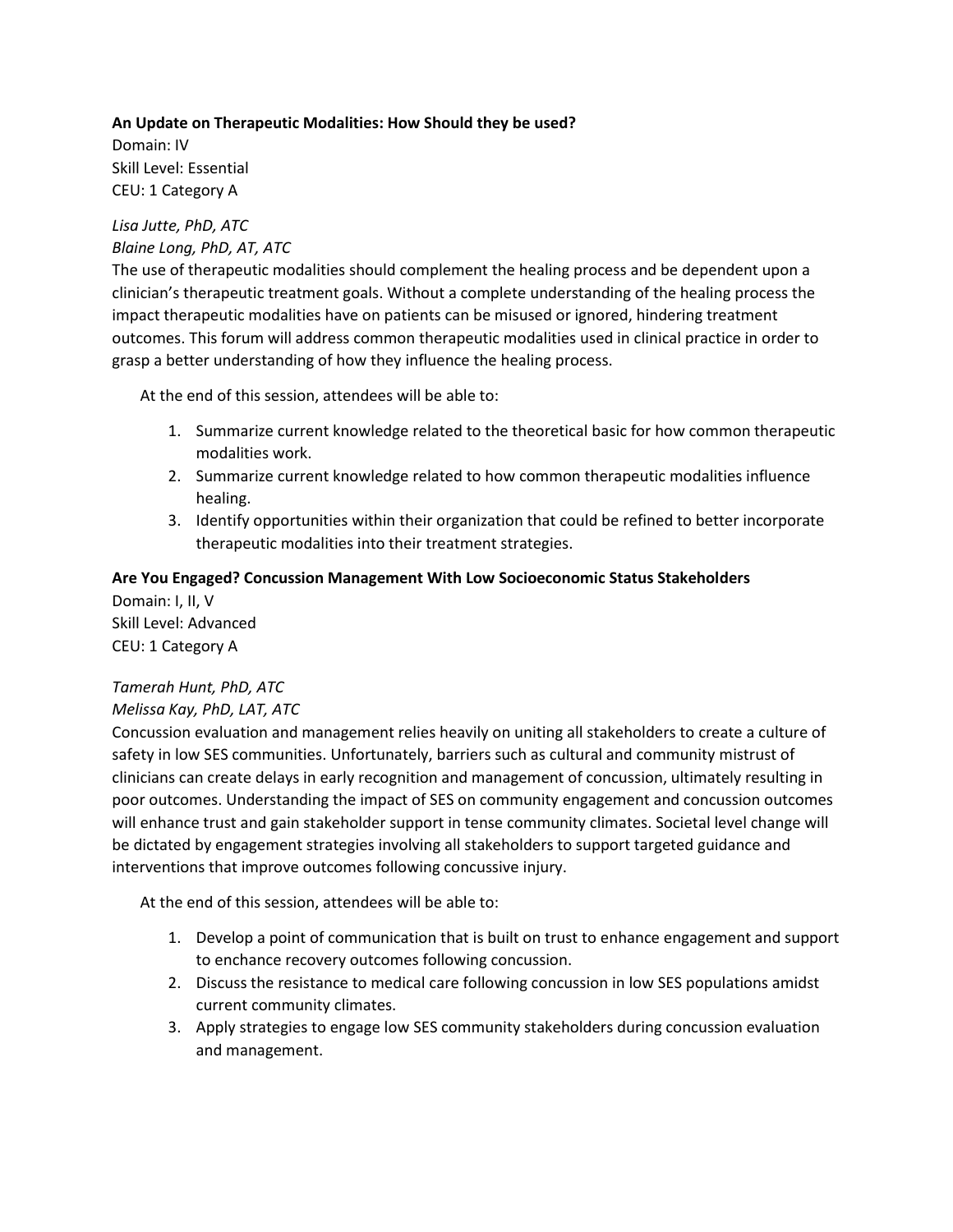#### **An Update on Therapeutic Modalities: How Should they be used?**

Domain: IV Skill Level: Essential CEU: 1 Category A

#### *Lisa Jutte, PhD, ATC Blaine Long, PhD, AT, ATC*

The use of therapeutic modalities should complement the healing process and be dependent upon a clinician's therapeutic treatment goals. Without a complete understanding of the healing process the impact therapeutic modalities have on patients can be misused or ignored, hindering treatment outcomes. This forum will address common therapeutic modalities used in clinical practice in order to grasp a better understanding of how they influence the healing process.

At the end of this session, attendees will be able to:

- 1. Summarize current knowledge related to the theoretical basic for how common therapeutic modalities work.
- 2. Summarize current knowledge related to how common therapeutic modalities influence healing.
- 3. Identify opportunities within their organization that could be refined to better incorporate therapeutic modalities into their treatment strategies.

## **Are You Engaged? Concussion Management With Low Socioeconomic Status Stakeholders**

Domain: I, II, V Skill Level: Advanced CEU: 1 Category A

## *Tamerah Hunt, PhD, ATC*

## *Melissa Kay, PhD, LAT, ATC*

Concussion evaluation and management relies heavily on uniting all stakeholders to create a culture of safety in low SES communities. Unfortunately, barriers such as cultural and community mistrust of clinicians can create delays in early recognition and management of concussion, ultimately resulting in poor outcomes. Understanding the impact of SES on community engagement and concussion outcomes will enhance trust and gain stakeholder support in tense community climates. Societal level change will be dictated by engagement strategies involving all stakeholders to support targeted guidance and interventions that improve outcomes following concussive injury.

- 1. Develop a point of communication that is built on trust to enhance engagement and support to enchance recovery outcomes following concussion.
- 2. Discuss the resistance to medical care following concussion in low SES populations amidst current community climates.
- 3. Apply strategies to engage low SES community stakeholders during concussion evaluation and management.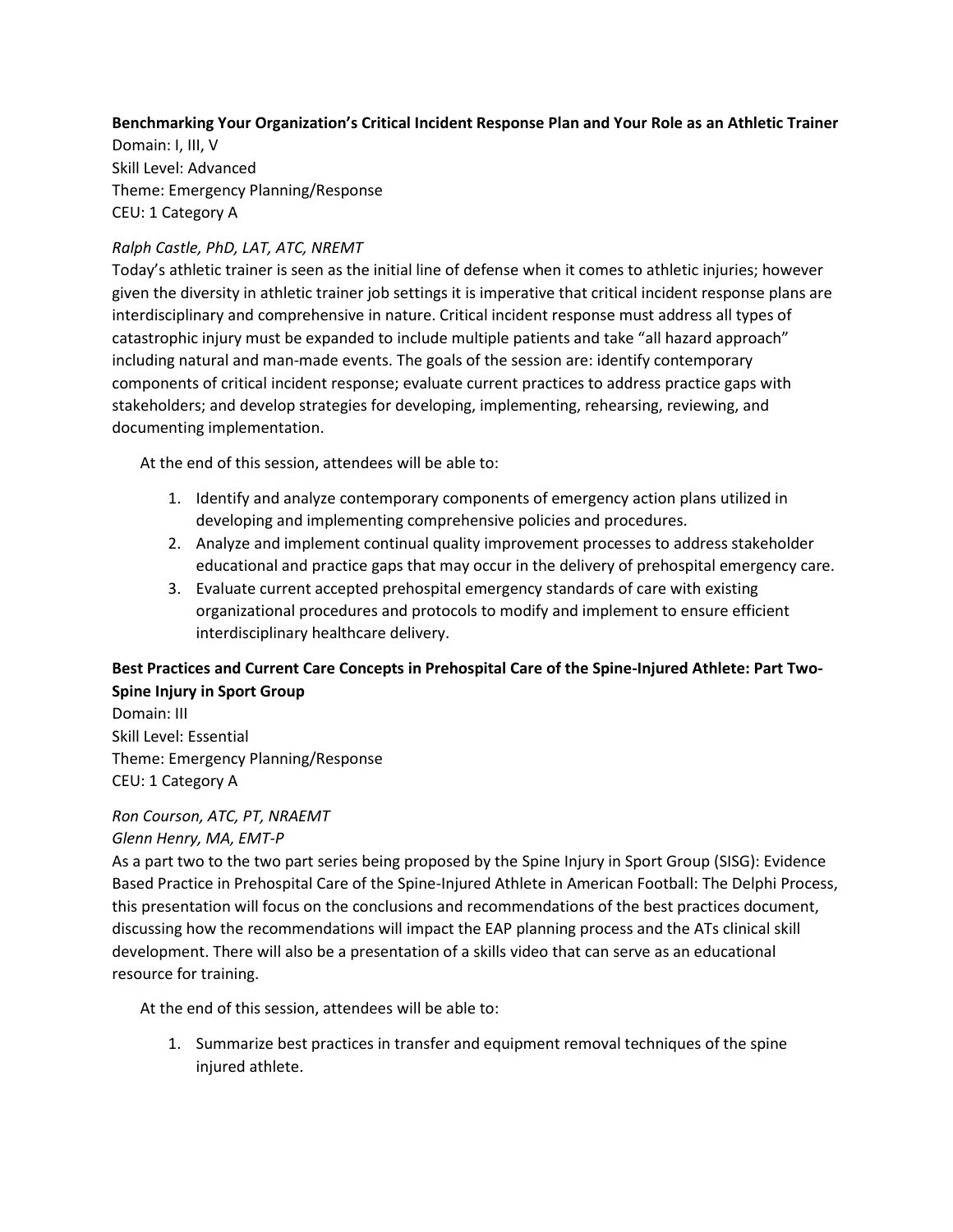## **Benchmarking Your Organization's Critical Incident Response Plan and Your Role as an Athletic Trainer**

Domain: I, III, V Skill Level: Advanced Theme: Emergency Planning/Response CEU: 1 Category A

## *Ralph Castle, PhD, LAT, ATC, NREMT*

Today's athletic trainer is seen as the initial line of defense when it comes to athletic injuries; however given the diversity in athletic trainer job settings it is imperative that critical incident response plans are interdisciplinary and comprehensive in nature. Critical incident response must address all types of catastrophic injury must be expanded to include multiple patients and take "all hazard approach" including natural and man-made events. The goals of the session are: identify contemporary components of critical incident response; evaluate current practices to address practice gaps with stakeholders; and develop strategies for developing, implementing, rehearsing, reviewing, and documenting implementation.

At the end of this session, attendees will be able to:

- 1. Identify and analyze contemporary components of emergency action plans utilized in developing and implementing comprehensive policies and procedures.
- 2. Analyze and implement continual quality improvement processes to address stakeholder educational and practice gaps that may occur in the delivery of prehospital emergency care.
- 3. Evaluate current accepted prehospital emergency standards of care with existing organizational procedures and protocols to modify and implement to ensure efficient interdisciplinary healthcare delivery.

## **Best Practices and Current Care Concepts in Prehospital Care of the Spine-Injured Athlete: Part Two-Spine Injury in Sport Group**

Domain: III Skill Level: Essential Theme: Emergency Planning/Response CEU: 1 Category A

# *Ron Courson, ATC, PT, NRAEMT*

## *Glenn Henry, MA, EMT-P*

As a part two to the two part series being proposed by the Spine Injury in Sport Group (SISG): Evidence Based Practice in Prehospital Care of the Spine-Injured Athlete in American Football: The Delphi Process, this presentation will focus on the conclusions and recommendations of the best practices document, discussing how the recommendations will impact the EAP planning process and the ATs clinical skill development. There will also be a presentation of a skills video that can serve as an educational resource for training.

At the end of this session, attendees will be able to:

1. Summarize best practices in transfer and equipment removal techniques of the spine injured athlete.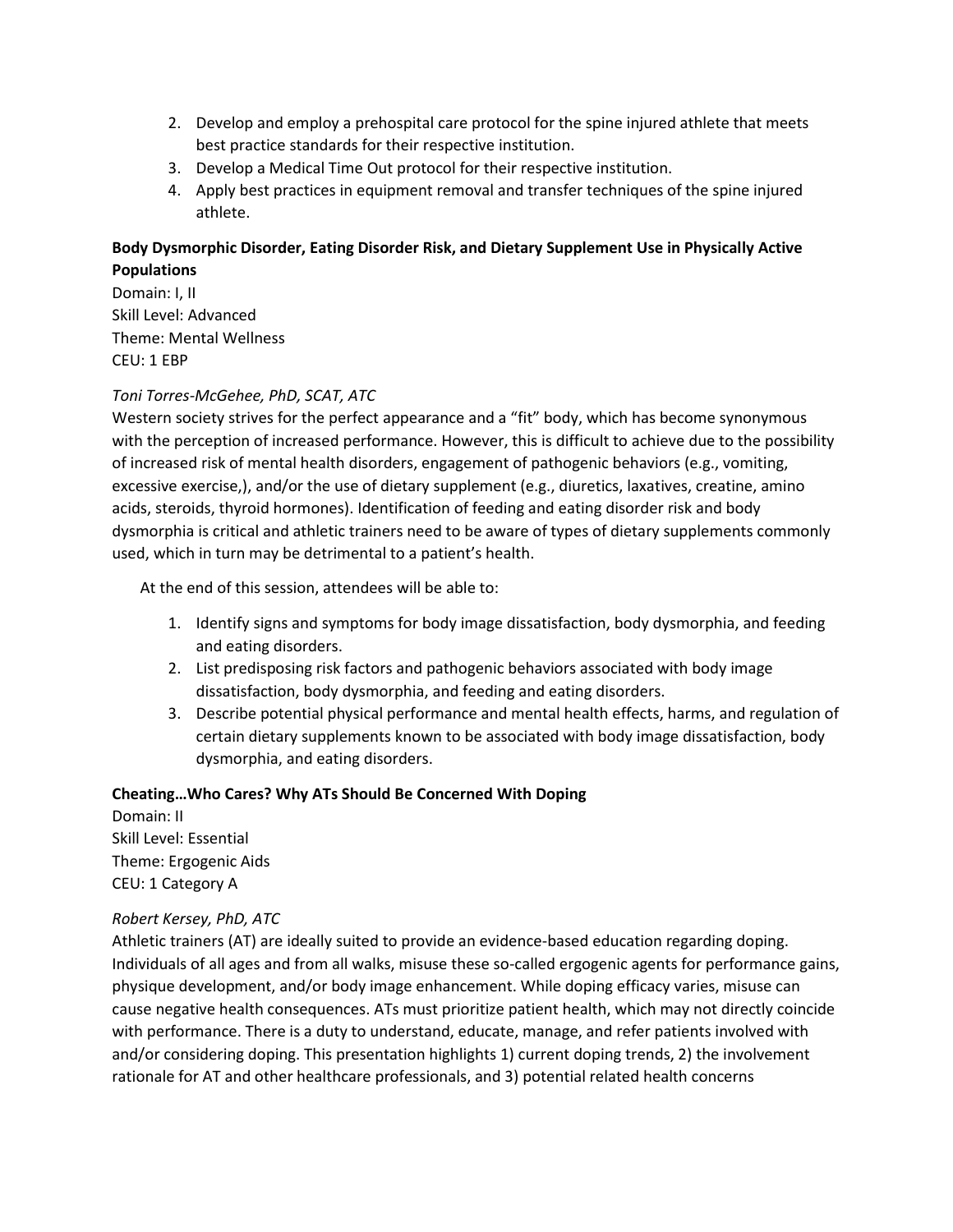- 2. Develop and employ a prehospital care protocol for the spine injured athlete that meets best practice standards for their respective institution.
- 3. Develop a Medical Time Out protocol for their respective institution.
- 4. Apply best practices in equipment removal and transfer techniques of the spine injured athlete.

## **Body Dysmorphic Disorder, Eating Disorder Risk, and Dietary Supplement Use in Physically Active Populations**

Domain: I, II Skill Level: Advanced Theme: Mental Wellness CEU: 1 EBP

## *Toni Torres-McGehee, PhD, SCAT, ATC*

Western society strives for the perfect appearance and a "fit" body, which has become synonymous with the perception of increased performance. However, this is difficult to achieve due to the possibility of increased risk of mental health disorders, engagement of pathogenic behaviors (e.g., vomiting, excessive exercise,), and/or the use of dietary supplement (e.g., diuretics, laxatives, creatine, amino acids, steroids, thyroid hormones). Identification of feeding and eating disorder risk and body dysmorphia is critical and athletic trainers need to be aware of types of dietary supplements commonly used, which in turn may be detrimental to a patient's health.

At the end of this session, attendees will be able to:

- 1. Identify signs and symptoms for body image dissatisfaction, body dysmorphia, and feeding and eating disorders.
- 2. List predisposing risk factors and pathogenic behaviors associated with body image dissatisfaction, body dysmorphia, and feeding and eating disorders.
- 3. Describe potential physical performance and mental health effects, harms, and regulation of certain dietary supplements known to be associated with body image dissatisfaction, body dysmorphia, and eating disorders.

## **Cheating…Who Cares? Why ATs Should Be Concerned With Doping**

Domain: II Skill Level: Essential Theme: Ergogenic Aids CEU: 1 Category A

## *Robert Kersey, PhD, ATC*

Athletic trainers (AT) are ideally suited to provide an evidence-based education regarding doping. Individuals of all ages and from all walks, misuse these so-called ergogenic agents for performance gains, physique development, and/or body image enhancement. While doping efficacy varies, misuse can cause negative health consequences. ATs must prioritize patient health, which may not directly coincide with performance. There is a duty to understand, educate, manage, and refer patients involved with and/or considering doping. This presentation highlights 1) current doping trends, 2) the involvement rationale for AT and other healthcare professionals, and 3) potential related health concerns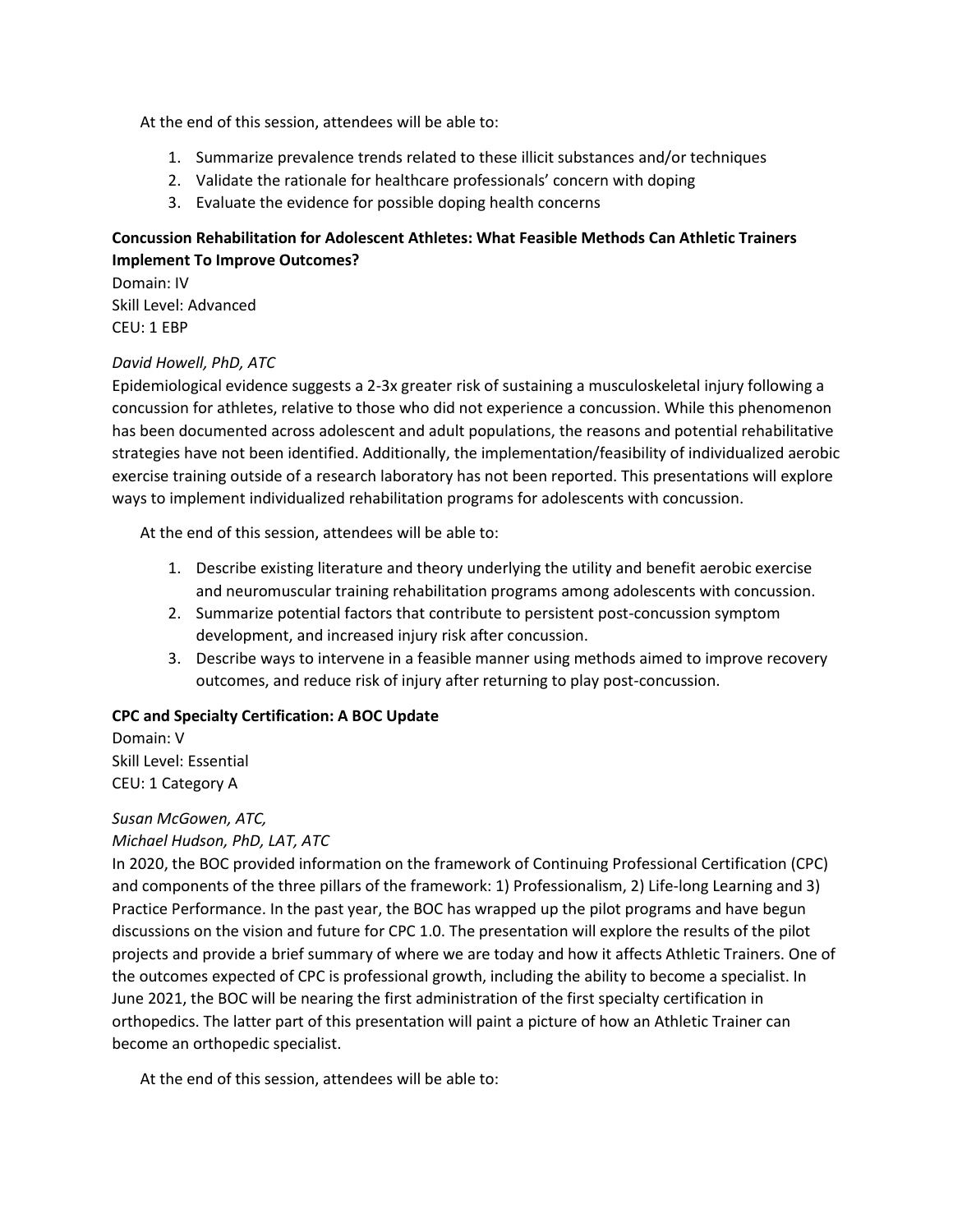At the end of this session, attendees will be able to:

- 1. Summarize prevalence trends related to these illicit substances and/or techniques
- 2. Validate the rationale for healthcare professionals' concern with doping
- 3. Evaluate the evidence for possible doping health concerns

## **Concussion Rehabilitation for Adolescent Athletes: What Feasible Methods Can Athletic Trainers Implement To Improve Outcomes?**

Domain: IV Skill Level: Advanced CEU: 1 EBP

## *David Howell, PhD, ATC*

Epidemiological evidence suggests a 2-3x greater risk of sustaining a musculoskeletal injury following a concussion for athletes, relative to those who did not experience a concussion. While this phenomenon has been documented across adolescent and adult populations, the reasons and potential rehabilitative strategies have not been identified. Additionally, the implementation/feasibility of individualized aerobic exercise training outside of a research laboratory has not been reported. This presentations will explore ways to implement individualized rehabilitation programs for adolescents with concussion.

At the end of this session, attendees will be able to:

- 1. Describe existing literature and theory underlying the utility and benefit aerobic exercise and neuromuscular training rehabilitation programs among adolescents with concussion.
- 2. Summarize potential factors that contribute to persistent post-concussion symptom development, and increased injury risk after concussion.
- 3. Describe ways to intervene in a feasible manner using methods aimed to improve recovery outcomes, and reduce risk of injury after returning to play post-concussion.

## **CPC and Specialty Certification: A BOC Update**

Domain: V Skill Level: Essential CEU: 1 Category A

## *Susan McGowen, ATC,*

## *Michael Hudson, PhD, LAT, ATC*

In 2020, the BOC provided information on the framework of Continuing Professional Certification (CPC) and components of the three pillars of the framework: 1) Professionalism, 2) Life-long Learning and 3) Practice Performance. In the past year, the BOC has wrapped up the pilot programs and have begun discussions on the vision and future for CPC 1.0. The presentation will explore the results of the pilot projects and provide a brief summary of where we are today and how it affects Athletic Trainers. One of the outcomes expected of CPC is professional growth, including the ability to become a specialist. In June 2021, the BOC will be nearing the first administration of the first specialty certification in orthopedics. The latter part of this presentation will paint a picture of how an Athletic Trainer can become an orthopedic specialist.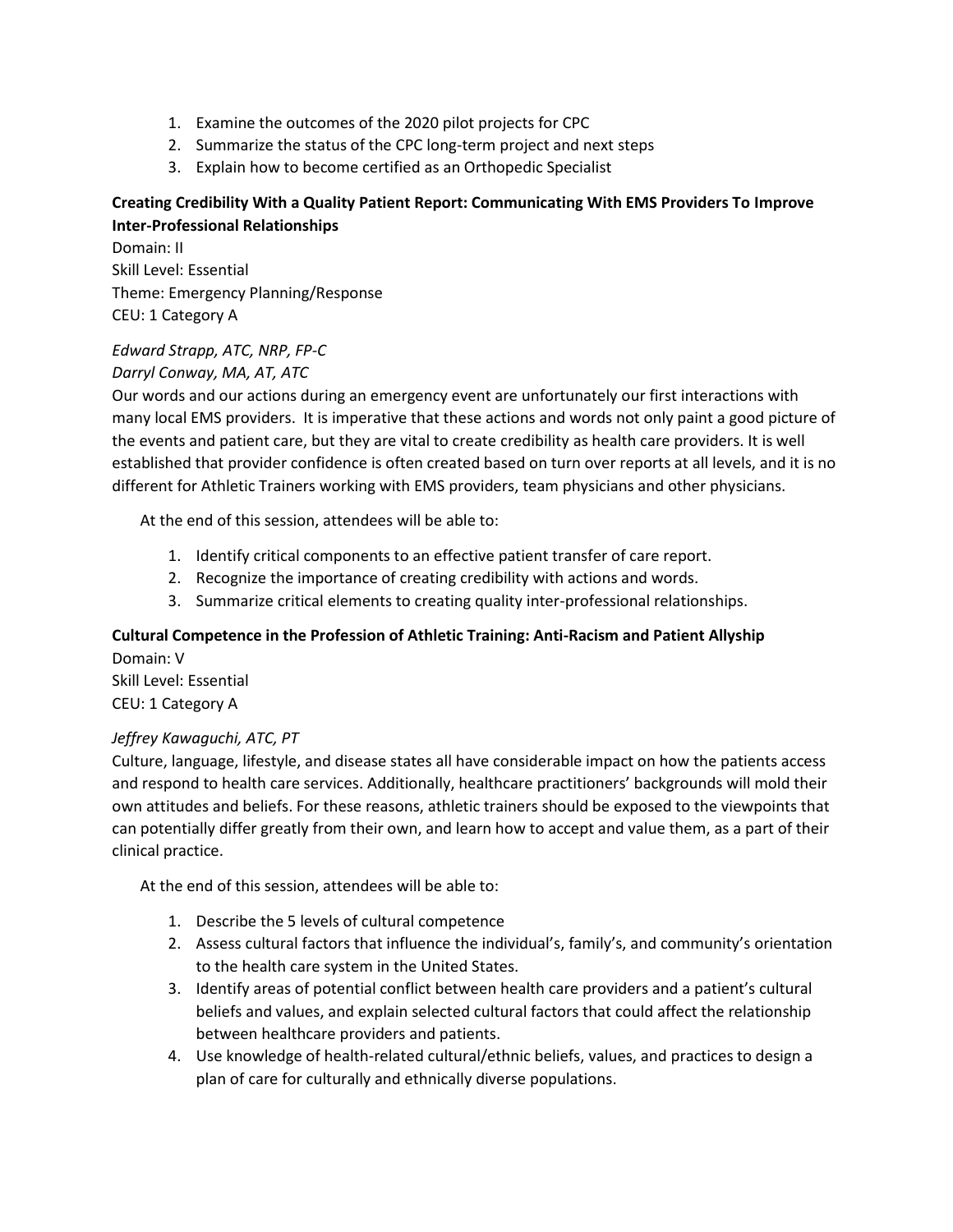- 1. Examine the outcomes of the 2020 pilot projects for CPC
- 2. Summarize the status of the CPC long-term project and next steps
- 3. Explain how to become certified as an Orthopedic Specialist

## **Creating Credibility With a Quality Patient Report: Communicating With EMS Providers To Improve Inter-Professional Relationships**

Domain: II Skill Level: Essential Theme: Emergency Planning/Response CEU: 1 Category A

#### *Edward Strapp, ATC, NRP, FP-C*

#### *Darryl Conway, MA, AT, ATC*

Our words and our actions during an emergency event are unfortunately our first interactions with many local EMS providers. It is imperative that these actions and words not only paint a good picture of the events and patient care, but they are vital to create credibility as health care providers. It is well established that provider confidence is often created based on turn over reports at all levels, and it is no different for Athletic Trainers working with EMS providers, team physicians and other physicians.

At the end of this session, attendees will be able to:

- 1. Identify critical components to an effective patient transfer of care report.
- 2. Recognize the importance of creating credibility with actions and words.
- 3. Summarize critical elements to creating quality inter-professional relationships.

#### **Cultural Competence in the Profession of Athletic Training: Anti-Racism and Patient Allyship** Domain: V

Skill Level: Essential CEU: 1 Category A

#### *Jeffrey Kawaguchi, ATC, PT*

Culture, language, lifestyle, and disease states all have considerable impact on how the patients access and respond to health care services. Additionally, healthcare practitioners' backgrounds will mold their own attitudes and beliefs. For these reasons, athletic trainers should be exposed to the viewpoints that can potentially differ greatly from their own, and learn how to accept and value them, as a part of their clinical practice.

- 1. Describe the 5 levels of cultural competence
- 2. Assess cultural factors that influence the individual's, family's, and community's orientation to the health care system in the United States.
- 3. Identify areas of potential conflict between health care providers and a patient's cultural beliefs and values, and explain selected cultural factors that could affect the relationship between healthcare providers and patients.
- 4. Use knowledge of health-related cultural/ethnic beliefs, values, and practices to design a plan of care for culturally and ethnically diverse populations.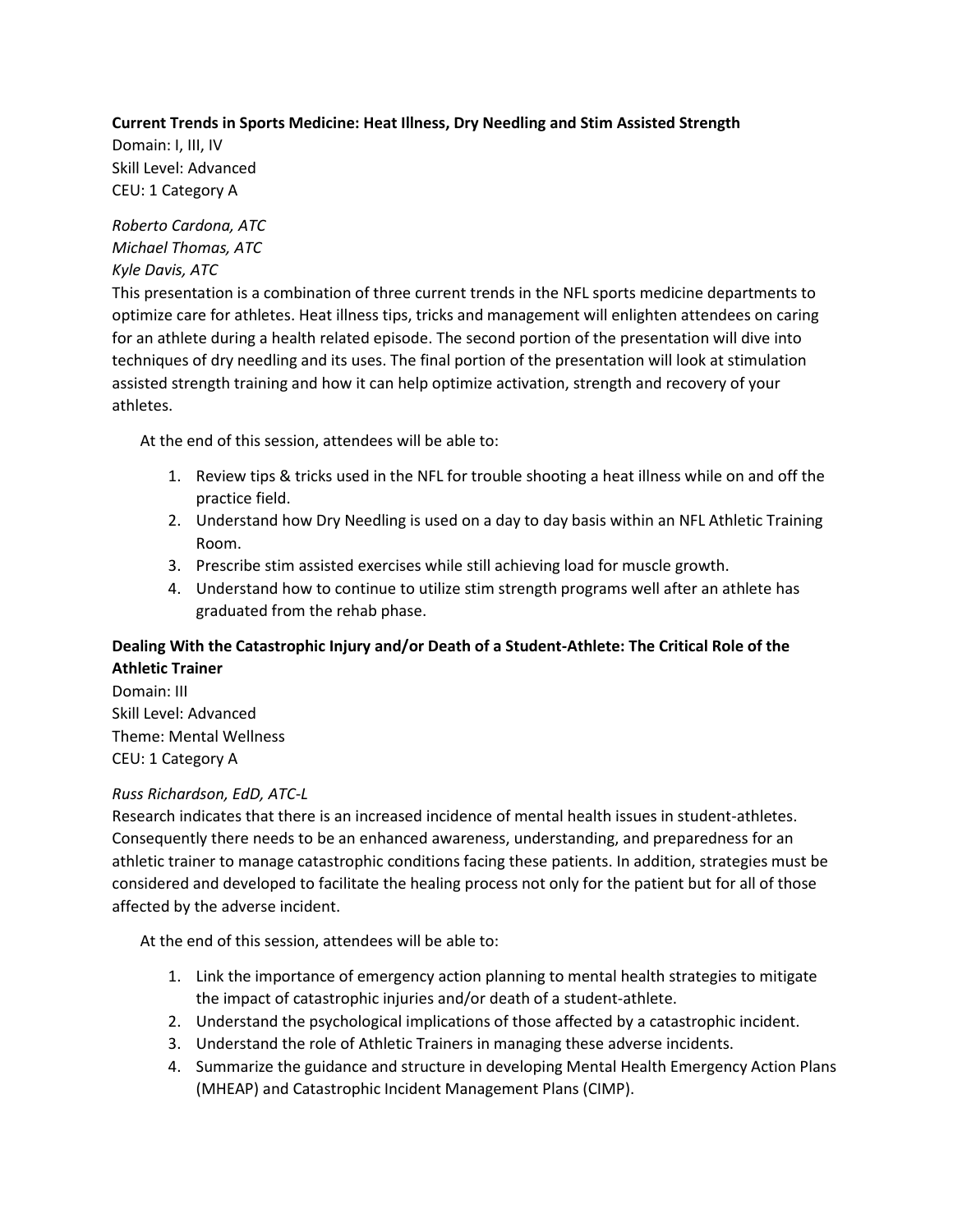#### **Current Trends in Sports Medicine: Heat Illness, Dry Needling and Stim Assisted Strength**

Domain: I, III, IV Skill Level: Advanced CEU: 1 Category A

*Roberto Cardona, ATC Michael Thomas, ATC Kyle Davis, ATC*

This presentation is a combination of three current trends in the NFL sports medicine departments to optimize care for athletes. Heat illness tips, tricks and management will enlighten attendees on caring for an athlete during a health related episode. The second portion of the presentation will dive into techniques of dry needling and its uses. The final portion of the presentation will look at stimulation assisted strength training and how it can help optimize activation, strength and recovery of your athletes.

At the end of this session, attendees will be able to:

- 1. Review tips & tricks used in the NFL for trouble shooting a heat illness while on and off the practice field.
- 2. Understand how Dry Needling is used on a day to day basis within an NFL Athletic Training Room.
- 3. Prescribe stim assisted exercises while still achieving load for muscle growth.
- 4. Understand how to continue to utilize stim strength programs well after an athlete has graduated from the rehab phase.

## **Dealing With the Catastrophic Injury and/or Death of a Student-Athlete: The Critical Role of the Athletic Trainer**

Domain: III Skill Level: Advanced Theme: Mental Wellness CEU: 1 Category A

## *Russ Richardson, EdD, ATC-L*

Research indicates that there is an increased incidence of mental health issues in student-athletes. Consequently there needs to be an enhanced awareness, understanding, and preparedness for an athletic trainer to manage catastrophic conditions facing these patients. In addition, strategies must be considered and developed to facilitate the healing process not only for the patient but for all of those affected by the adverse incident.

- 1. Link the importance of emergency action planning to mental health strategies to mitigate the impact of catastrophic injuries and/or death of a student-athlete.
- 2. Understand the psychological implications of those affected by a catastrophic incident.
- 3. Understand the role of Athletic Trainers in managing these adverse incidents.
- 4. Summarize the guidance and structure in developing Mental Health Emergency Action Plans (MHEAP) and Catastrophic Incident Management Plans (CIMP).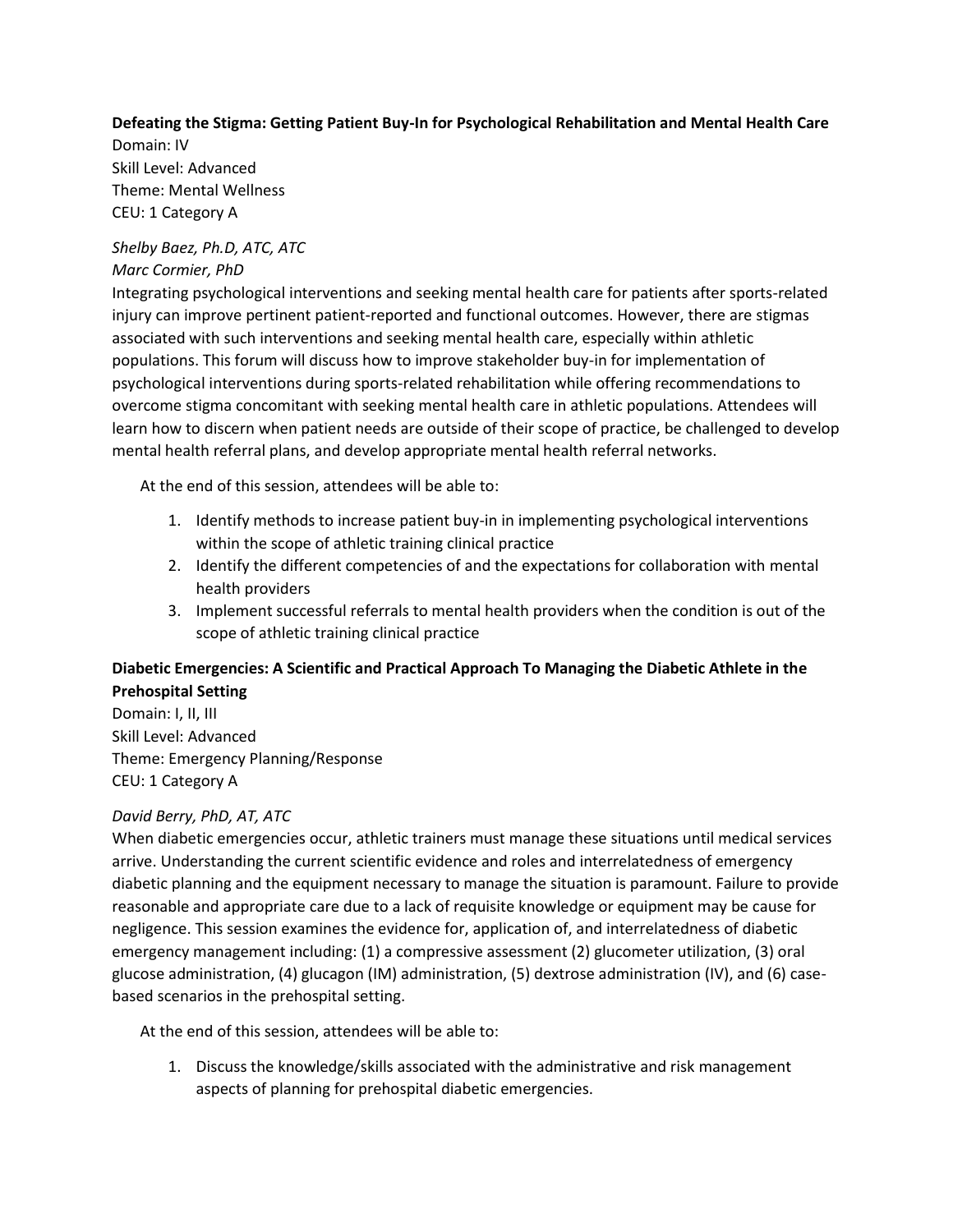#### **Defeating the Stigma: Getting Patient Buy-In for Psychological Rehabilitation and Mental Health Care** Domain: IV

Skill Level: Advanced Theme: Mental Wellness CEU: 1 Category A

## *Shelby Baez, Ph.D, ATC, ATC*

## *Marc Cormier, PhD*

Integrating psychological interventions and seeking mental health care for patients after sports-related injury can improve pertinent patient-reported and functional outcomes. However, there are stigmas associated with such interventions and seeking mental health care, especially within athletic populations. This forum will discuss how to improve stakeholder buy-in for implementation of psychological interventions during sports-related rehabilitation while offering recommendations to overcome stigma concomitant with seeking mental health care in athletic populations. Attendees will learn how to discern when patient needs are outside of their scope of practice, be challenged to develop mental health referral plans, and develop appropriate mental health referral networks.

At the end of this session, attendees will be able to:

- 1. Identify methods to increase patient buy-in in implementing psychological interventions within the scope of athletic training clinical practice
- 2. Identify the different competencies of and the expectations for collaboration with mental health providers
- 3. Implement successful referrals to mental health providers when the condition is out of the scope of athletic training clinical practice

## **Diabetic Emergencies: A Scientific and Practical Approach To Managing the Diabetic Athlete in the Prehospital Setting**

Domain: I, II, III Skill Level: Advanced Theme: Emergency Planning/Response CEU: 1 Category A

## *David Berry, PhD, AT, ATC*

When diabetic emergencies occur, athletic trainers must manage these situations until medical services arrive. Understanding the current scientific evidence and roles and interrelatedness of emergency diabetic planning and the equipment necessary to manage the situation is paramount. Failure to provide reasonable and appropriate care due to a lack of requisite knowledge or equipment may be cause for negligence. This session examines the evidence for, application of, and interrelatedness of diabetic emergency management including: (1) a compressive assessment (2) glucometer utilization, (3) oral glucose administration, (4) glucagon (IM) administration, (5) dextrose administration (IV), and (6) casebased scenarios in the prehospital setting.

At the end of this session, attendees will be able to:

1. Discuss the knowledge/skills associated with the administrative and risk management aspects of planning for prehospital diabetic emergencies.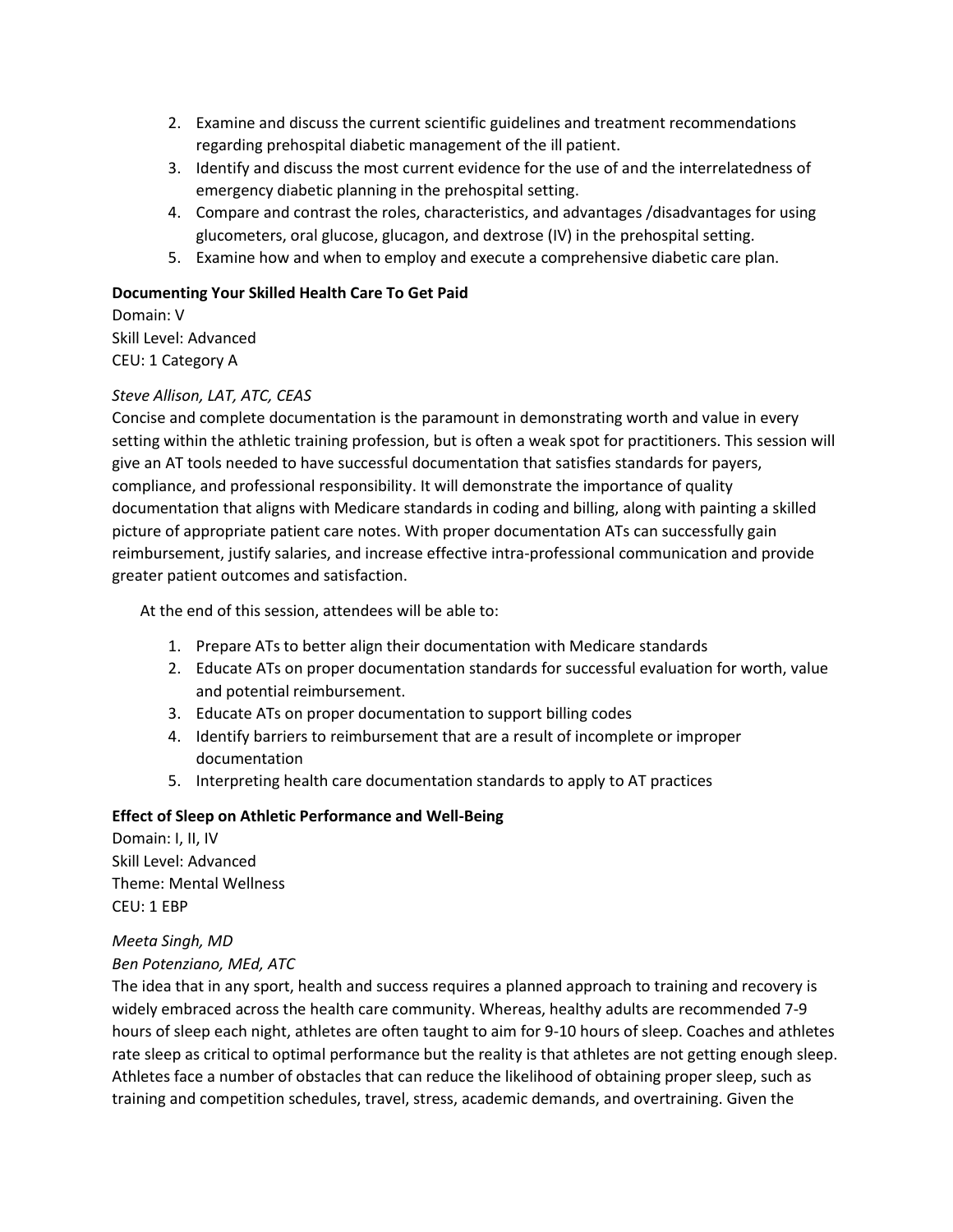- 2. Examine and discuss the current scientific guidelines and treatment recommendations regarding prehospital diabetic management of the ill patient.
- 3. Identify and discuss the most current evidence for the use of and the interrelatedness of emergency diabetic planning in the prehospital setting.
- 4. Compare and contrast the roles, characteristics, and advantages /disadvantages for using glucometers, oral glucose, glucagon, and dextrose (IV) in the prehospital setting.
- 5. Examine how and when to employ and execute a comprehensive diabetic care plan.

#### **Documenting Your Skilled Health Care To Get Paid**

Domain: V Skill Level: Advanced CEU: 1 Category A

#### *Steve Allison, LAT, ATC, CEAS*

Concise and complete documentation is the paramount in demonstrating worth and value in every setting within the athletic training profession, but is often a weak spot for practitioners. This session will give an AT tools needed to have successful documentation that satisfies standards for payers, compliance, and professional responsibility. It will demonstrate the importance of quality documentation that aligns with Medicare standards in coding and billing, along with painting a skilled picture of appropriate patient care notes. With proper documentation ATs can successfully gain reimbursement, justify salaries, and increase effective intra-professional communication and provide greater patient outcomes and satisfaction.

At the end of this session, attendees will be able to:

- 1. Prepare ATs to better align their documentation with Medicare standards
- 2. Educate ATs on proper documentation standards for successful evaluation for worth, value and potential reimbursement.
- 3. Educate ATs on proper documentation to support billing codes
- 4. Identify barriers to reimbursement that are a result of incomplete or improper documentation
- 5. Interpreting health care documentation standards to apply to AT practices

#### **Effect of Sleep on Athletic Performance and Well-Being**

Domain: I, II, IV Skill Level: Advanced Theme: Mental Wellness CEU: 1 EBP

# *Meeta Singh, MD*

## *Ben Potenziano, MEd, ATC*

The idea that in any sport, health and success requires a planned approach to training and recovery is widely embraced across the health care community. Whereas, healthy adults are recommended 7-9 hours of sleep each night, athletes are often taught to aim for 9-10 hours of sleep. Coaches and athletes rate sleep as critical to optimal performance but the reality is that athletes are not getting enough sleep. Athletes face a number of obstacles that can reduce the likelihood of obtaining proper sleep, such as training and competition schedules, travel, stress, academic demands, and overtraining. Given the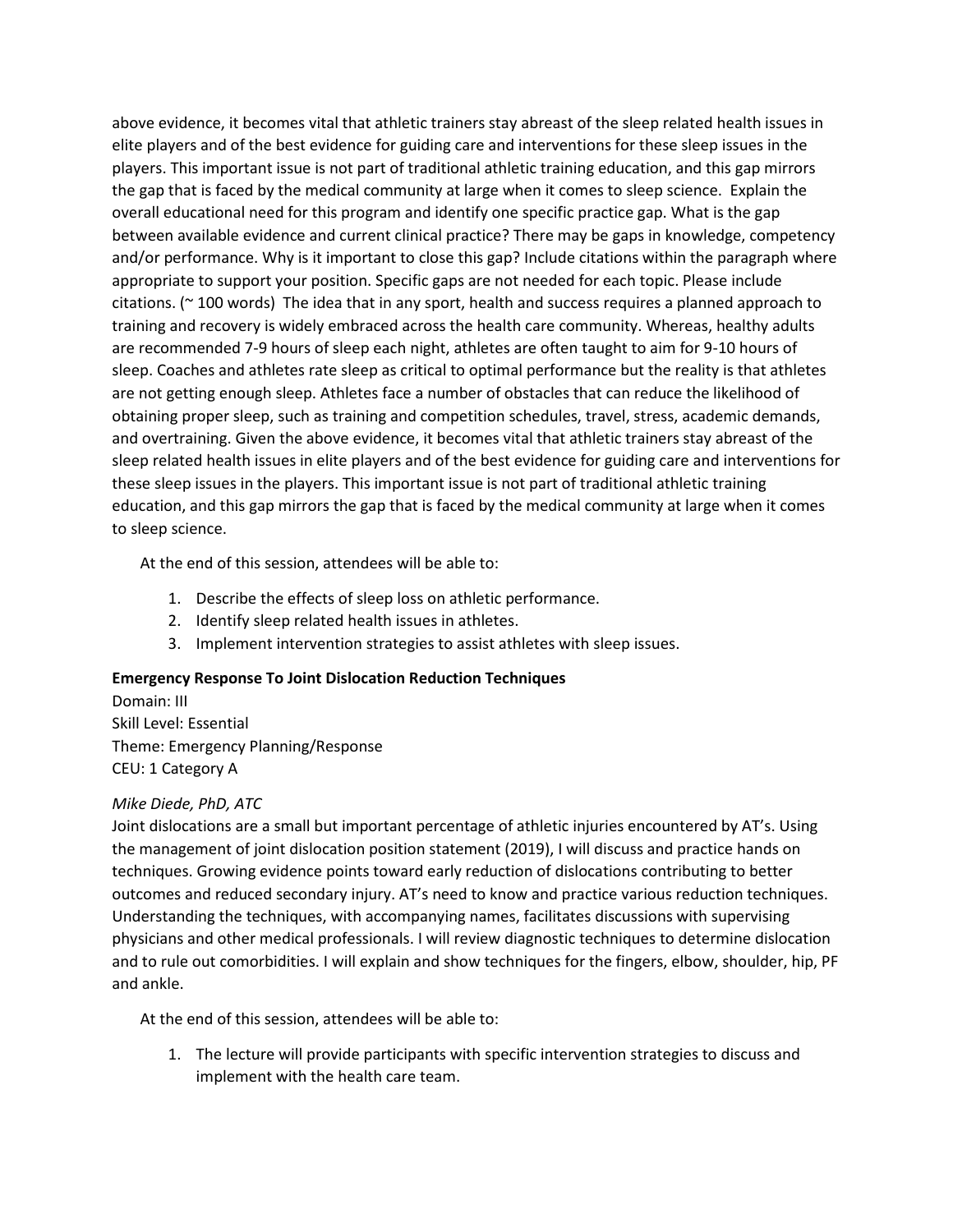above evidence, it becomes vital that athletic trainers stay abreast of the sleep related health issues in elite players and of the best evidence for guiding care and interventions for these sleep issues in the players. This important issue is not part of traditional athletic training education, and this gap mirrors the gap that is faced by the medical community at large when it comes to sleep science. Explain the overall educational need for this program and identify one specific practice gap. What is the gap between available evidence and current clinical practice? There may be gaps in knowledge, competency and/or performance. Why is it important to close this gap? Include citations within the paragraph where appropriate to support your position. Specific gaps are not needed for each topic. Please include citations. (~ 100 words) The idea that in any sport, health and success requires a planned approach to training and recovery is widely embraced across the health care community. Whereas, healthy adults are recommended 7-9 hours of sleep each night, athletes are often taught to aim for 9-10 hours of sleep. Coaches and athletes rate sleep as critical to optimal performance but the reality is that athletes are not getting enough sleep. Athletes face a number of obstacles that can reduce the likelihood of obtaining proper sleep, such as training and competition schedules, travel, stress, academic demands, and overtraining. Given the above evidence, it becomes vital that athletic trainers stay abreast of the sleep related health issues in elite players and of the best evidence for guiding care and interventions for these sleep issues in the players. This important issue is not part of traditional athletic training education, and this gap mirrors the gap that is faced by the medical community at large when it comes to sleep science.

At the end of this session, attendees will be able to:

- 1. Describe the effects of sleep loss on athletic performance.
- 2. Identify sleep related health issues in athletes.
- 3. Implement intervention strategies to assist athletes with sleep issues.

#### **Emergency Response To Joint Dislocation Reduction Techniques**

Domain: III Skill Level: Essential Theme: Emergency Planning/Response CEU: 1 Category A

#### *Mike Diede, PhD, ATC*

Joint dislocations are a small but important percentage of athletic injuries encountered by AT's. Using the management of joint dislocation position statement (2019), I will discuss and practice hands on techniques. Growing evidence points toward early reduction of dislocations contributing to better outcomes and reduced secondary injury. AT's need to know and practice various reduction techniques. Understanding the techniques, with accompanying names, facilitates discussions with supervising physicians and other medical professionals. I will review diagnostic techniques to determine dislocation and to rule out comorbidities. I will explain and show techniques for the fingers, elbow, shoulder, hip, PF and ankle.

At the end of this session, attendees will be able to:

1. The lecture will provide participants with specific intervention strategies to discuss and implement with the health care team.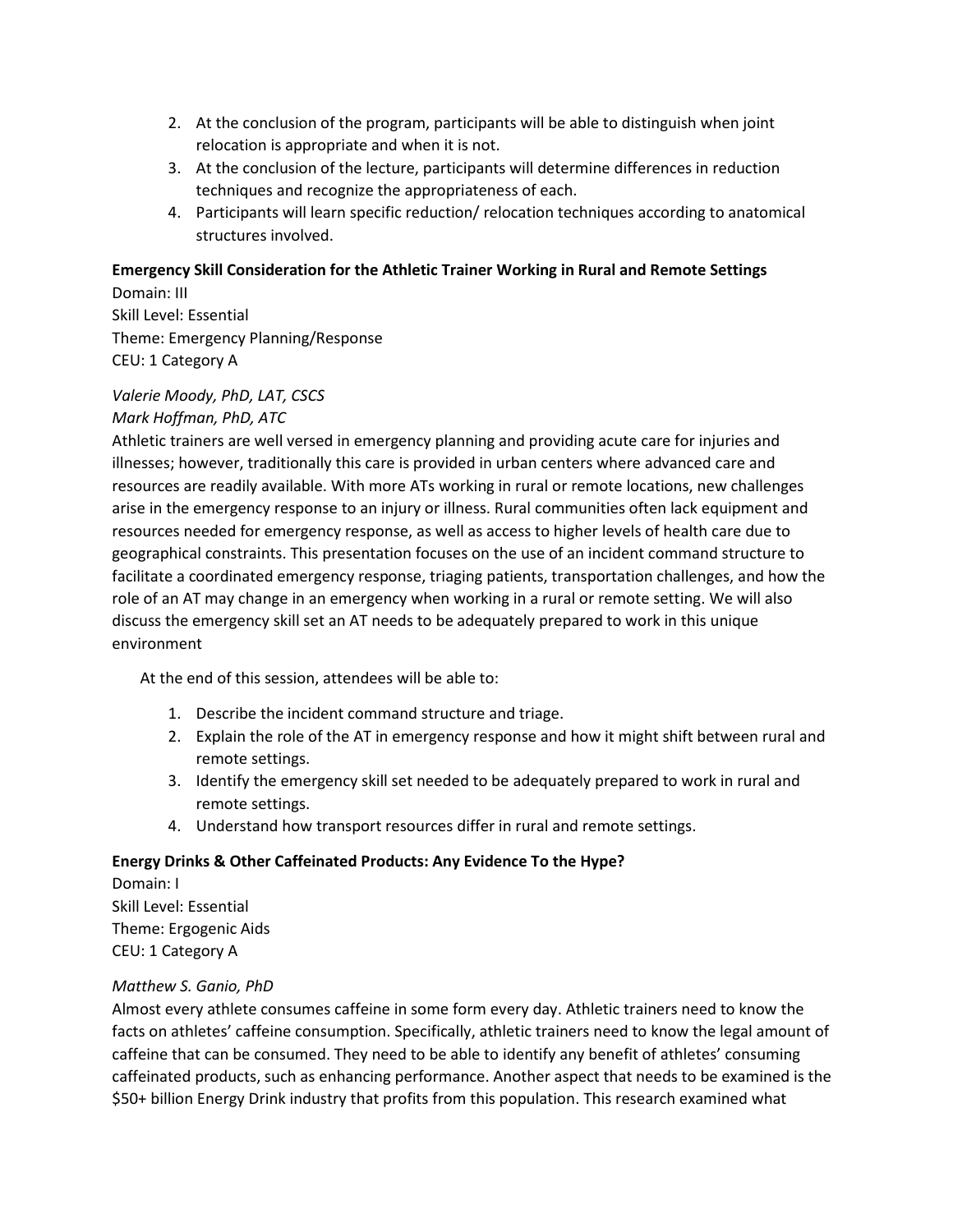- 2. At the conclusion of the program, participants will be able to distinguish when joint relocation is appropriate and when it is not.
- 3. At the conclusion of the lecture, participants will determine differences in reduction techniques and recognize the appropriateness of each.
- 4. Participants will learn specific reduction/ relocation techniques according to anatomical structures involved.

# **Emergency Skill Consideration for the Athletic Trainer Working in Rural and Remote Settings**

Domain: III Skill Level: Essential Theme: Emergency Planning/Response CEU: 1 Category A

## *Valerie Moody, PhD, LAT, CSCS*

## *Mark Hoffman, PhD, ATC*

Athletic trainers are well versed in emergency planning and providing acute care for injuries and illnesses; however, traditionally this care is provided in urban centers where advanced care and resources are readily available. With more ATs working in rural or remote locations, new challenges arise in the emergency response to an injury or illness. Rural communities often lack equipment and resources needed for emergency response, as well as access to higher levels of health care due to geographical constraints. This presentation focuses on the use of an incident command structure to facilitate a coordinated emergency response, triaging patients, transportation challenges, and how the role of an AT may change in an emergency when working in a rural or remote setting. We will also discuss the emergency skill set an AT needs to be adequately prepared to work in this unique environment

At the end of this session, attendees will be able to:

- 1. Describe the incident command structure and triage.
- 2. Explain the role of the AT in emergency response and how it might shift between rural and remote settings.
- 3. Identify the emergency skill set needed to be adequately prepared to work in rural and remote settings.
- 4. Understand how transport resources differ in rural and remote settings.

## **Energy Drinks & Other Caffeinated Products: Any Evidence To the Hype?**

Domain: I Skill Level: Essential Theme: Ergogenic Aids CEU: 1 Category A

## *Matthew S. Ganio, PhD*

Almost every athlete consumes caffeine in some form every day. Athletic trainers need to know the facts on athletes' caffeine consumption. Specifically, athletic trainers need to know the legal amount of caffeine that can be consumed. They need to be able to identify any benefit of athletes' consuming caffeinated products, such as enhancing performance. Another aspect that needs to be examined is the \$50+ billion Energy Drink industry that profits from this population. This research examined what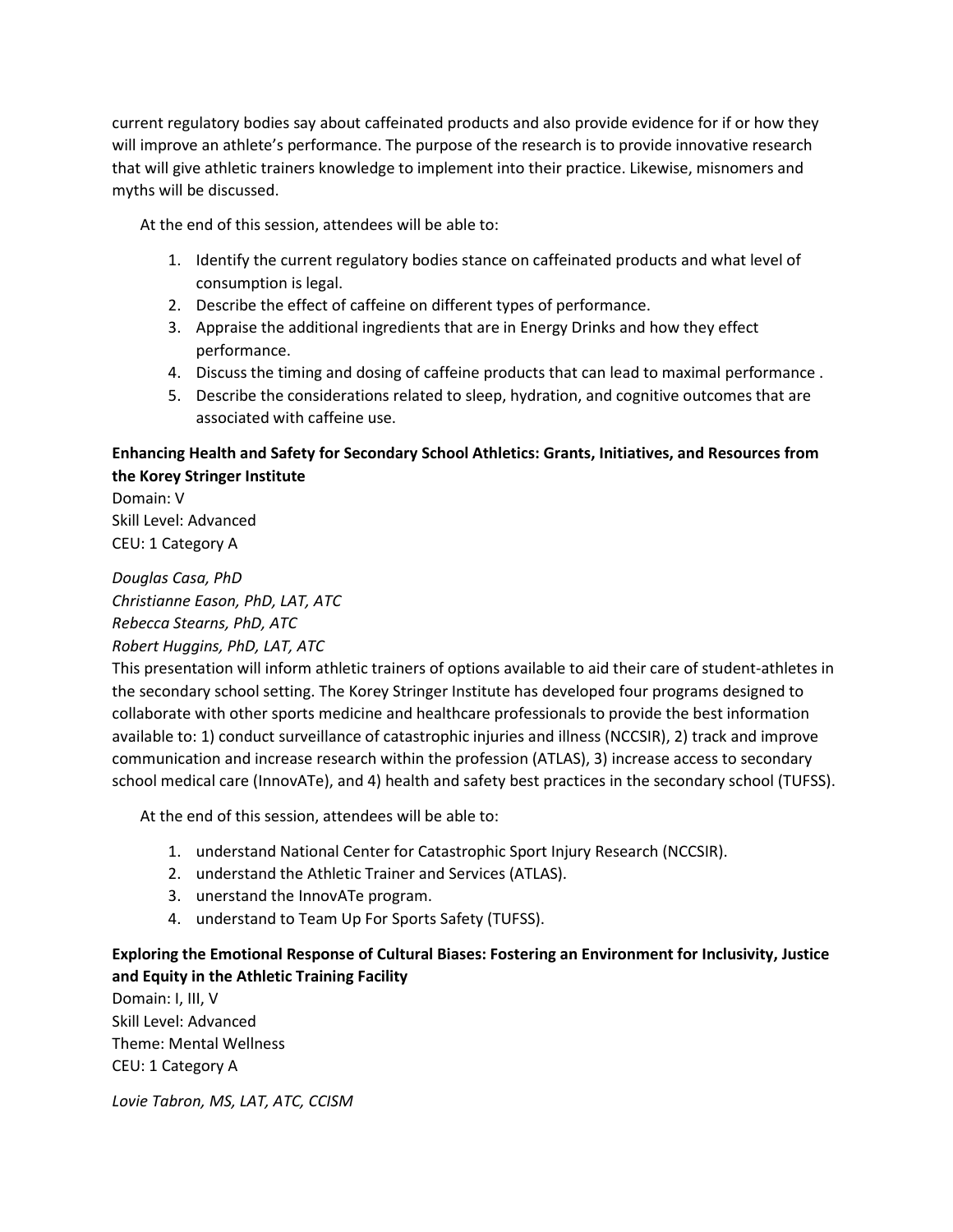current regulatory bodies say about caffeinated products and also provide evidence for if or how they will improve an athlete's performance. The purpose of the research is to provide innovative research that will give athletic trainers knowledge to implement into their practice. Likewise, misnomers and myths will be discussed.

At the end of this session, attendees will be able to:

- 1. Identify the current regulatory bodies stance on caffeinated products and what level of consumption is legal.
- 2. Describe the effect of caffeine on different types of performance.
- 3. Appraise the additional ingredients that are in Energy Drinks and how they effect performance.
- 4. Discuss the timing and dosing of caffeine products that can lead to maximal performance .
- 5. Describe the considerations related to sleep, hydration, and cognitive outcomes that are associated with caffeine use.

## **Enhancing Health and Safety for Secondary School Athletics: Grants, Initiatives, and Resources from the Korey Stringer Institute**

Domain: V Skill Level: Advanced CEU: 1 Category A

*Douglas Casa, PhD Christianne Eason, PhD, LAT, ATC Rebecca Stearns, PhD, ATC*

*Robert Huggins, PhD, LAT, ATC*

This presentation will inform athletic trainers of options available to aid their care of student-athletes in the secondary school setting. The Korey Stringer Institute has developed four programs designed to collaborate with other sports medicine and healthcare professionals to provide the best information available to: 1) conduct surveillance of catastrophic injuries and illness (NCCSIR), 2) track and improve communication and increase research within the profession (ATLAS), 3) increase access to secondary school medical care (InnovATe), and 4) health and safety best practices in the secondary school (TUFSS).

At the end of this session, attendees will be able to:

- 1. understand National Center for Catastrophic Sport Injury Research (NCCSIR).
- 2. understand the Athletic Trainer and Services (ATLAS).
- 3. unerstand the InnovATe program.
- 4. understand to Team Up For Sports Safety (TUFSS).

## **Exploring the Emotional Response of Cultural Biases: Fostering an Environment for Inclusivity, Justice and Equity in the Athletic Training Facility**

Domain: I, III, V Skill Level: Advanced Theme: Mental Wellness CEU: 1 Category A

*Lovie Tabron, MS, LAT, ATC, CCISM*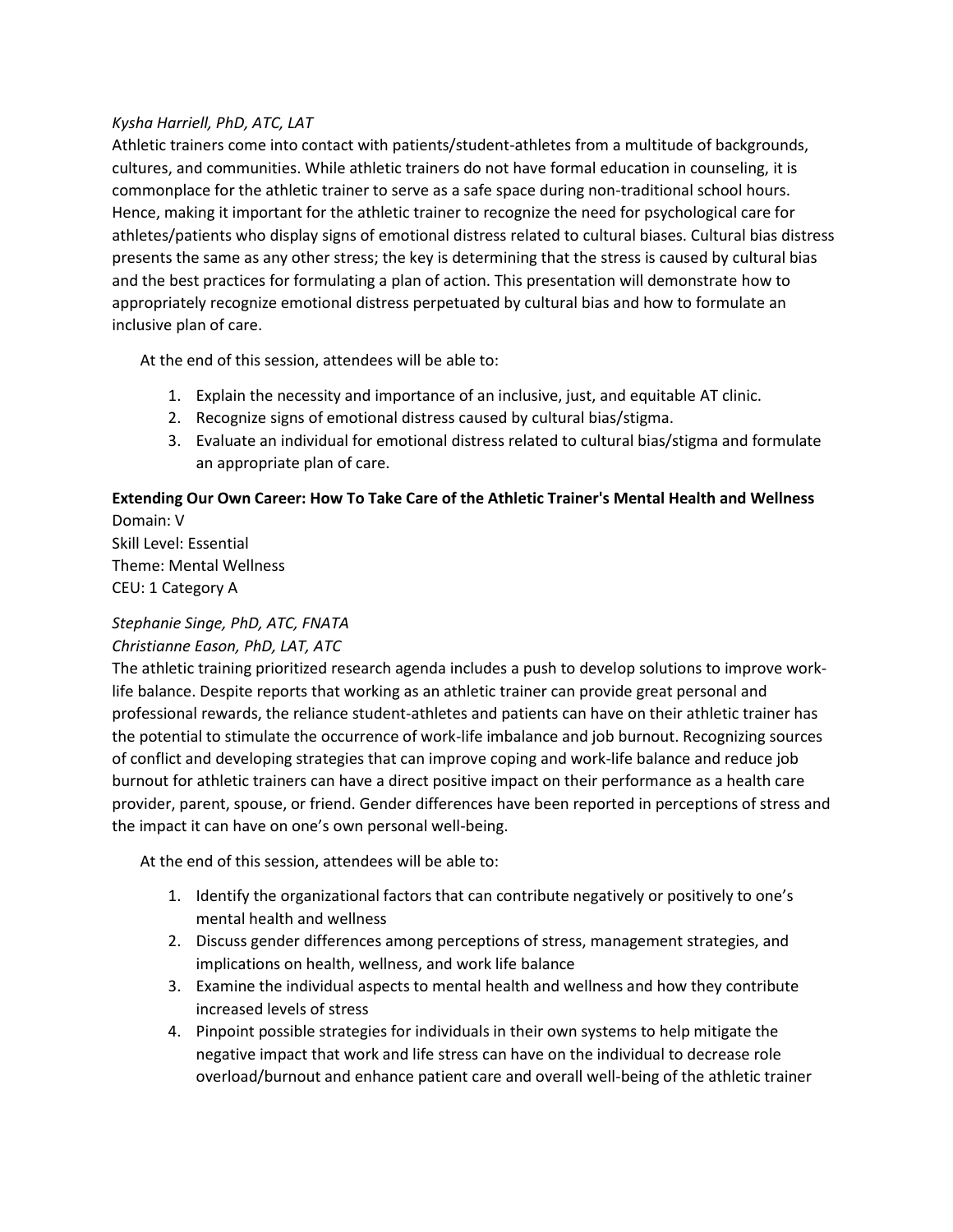#### *Kysha Harriell, PhD, ATC, LAT*

Athletic trainers come into contact with patients/student-athletes from a multitude of backgrounds, cultures, and communities. While athletic trainers do not have formal education in counseling, it is commonplace for the athletic trainer to serve as a safe space during non-traditional school hours. Hence, making it important for the athletic trainer to recognize the need for psychological care for athletes/patients who display signs of emotional distress related to cultural biases. Cultural bias distress presents the same as any other stress; the key is determining that the stress is caused by cultural bias and the best practices for formulating a plan of action. This presentation will demonstrate how to appropriately recognize emotional distress perpetuated by cultural bias and how to formulate an inclusive plan of care.

At the end of this session, attendees will be able to:

- 1. Explain the necessity and importance of an inclusive, just, and equitable AT clinic.
- 2. Recognize signs of emotional distress caused by cultural bias/stigma.
- 3. Evaluate an individual for emotional distress related to cultural bias/stigma and formulate an appropriate plan of care.

## **Extending Our Own Career: How To Take Care of the Athletic Trainer's Mental Health and Wellness** Domain: V

Skill Level: Essential Theme: Mental Wellness CEU: 1 Category A

# *Stephanie Singe, PhD, ATC, FNATA*

## *Christianne Eason, PhD, LAT, ATC*

The athletic training prioritized research agenda includes a push to develop solutions to improve worklife balance. Despite reports that working as an athletic trainer can provide great personal and professional rewards, the reliance student-athletes and patients can have on their athletic trainer has the potential to stimulate the occurrence of work-life imbalance and job burnout. Recognizing sources of conflict and developing strategies that can improve coping and work-life balance and reduce job burnout for athletic trainers can have a direct positive impact on their performance as a health care provider, parent, spouse, or friend. Gender differences have been reported in perceptions of stress and the impact it can have on one's own personal well-being.

- 1. Identify the organizational factors that can contribute negatively or positively to one's mental health and wellness
- 2. Discuss gender differences among perceptions of stress, management strategies, and implications on health, wellness, and work life balance
- 3. Examine the individual aspects to mental health and wellness and how they contribute increased levels of stress
- 4. Pinpoint possible strategies for individuals in their own systems to help mitigate the negative impact that work and life stress can have on the individual to decrease role overload/burnout and enhance patient care and overall well-being of the athletic trainer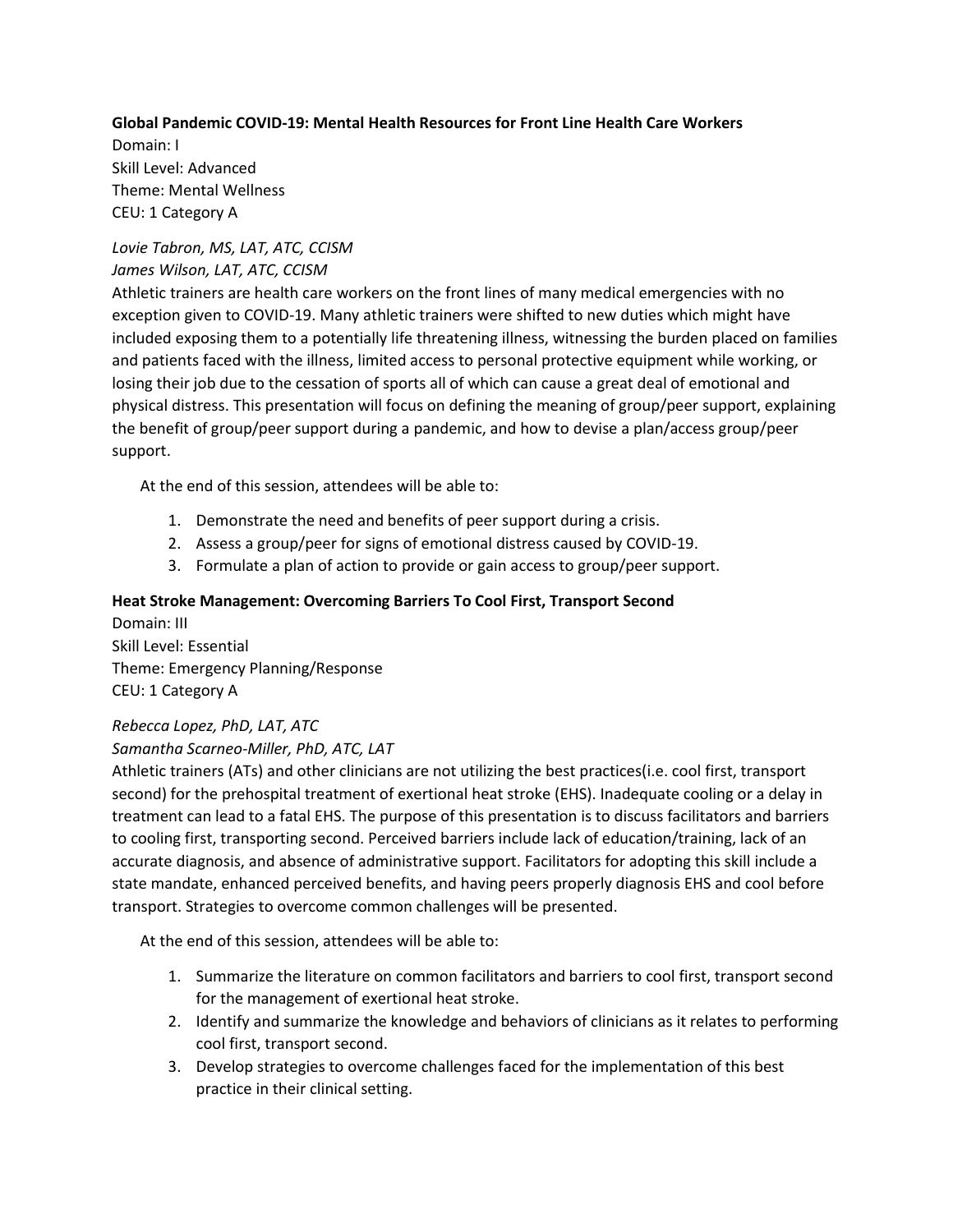## **Global Pandemic COVID-19: Mental Health Resources for Front Line Health Care Workers**

Domain: I Skill Level: Advanced Theme: Mental Wellness CEU: 1 Category A

#### *Lovie Tabron, MS, LAT, ATC, CCISM James Wilson, LAT, ATC, CCISM*

Athletic trainers are health care workers on the front lines of many medical emergencies with no exception given to COVID-19. Many athletic trainers were shifted to new duties which might have included exposing them to a potentially life threatening illness, witnessing the burden placed on families and patients faced with the illness, limited access to personal protective equipment while working, or losing their job due to the cessation of sports all of which can cause a great deal of emotional and physical distress. This presentation will focus on defining the meaning of group/peer support, explaining the benefit of group/peer support during a pandemic, and how to devise a plan/access group/peer support.

At the end of this session, attendees will be able to:

- 1. Demonstrate the need and benefits of peer support during a crisis.
- 2. Assess a group/peer for signs of emotional distress caused by COVID-19.
- 3. Formulate a plan of action to provide or gain access to group/peer support.

#### **Heat Stroke Management: Overcoming Barriers To Cool First, Transport Second**

Domain: III Skill Level: Essential Theme: Emergency Planning/Response CEU: 1 Category A

#### *Rebecca Lopez, PhD, LAT, ATC*

## *Samantha Scarneo-Miller, PhD, ATC, LAT*

Athletic trainers (ATs) and other clinicians are not utilizing the best practices(i.e. cool first, transport second) for the prehospital treatment of exertional heat stroke (EHS). Inadequate cooling or a delay in treatment can lead to a fatal EHS. The purpose of this presentation is to discuss facilitators and barriers to cooling first, transporting second. Perceived barriers include lack of education/training, lack of an accurate diagnosis, and absence of administrative support. Facilitators for adopting this skill include a state mandate, enhanced perceived benefits, and having peers properly diagnosis EHS and cool before transport. Strategies to overcome common challenges will be presented.

- 1. Summarize the literature on common facilitators and barriers to cool first, transport second for the management of exertional heat stroke.
- 2. Identify and summarize the knowledge and behaviors of clinicians as it relates to performing cool first, transport second.
- 3. Develop strategies to overcome challenges faced for the implementation of this best practice in their clinical setting.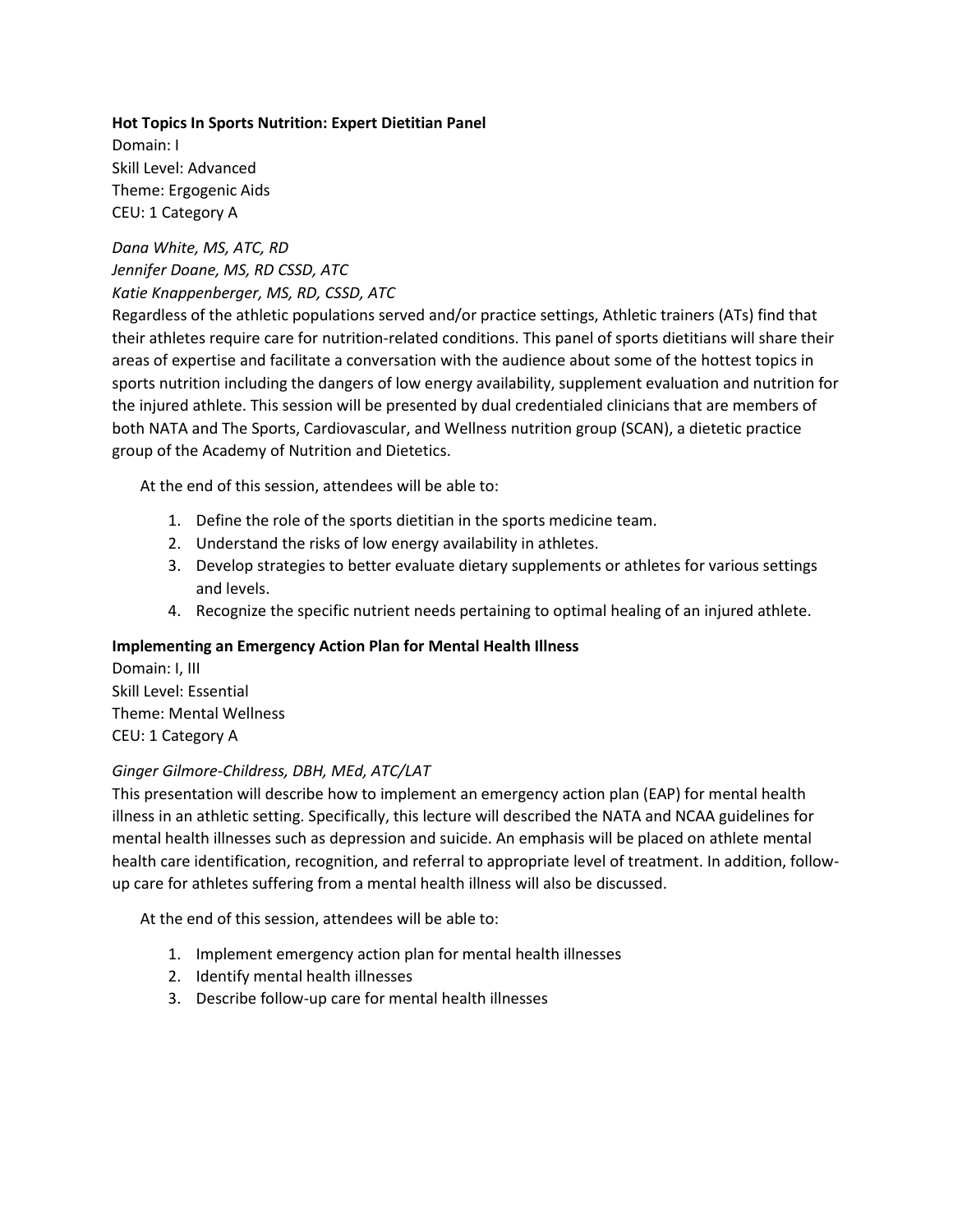## **Hot Topics In Sports Nutrition: Expert Dietitian Panel** Domain: I Skill Level: Advanced Theme: Ergogenic Aids CEU: 1 Category A

## *Dana White, MS, ATC, RD Jennifer Doane, MS, RD CSSD, ATC Katie Knappenberger, MS, RD, CSSD, ATC*

Regardless of the athletic populations served and/or practice settings, Athletic trainers (ATs) find that their athletes require care for nutrition-related conditions. This panel of sports dietitians will share their areas of expertise and facilitate a conversation with the audience about some of the hottest topics in sports nutrition including the dangers of low energy availability, supplement evaluation and nutrition for the injured athlete. This session will be presented by dual credentialed clinicians that are members of both NATA and The Sports, Cardiovascular, and Wellness nutrition group (SCAN), a dietetic practice group of the Academy of Nutrition and Dietetics.

At the end of this session, attendees will be able to:

- 1. Define the role of the sports dietitian in the sports medicine team.
- 2. Understand the risks of low energy availability in athletes.
- 3. Develop strategies to better evaluate dietary supplements or athletes for various settings and levels.
- 4. Recognize the specific nutrient needs pertaining to optimal healing of an injured athlete.

#### **Implementing an Emergency Action Plan for Mental Health Illness**

Domain: I, III Skill Level: Essential Theme: Mental Wellness CEU: 1 Category A

#### *Ginger Gilmore-Childress, DBH, MEd, ATC/LAT*

This presentation will describe how to implement an emergency action plan (EAP) for mental health illness in an athletic setting. Specifically, this lecture will described the NATA and NCAA guidelines for mental health illnesses such as depression and suicide. An emphasis will be placed on athlete mental health care identification, recognition, and referral to appropriate level of treatment. In addition, followup care for athletes suffering from a mental health illness will also be discussed.

- 1. Implement emergency action plan for mental health illnesses
- 2. Identify mental health illnesses
- 3. Describe follow-up care for mental health illnesses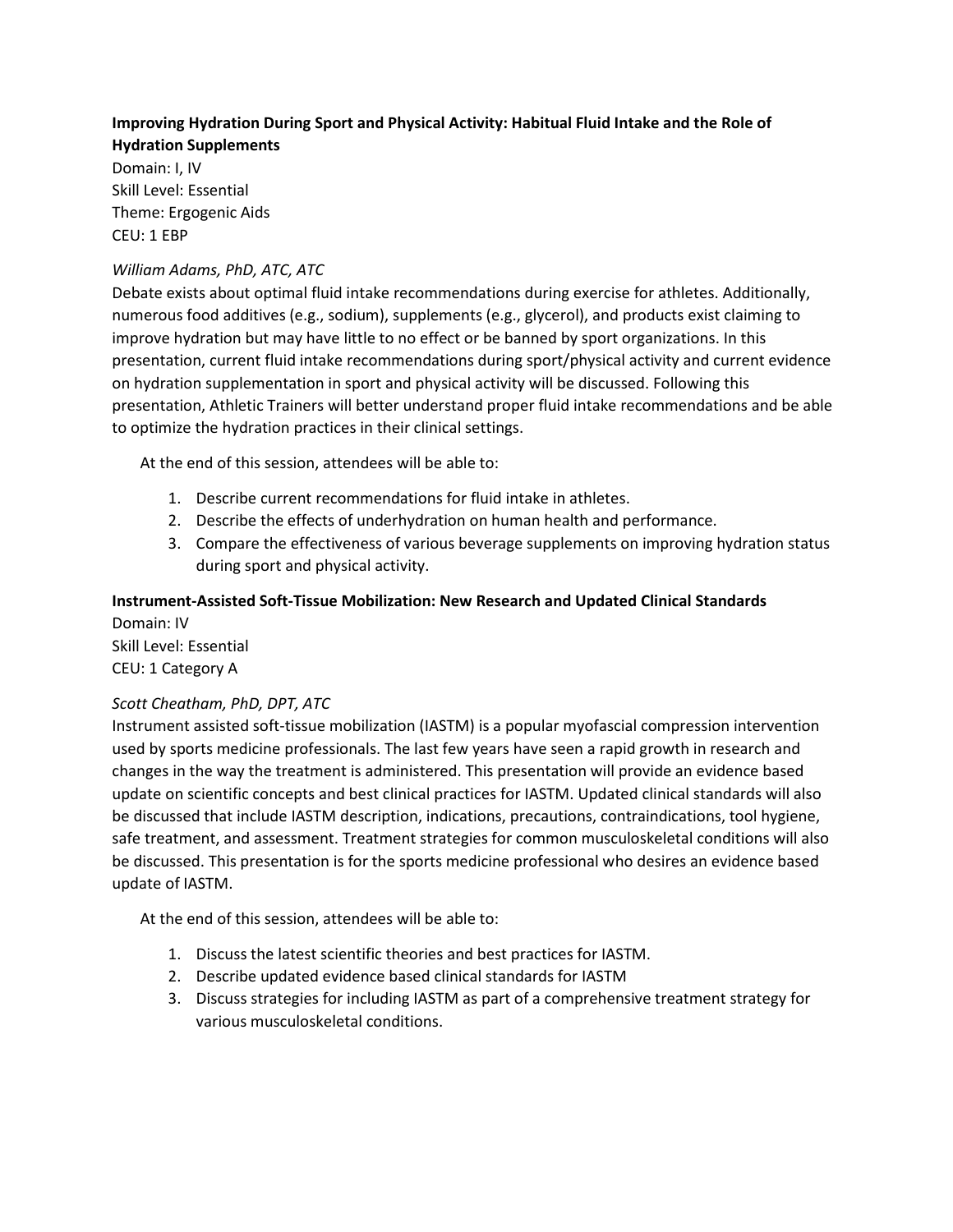## **Improving Hydration During Sport and Physical Activity: Habitual Fluid Intake and the Role of Hydration Supplements**

Domain: I, IV Skill Level: Essential Theme: Ergogenic Aids CEU: 1 EBP

## *William Adams, PhD, ATC, ATC*

Debate exists about optimal fluid intake recommendations during exercise for athletes. Additionally, numerous food additives (e.g., sodium), supplements (e.g., glycerol), and products exist claiming to improve hydration but may have little to no effect or be banned by sport organizations. In this presentation, current fluid intake recommendations during sport/physical activity and current evidence on hydration supplementation in sport and physical activity will be discussed. Following this presentation, Athletic Trainers will better understand proper fluid intake recommendations and be able to optimize the hydration practices in their clinical settings.

At the end of this session, attendees will be able to:

- 1. Describe current recommendations for fluid intake in athletes.
- 2. Describe the effects of underhydration on human health and performance.
- 3. Compare the effectiveness of various beverage supplements on improving hydration status during sport and physical activity.

## **Instrument-Assisted Soft-Tissue Mobilization: New Research and Updated Clinical Standards**

Domain: IV Skill Level: Essential CEU: 1 Category A

## *Scott Cheatham, PhD, DPT, ATC*

Instrument assisted soft-tissue mobilization (IASTM) is a popular myofascial compression intervention used by sports medicine professionals. The last few years have seen a rapid growth in research and changes in the way the treatment is administered. This presentation will provide an evidence based update on scientific concepts and best clinical practices for IASTM. Updated clinical standards will also be discussed that include IASTM description, indications, precautions, contraindications, tool hygiene, safe treatment, and assessment. Treatment strategies for common musculoskeletal conditions will also be discussed. This presentation is for the sports medicine professional who desires an evidence based update of IASTM.

- 1. Discuss the latest scientific theories and best practices for IASTM.
- 2. Describe updated evidence based clinical standards for IASTM
- 3. Discuss strategies for including IASTM as part of a comprehensive treatment strategy for various musculoskeletal conditions.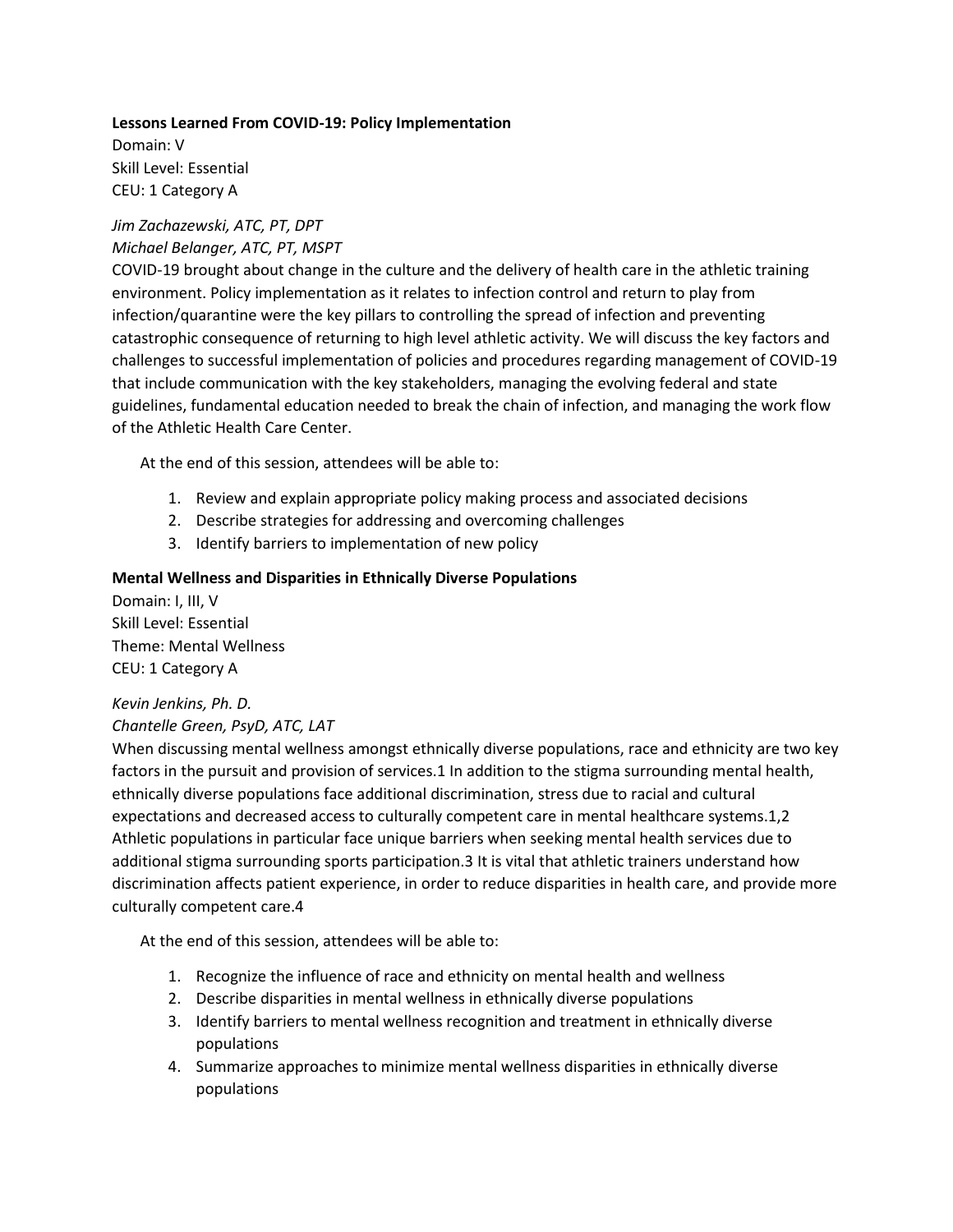#### **Lessons Learned From COVID-19: Policy Implementation**

Domain: V Skill Level: Essential CEU: 1 Category A

#### *Jim Zachazewski, ATC, PT, DPT Michael Belanger, ATC, PT, MSPT*

COVID-19 brought about change in the culture and the delivery of health care in the athletic training environment. Policy implementation as it relates to infection control and return to play from infection/quarantine were the key pillars to controlling the spread of infection and preventing catastrophic consequence of returning to high level athletic activity. We will discuss the key factors and challenges to successful implementation of policies and procedures regarding management of COVID-19 that include communication with the key stakeholders, managing the evolving federal and state guidelines, fundamental education needed to break the chain of infection, and managing the work flow of the Athletic Health Care Center.

At the end of this session, attendees will be able to:

- 1. Review and explain appropriate policy making process and associated decisions
- 2. Describe strategies for addressing and overcoming challenges
- 3. Identify barriers to implementation of new policy

#### **Mental Wellness and Disparities in Ethnically Diverse Populations**

Domain: I, III, V Skill Level: Essential Theme: Mental Wellness CEU: 1 Category A

#### *Kevin Jenkins, Ph. D.*

#### *Chantelle Green, PsyD, ATC, LAT*

When discussing mental wellness amongst ethnically diverse populations, race and ethnicity are two key factors in the pursuit and provision of services.1 In addition to the stigma surrounding mental health, ethnically diverse populations face additional discrimination, stress due to racial and cultural expectations and decreased access to culturally competent care in mental healthcare systems.1,2 Athletic populations in particular face unique barriers when seeking mental health services due to additional stigma surrounding sports participation.3 It is vital that athletic trainers understand how discrimination affects patient experience, in order to reduce disparities in health care, and provide more culturally competent care.4

- 1. Recognize the influence of race and ethnicity on mental health and wellness
- 2. Describe disparities in mental wellness in ethnically diverse populations
- 3. Identify barriers to mental wellness recognition and treatment in ethnically diverse populations
- 4. Summarize approaches to minimize mental wellness disparities in ethnically diverse populations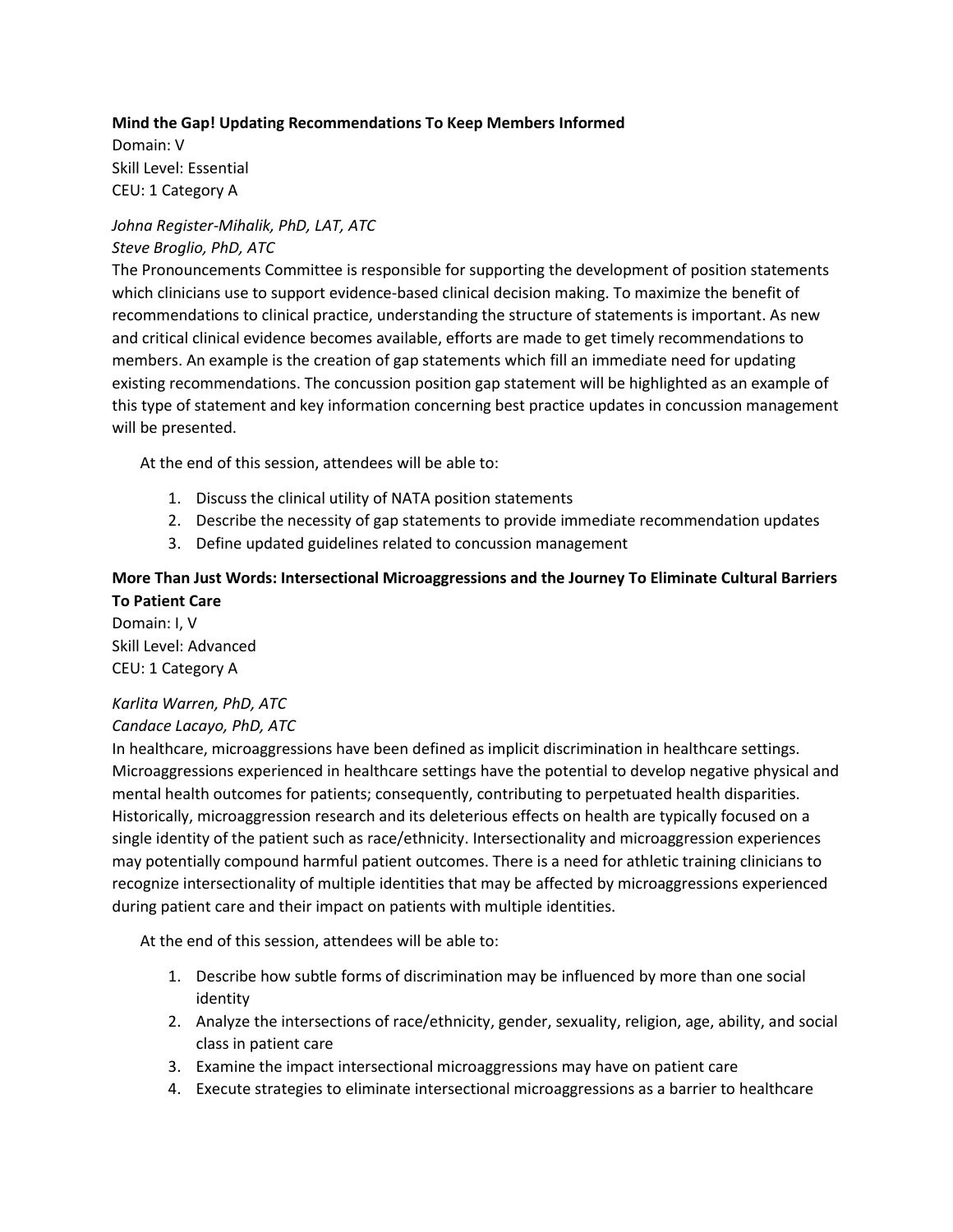#### **Mind the Gap! Updating Recommendations To Keep Members Informed**

Domain: V Skill Level: Essential CEU: 1 Category A

## *Johna Register-Mihalik, PhD, LAT, ATC Steve Broglio, PhD, ATC*

The Pronouncements Committee is responsible for supporting the development of position statements which clinicians use to support evidence-based clinical decision making. To maximize the benefit of recommendations to clinical practice, understanding the structure of statements is important. As new and critical clinical evidence becomes available, efforts are made to get timely recommendations to members. An example is the creation of gap statements which fill an immediate need for updating existing recommendations. The concussion position gap statement will be highlighted as an example of this type of statement and key information concerning best practice updates in concussion management will be presented.

At the end of this session, attendees will be able to:

- 1. Discuss the clinical utility of NATA position statements
- 2. Describe the necessity of gap statements to provide immediate recommendation updates
- 3. Define updated guidelines related to concussion management

## **More Than Just Words: Intersectional Microaggressions and the Journey To Eliminate Cultural Barriers To Patient Care**

Domain: I, V Skill Level: Advanced CEU: 1 Category A

#### *Karlita Warren, PhD, ATC*

#### *Candace Lacayo, PhD, ATC*

In healthcare, microaggressions have been defined as implicit discrimination in healthcare settings. Microaggressions experienced in healthcare settings have the potential to develop negative physical and mental health outcomes for patients; consequently, contributing to perpetuated health disparities. Historically, microaggression research and its deleterious effects on health are typically focused on a single identity of the patient such as race/ethnicity. Intersectionality and microaggression experiences may potentially compound harmful patient outcomes. There is a need for athletic training clinicians to recognize intersectionality of multiple identities that may be affected by microaggressions experienced during patient care and their impact on patients with multiple identities.

- 1. Describe how subtle forms of discrimination may be influenced by more than one social identity
- 2. Analyze the intersections of race/ethnicity, gender, sexuality, religion, age, ability, and social class in patient care
- 3. Examine the impact intersectional microaggressions may have on patient care
- 4. Execute strategies to eliminate intersectional microaggressions as a barrier to healthcare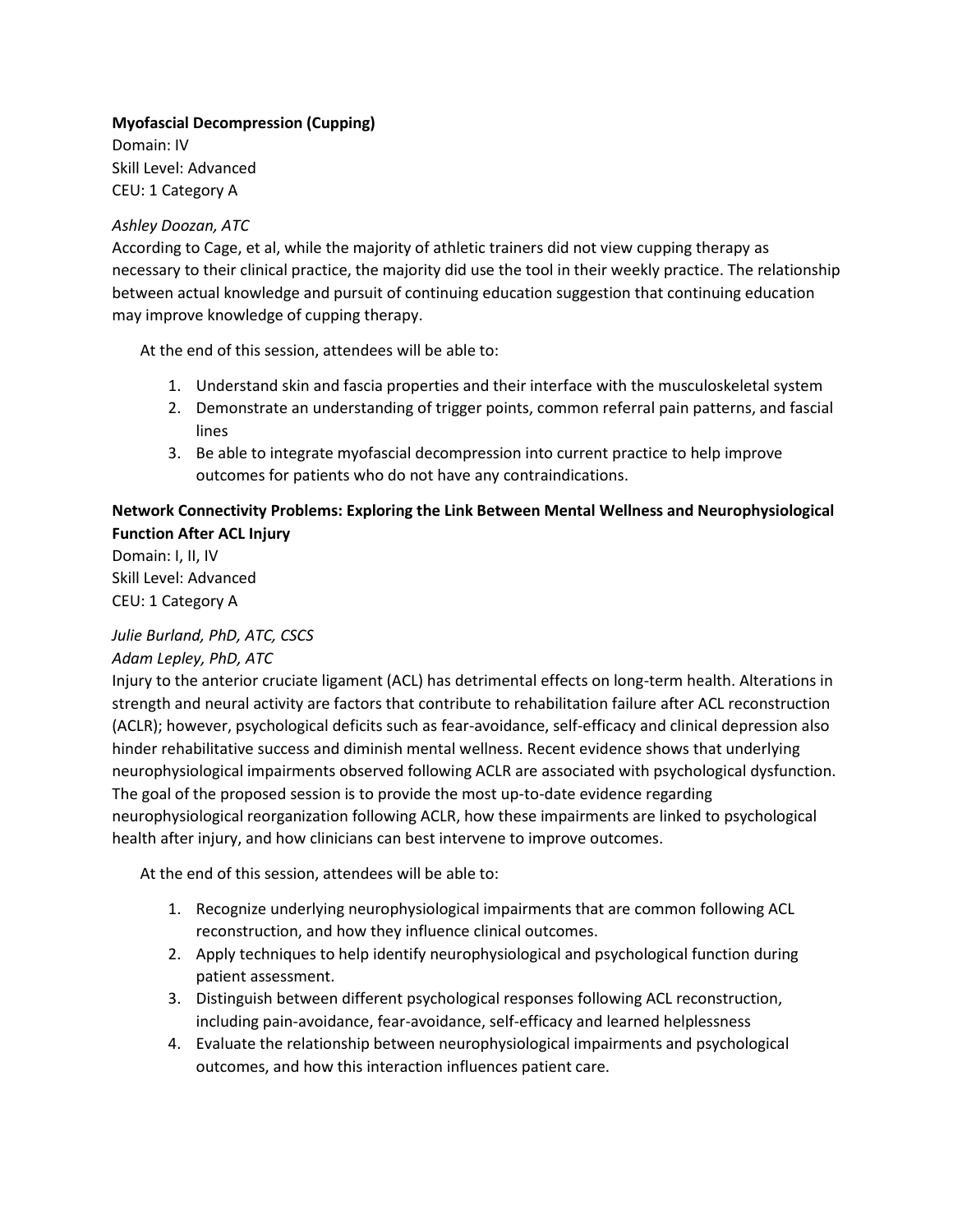## **Myofascial Decompression (Cupping)**

Domain: IV Skill Level: Advanced CEU: 1 Category A

#### *Ashley Doozan, ATC*

According to Cage, et al, while the majority of athletic trainers did not view cupping therapy as necessary to their clinical practice, the majority did use the tool in their weekly practice. The relationship between actual knowledge and pursuit of continuing education suggestion that continuing education may improve knowledge of cupping therapy.

At the end of this session, attendees will be able to:

- 1. Understand skin and fascia properties and their interface with the musculoskeletal system
- 2. Demonstrate an understanding of trigger points, common referral pain patterns, and fascial lines
- 3. Be able to integrate myofascial decompression into current practice to help improve outcomes for patients who do not have any contraindications.

## **Network Connectivity Problems: Exploring the Link Between Mental Wellness and Neurophysiological Function After ACL Injury**

Domain: I, II, IV Skill Level: Advanced CEU: 1 Category A

## *Julie Burland, PhD, ATC, CSCS*

## *Adam Lepley, PhD, ATC*

Injury to the anterior cruciate ligament (ACL) has detrimental effects on long-term health. Alterations in strength and neural activity are factors that contribute to rehabilitation failure after ACL reconstruction (ACLR); however, psychological deficits such as fear-avoidance, self-efficacy and clinical depression also hinder rehabilitative success and diminish mental wellness. Recent evidence shows that underlying neurophysiological impairments observed following ACLR are associated with psychological dysfunction. The goal of the proposed session is to provide the most up-to-date evidence regarding neurophysiological reorganization following ACLR, how these impairments are linked to psychological health after injury, and how clinicians can best intervene to improve outcomes.

- 1. Recognize underlying neurophysiological impairments that are common following ACL reconstruction, and how they influence clinical outcomes.
- 2. Apply techniques to help identify neurophysiological and psychological function during patient assessment.
- 3. Distinguish between different psychological responses following ACL reconstruction, including pain-avoidance, fear-avoidance, self-efficacy and learned helplessness
- 4. Evaluate the relationship between neurophysiological impairments and psychological outcomes, and how this interaction influences patient care.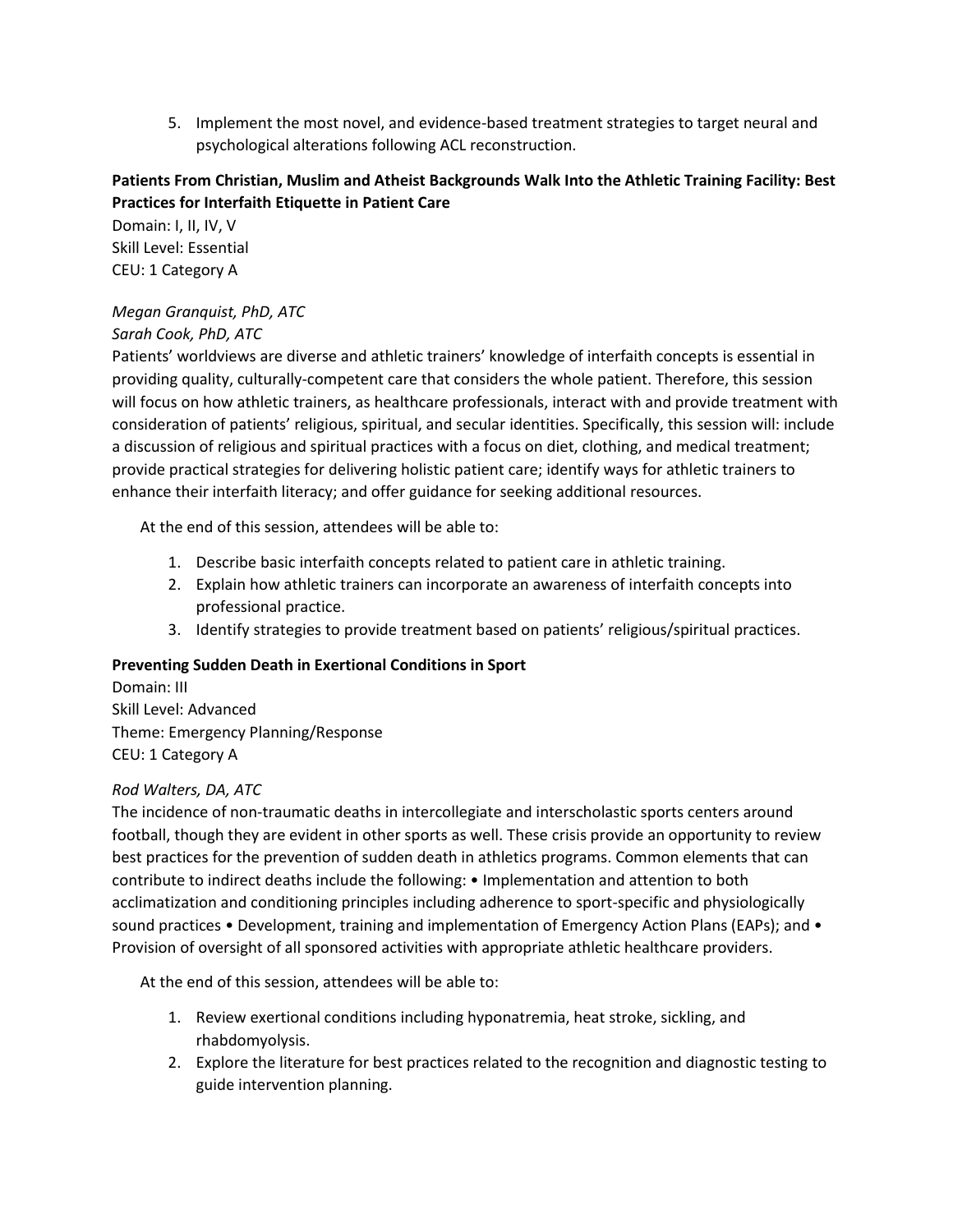5. Implement the most novel, and evidence-based treatment strategies to target neural and psychological alterations following ACL reconstruction.

## **Patients From Christian, Muslim and Atheist Backgrounds Walk Into the Athletic Training Facility: Best Practices for Interfaith Etiquette in Patient Care**

Domain: I, II, IV, V Skill Level: Essential CEU: 1 Category A

## *Megan Granquist, PhD, ATC*

## *Sarah Cook, PhD, ATC*

Patients' worldviews are diverse and athletic trainers' knowledge of interfaith concepts is essential in providing quality, culturally-competent care that considers the whole patient. Therefore, this session will focus on how athletic trainers, as healthcare professionals, interact with and provide treatment with consideration of patients' religious, spiritual, and secular identities. Specifically, this session will: include a discussion of religious and spiritual practices with a focus on diet, clothing, and medical treatment; provide practical strategies for delivering holistic patient care; identify ways for athletic trainers to enhance their interfaith literacy; and offer guidance for seeking additional resources.

At the end of this session, attendees will be able to:

- 1. Describe basic interfaith concepts related to patient care in athletic training.
- 2. Explain how athletic trainers can incorporate an awareness of interfaith concepts into professional practice.
- 3. Identify strategies to provide treatment based on patients' religious/spiritual practices.

## **Preventing Sudden Death in Exertional Conditions in Sport**

Domain: III Skill Level: Advanced Theme: Emergency Planning/Response CEU: 1 Category A

## *Rod Walters, DA, ATC*

The incidence of non-traumatic deaths in intercollegiate and interscholastic sports centers around football, though they are evident in other sports as well. These crisis provide an opportunity to review best practices for the prevention of sudden death in athletics programs. Common elements that can contribute to indirect deaths include the following: • Implementation and attention to both acclimatization and conditioning principles including adherence to sport-specific and physiologically sound practices • Development, training and implementation of Emergency Action Plans (EAPs); and • Provision of oversight of all sponsored activities with appropriate athletic healthcare providers.

- 1. Review exertional conditions including hyponatremia, heat stroke, sickling, and rhabdomyolysis.
- 2. Explore the literature for best practices related to the recognition and diagnostic testing to guide intervention planning.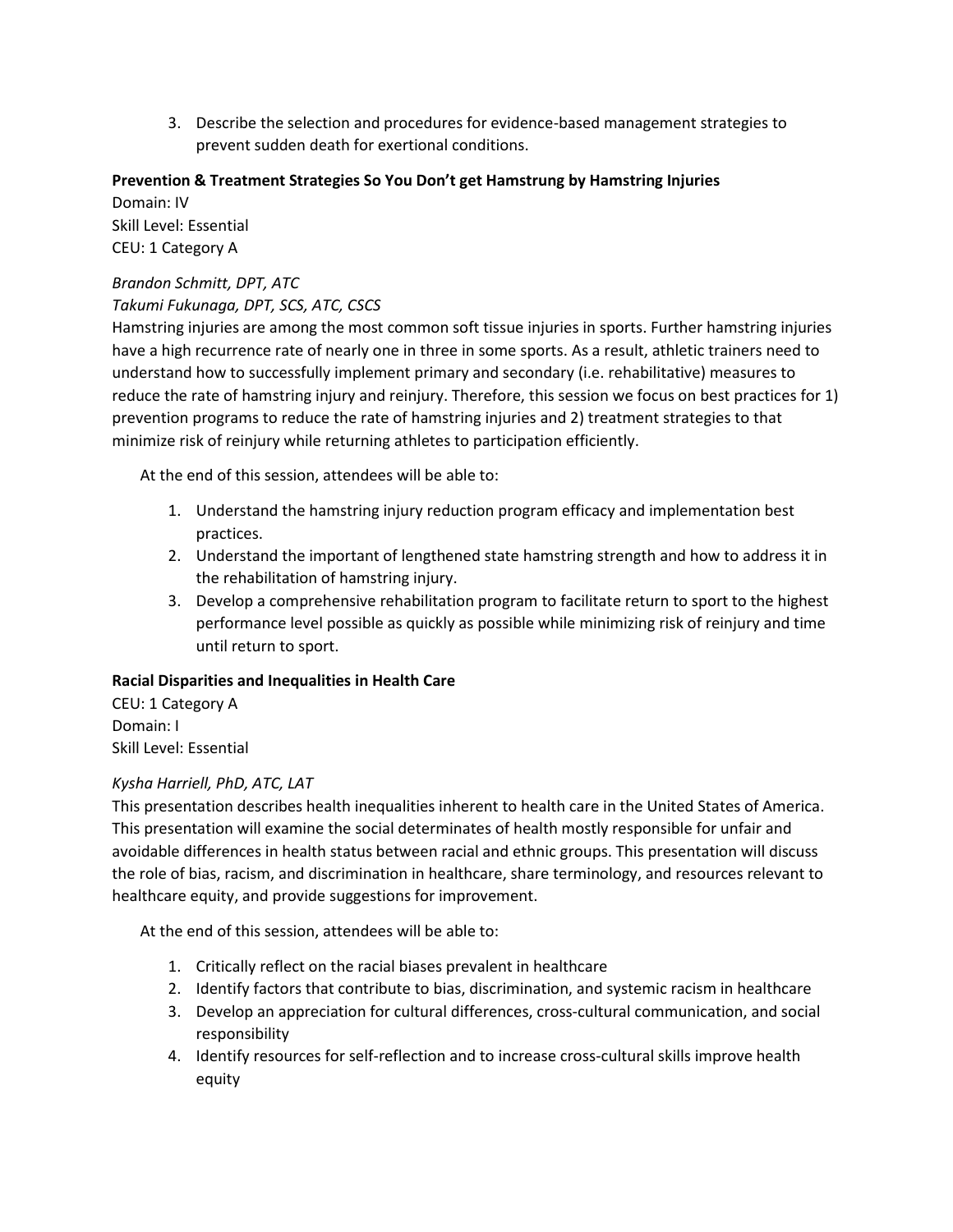3. Describe the selection and procedures for evidence-based management strategies to prevent sudden death for exertional conditions.

#### **Prevention & Treatment Strategies So You Don't get Hamstrung by Hamstring Injuries**

Domain: IV Skill Level: Essential CEU: 1 Category A

## *Brandon Schmitt, DPT, ATC*

#### *Takumi Fukunaga, DPT, SCS, ATC, CSCS*

Hamstring injuries are among the most common soft tissue injuries in sports. Further hamstring injuries have a high recurrence rate of nearly one in three in some sports. As a result, athletic trainers need to understand how to successfully implement primary and secondary (i.e. rehabilitative) measures to reduce the rate of hamstring injury and reinjury. Therefore, this session we focus on best practices for 1) prevention programs to reduce the rate of hamstring injuries and 2) treatment strategies to that minimize risk of reinjury while returning athletes to participation efficiently.

At the end of this session, attendees will be able to:

- 1. Understand the hamstring injury reduction program efficacy and implementation best practices.
- 2. Understand the important of lengthened state hamstring strength and how to address it in the rehabilitation of hamstring injury.
- 3. Develop a comprehensive rehabilitation program to facilitate return to sport to the highest performance level possible as quickly as possible while minimizing risk of reinjury and time until return to sport.

#### **Racial Disparities and Inequalities in Health Care**

CEU: 1 Category A Domain: I Skill Level: Essential

## *Kysha Harriell, PhD, ATC, LAT*

This presentation describes health inequalities inherent to health care in the United States of America. This presentation will examine the social determinates of health mostly responsible for unfair and avoidable differences in health status between racial and ethnic groups. This presentation will discuss the role of bias, racism, and discrimination in healthcare, share terminology, and resources relevant to healthcare equity, and provide suggestions for improvement.

- 1. Critically reflect on the racial biases prevalent in healthcare
- 2. Identify factors that contribute to bias, discrimination, and systemic racism in healthcare
- 3. Develop an appreciation for cultural differences, cross-cultural communication, and social responsibility
- 4. Identify resources for self-reflection and to increase cross-cultural skills improve health equity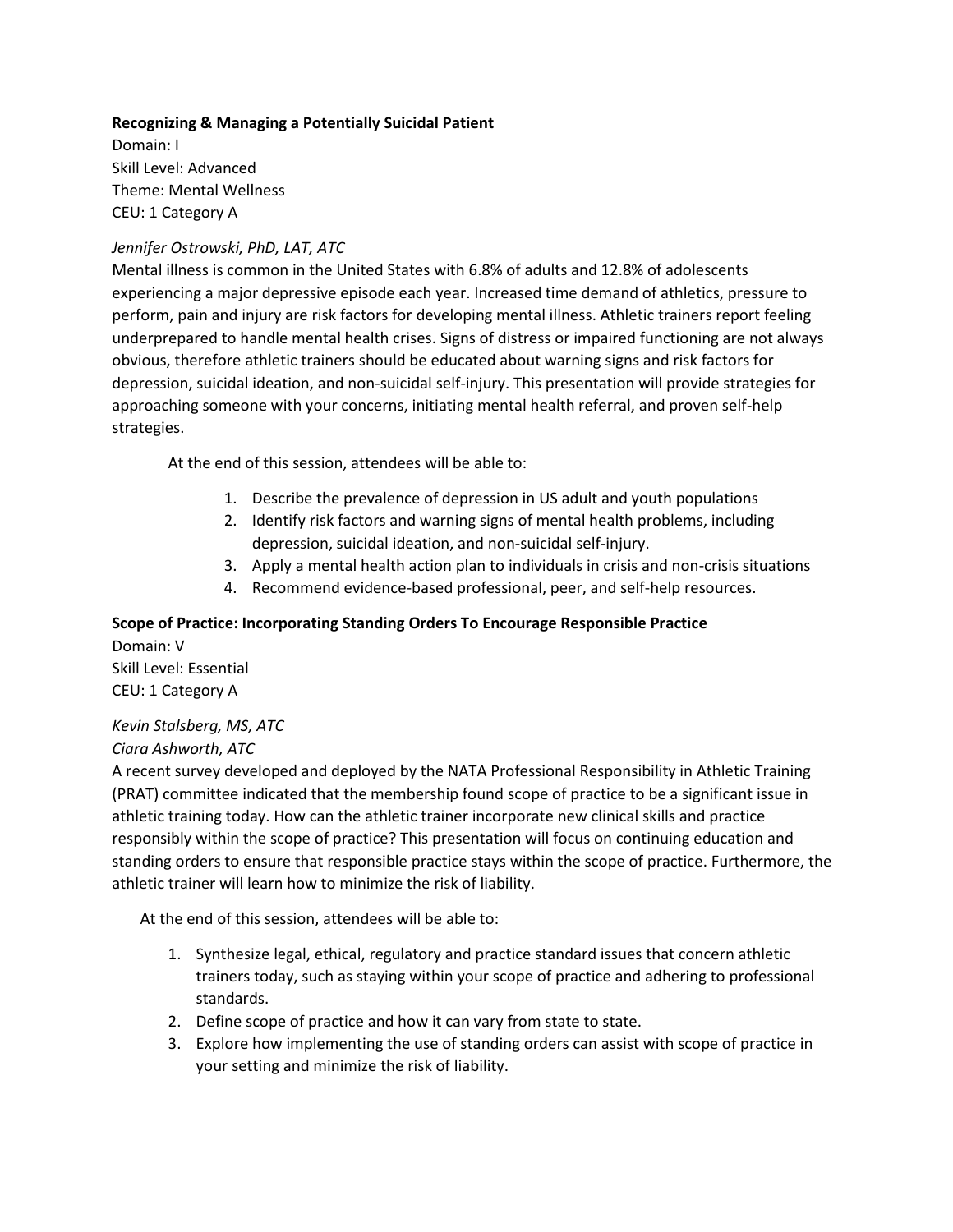## **Recognizing & Managing a Potentially Suicidal Patient**

Domain: I Skill Level: Advanced Theme: Mental Wellness CEU: 1 Category A

#### *Jennifer Ostrowski, PhD, LAT, ATC*

Mental illness is common in the United States with 6.8% of adults and 12.8% of adolescents experiencing a major depressive episode each year. Increased time demand of athletics, pressure to perform, pain and injury are risk factors for developing mental illness. Athletic trainers report feeling underprepared to handle mental health crises. Signs of distress or impaired functioning are not always obvious, therefore athletic trainers should be educated about warning signs and risk factors for depression, suicidal ideation, and non-suicidal self-injury. This presentation will provide strategies for approaching someone with your concerns, initiating mental health referral, and proven self-help strategies.

At the end of this session, attendees will be able to:

- 1. Describe the prevalence of depression in US adult and youth populations
- 2. Identify risk factors and warning signs of mental health problems, including depression, suicidal ideation, and non-suicidal self-injury.
- 3. Apply a mental health action plan to individuals in crisis and non-crisis situations
- 4. Recommend evidence-based professional, peer, and self-help resources.

#### **Scope of Practice: Incorporating Standing Orders To Encourage Responsible Practice** Domain: V

Skill Level: Essential CEU: 1 Category A

#### *Kevin Stalsberg, MS, ATC Ciara Ashworth, ATC*

A recent survey developed and deployed by the NATA Professional Responsibility in Athletic Training (PRAT) committee indicated that the membership found scope of practice to be a significant issue in athletic training today. How can the athletic trainer incorporate new clinical skills and practice responsibly within the scope of practice? This presentation will focus on continuing education and standing orders to ensure that responsible practice stays within the scope of practice. Furthermore, the athletic trainer will learn how to minimize the risk of liability.

- 1. Synthesize legal, ethical, regulatory and practice standard issues that concern athletic trainers today, such as staying within your scope of practice and adhering to professional standards.
- 2. Define scope of practice and how it can vary from state to state.
- 3. Explore how implementing the use of standing orders can assist with scope of practice in your setting and minimize the risk of liability.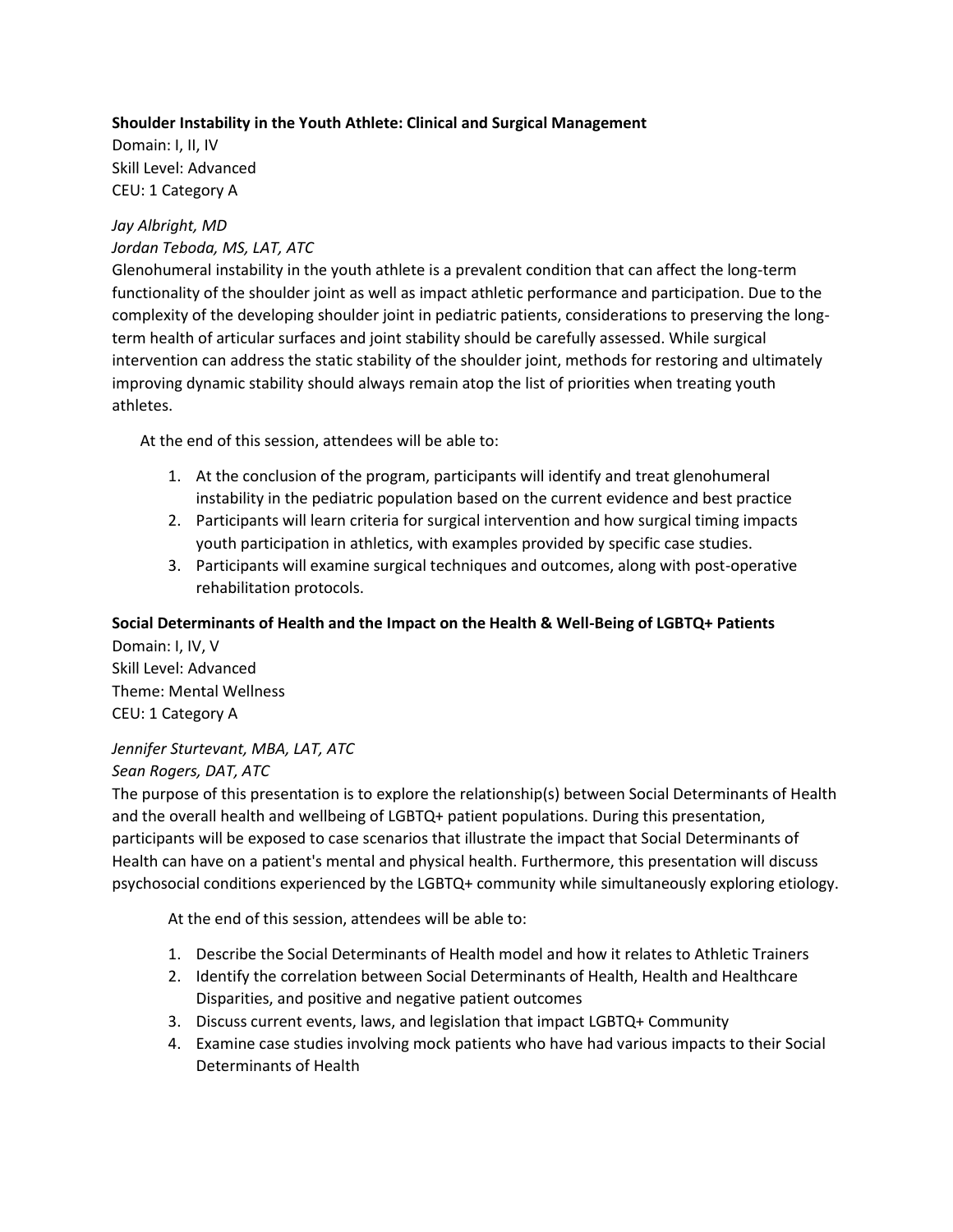## **Shoulder Instability in the Youth Athlete: Clinical and Surgical Management**

Domain: I, II, IV Skill Level: Advanced CEU: 1 Category A

## *Jay Albright, MD*

## *Jordan Teboda, MS, LAT, ATC*

Glenohumeral instability in the youth athlete is a prevalent condition that can affect the long-term functionality of the shoulder joint as well as impact athletic performance and participation. Due to the complexity of the developing shoulder joint in pediatric patients, considerations to preserving the longterm health of articular surfaces and joint stability should be carefully assessed. While surgical intervention can address the static stability of the shoulder joint, methods for restoring and ultimately improving dynamic stability should always remain atop the list of priorities when treating youth athletes.

At the end of this session, attendees will be able to:

- 1. At the conclusion of the program, participants will identify and treat glenohumeral instability in the pediatric population based on the current evidence and best practice
- 2. Participants will learn criteria for surgical intervention and how surgical timing impacts youth participation in athletics, with examples provided by specific case studies.
- 3. Participants will examine surgical techniques and outcomes, along with post-operative rehabilitation protocols.

#### **Social Determinants of Health and the Impact on the Health & Well-Being of LGBTQ+ Patients**

Domain: I, IV, V Skill Level: Advanced Theme: Mental Wellness CEU: 1 Category A

## *Jennifer Sturtevant, MBA, LAT, ATC*

#### *Sean Rogers, DAT, ATC*

The purpose of this presentation is to explore the relationship(s) between Social Determinants of Health and the overall health and wellbeing of LGBTQ+ patient populations. During this presentation, participants will be exposed to case scenarios that illustrate the impact that Social Determinants of Health can have on a patient's mental and physical health. Furthermore, this presentation will discuss psychosocial conditions experienced by the LGBTQ+ community while simultaneously exploring etiology.

- 1. Describe the Social Determinants of Health model and how it relates to Athletic Trainers
- 2. Identify the correlation between Social Determinants of Health, Health and Healthcare Disparities, and positive and negative patient outcomes
- 3. Discuss current events, laws, and legislation that impact LGBTQ+ Community
- 4. Examine case studies involving mock patients who have had various impacts to their Social Determinants of Health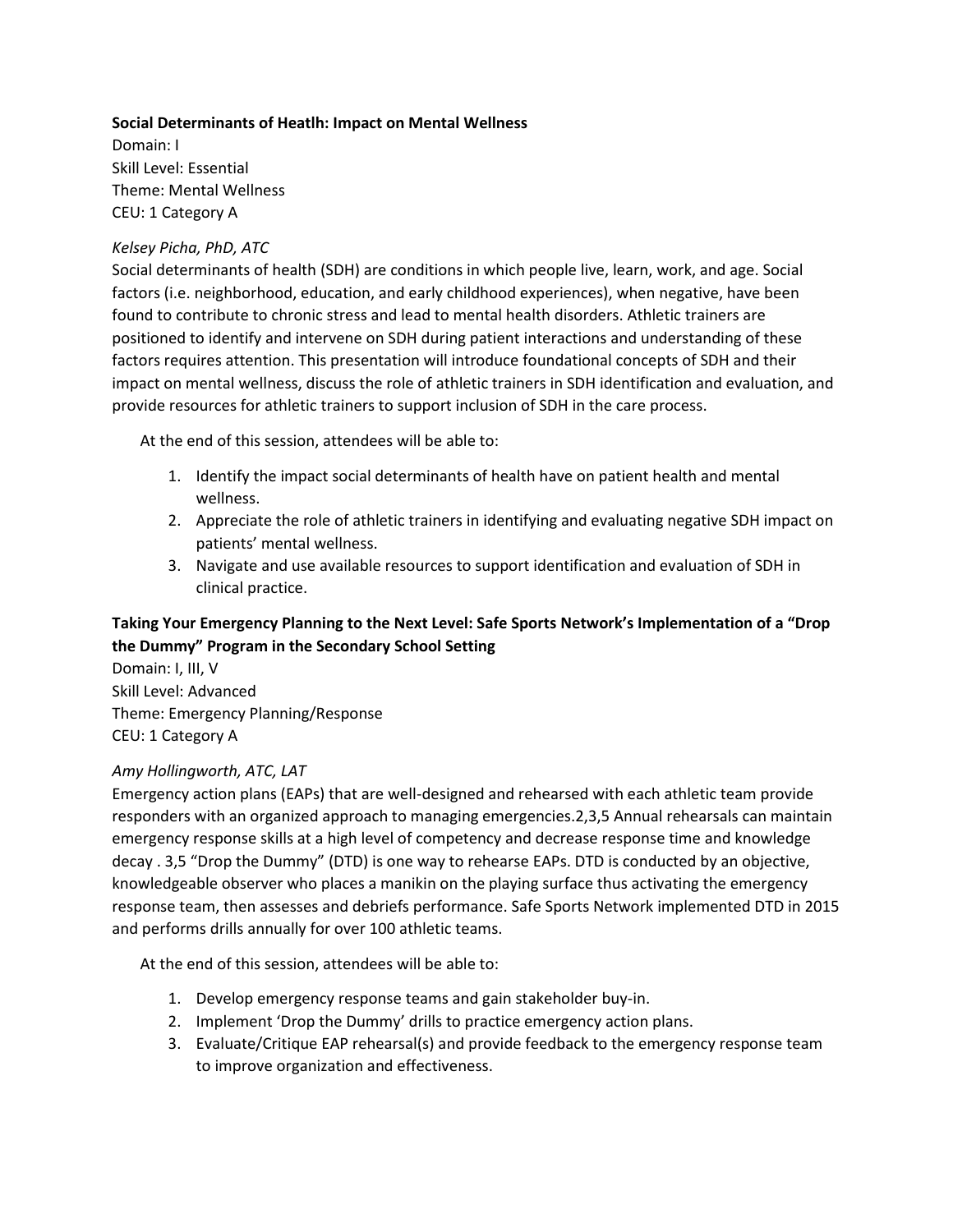#### **Social Determinants of Heatlh: Impact on Mental Wellness**

Domain: I Skill Level: Essential Theme: Mental Wellness CEU: 1 Category A

#### *Kelsey Picha, PhD, ATC*

Social determinants of health (SDH) are conditions in which people live, learn, work, and age. Social factors (i.e. neighborhood, education, and early childhood experiences), when negative, have been found to contribute to chronic stress and lead to mental health disorders. Athletic trainers are positioned to identify and intervene on SDH during patient interactions and understanding of these factors requires attention. This presentation will introduce foundational concepts of SDH and their impact on mental wellness, discuss the role of athletic trainers in SDH identification and evaluation, and provide resources for athletic trainers to support inclusion of SDH in the care process.

At the end of this session, attendees will be able to:

- 1. Identify the impact social determinants of health have on patient health and mental wellness.
- 2. Appreciate the role of athletic trainers in identifying and evaluating negative SDH impact on patients' mental wellness.
- 3. Navigate and use available resources to support identification and evaluation of SDH in clinical practice.

## **Taking Your Emergency Planning to the Next Level: Safe Sports Network's Implementation of a "Drop the Dummy" Program in the Secondary School Setting**

Domain: I, III, V Skill Level: Advanced Theme: Emergency Planning/Response CEU: 1 Category A

## *Amy Hollingworth, ATC, LAT*

Emergency action plans (EAPs) that are well-designed and rehearsed with each athletic team provide responders with an organized approach to managing emergencies.2,3,5 Annual rehearsals can maintain emergency response skills at a high level of competency and decrease response time and knowledge decay . 3,5 "Drop the Dummy" (DTD) is one way to rehearse EAPs. DTD is conducted by an objective, knowledgeable observer who places a manikin on the playing surface thus activating the emergency response team, then assesses and debriefs performance. Safe Sports Network implemented DTD in 2015 and performs drills annually for over 100 athletic teams.

- 1. Develop emergency response teams and gain stakeholder buy-in.
- 2. Implement 'Drop the Dummy' drills to practice emergency action plans.
- 3. Evaluate/Critique EAP rehearsal(s) and provide feedback to the emergency response team to improve organization and effectiveness.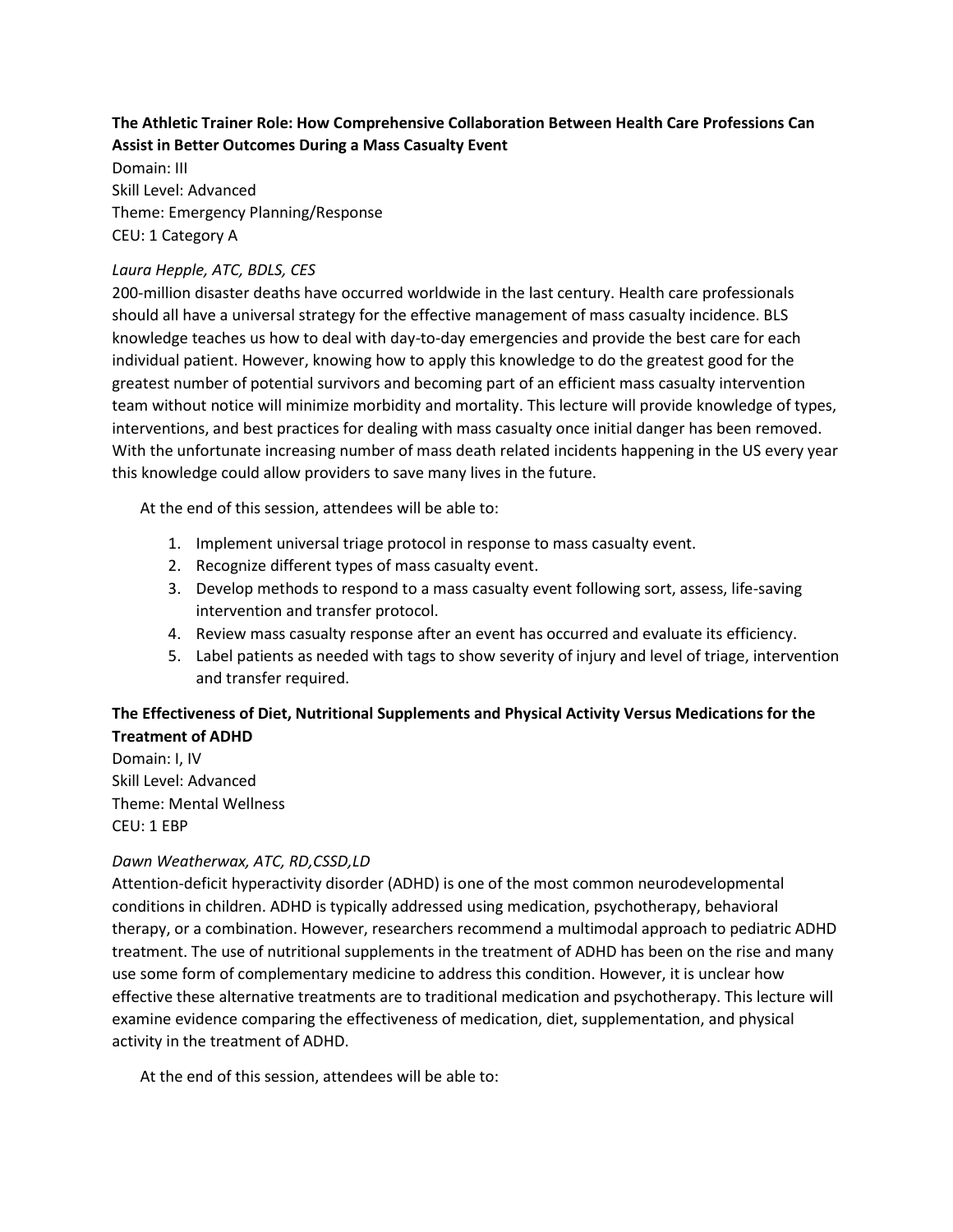## **The Athletic Trainer Role: How Comprehensive Collaboration Between Health Care Professions Can Assist in Better Outcomes During a Mass Casualty Event**

Domain: III Skill Level: Advanced Theme: Emergency Planning/Response CEU: 1 Category A

#### *Laura Hepple, ATC, BDLS, CES*

200-million disaster deaths have occurred worldwide in the last century. Health care professionals should all have a universal strategy for the effective management of mass casualty incidence. BLS knowledge teaches us how to deal with day-to-day emergencies and provide the best care for each individual patient. However, knowing how to apply this knowledge to do the greatest good for the greatest number of potential survivors and becoming part of an efficient mass casualty intervention team without notice will minimize morbidity and mortality. This lecture will provide knowledge of types, interventions, and best practices for dealing with mass casualty once initial danger has been removed. With the unfortunate increasing number of mass death related incidents happening in the US every year this knowledge could allow providers to save many lives in the future.

At the end of this session, attendees will be able to:

- 1. Implement universal triage protocol in response to mass casualty event.
- 2. Recognize different types of mass casualty event.
- 3. Develop methods to respond to a mass casualty event following sort, assess, life-saving intervention and transfer protocol.
- 4. Review mass casualty response after an event has occurred and evaluate its efficiency.
- 5. Label patients as needed with tags to show severity of injury and level of triage, intervention and transfer required.

## **The Effectiveness of Diet, Nutritional Supplements and Physical Activity Versus Medications for the Treatment of ADHD**

Domain: I, IV Skill Level: Advanced Theme: Mental Wellness CEU: 1 EBP

## *Dawn Weatherwax, ATC, RD,CSSD,LD*

Attention-deficit hyperactivity disorder (ADHD) is one of the most common neurodevelopmental conditions in children. ADHD is typically addressed using medication, psychotherapy, behavioral therapy, or a combination. However, researchers recommend a multimodal approach to pediatric ADHD treatment. The use of nutritional supplements in the treatment of ADHD has been on the rise and many use some form of complementary medicine to address this condition. However, it is unclear how effective these alternative treatments are to traditional medication and psychotherapy. This lecture will examine evidence comparing the effectiveness of medication, diet, supplementation, and physical activity in the treatment of ADHD.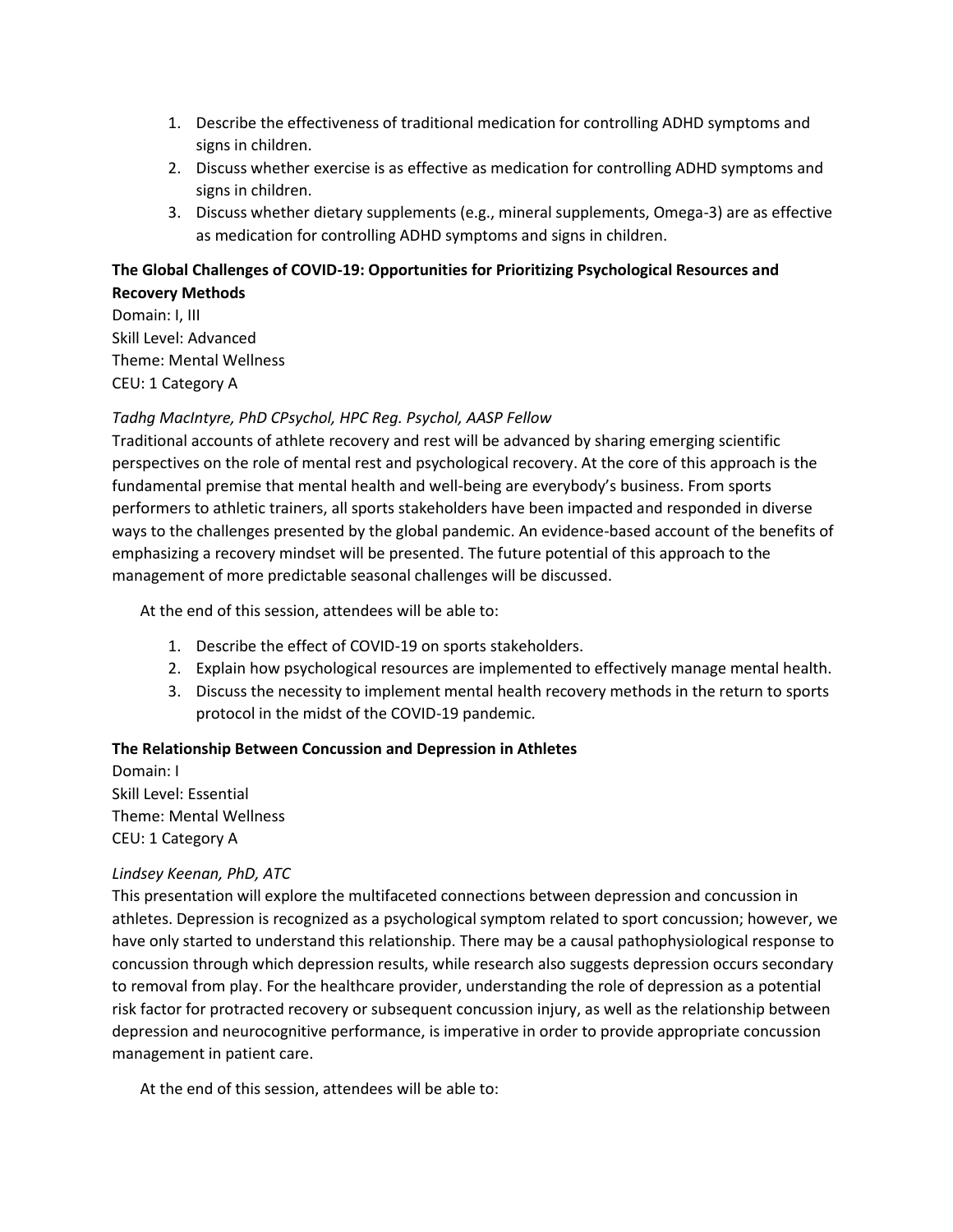- 1. Describe the effectiveness of traditional medication for controlling ADHD symptoms and signs in children.
- 2. Discuss whether exercise is as effective as medication for controlling ADHD symptoms and signs in children.
- 3. Discuss whether dietary supplements (e.g., mineral supplements, Omega-3) are as effective as medication for controlling ADHD symptoms and signs in children.

## **The Global Challenges of COVID-19: Opportunities for Prioritizing Psychological Resources and Recovery Methods**

Domain: I, III Skill Level: Advanced Theme: Mental Wellness CEU: 1 Category A

## *Tadhg MacIntyre, PhD CPsychol, HPC Reg. Psychol, AASP Fellow*

Traditional accounts of athlete recovery and rest will be advanced by sharing emerging scientific perspectives on the role of mental rest and psychological recovery. At the core of this approach is the fundamental premise that mental health and well-being are everybody's business. From sports performers to athletic trainers, all sports stakeholders have been impacted and responded in diverse ways to the challenges presented by the global pandemic. An evidence-based account of the benefits of emphasizing a recovery mindset will be presented. The future potential of this approach to the management of more predictable seasonal challenges will be discussed.

At the end of this session, attendees will be able to:

- 1. Describe the effect of COVID-19 on sports stakeholders.
- 2. Explain how psychological resources are implemented to effectively manage mental health.
- 3. Discuss the necessity to implement mental health recovery methods in the return to sports protocol in the midst of the COVID-19 pandemic.

## **The Relationship Between Concussion and Depression in Athletes**

Domain: I Skill Level: Essential Theme: Mental Wellness CEU: 1 Category A

#### *Lindsey Keenan, PhD, ATC*

This presentation will explore the multifaceted connections between depression and concussion in athletes. Depression is recognized as a psychological symptom related to sport concussion; however, we have only started to understand this relationship. There may be a causal pathophysiological response to concussion through which depression results, while research also suggests depression occurs secondary to removal from play. For the healthcare provider, understanding the role of depression as a potential risk factor for protracted recovery or subsequent concussion injury, as well as the relationship between depression and neurocognitive performance, is imperative in order to provide appropriate concussion management in patient care.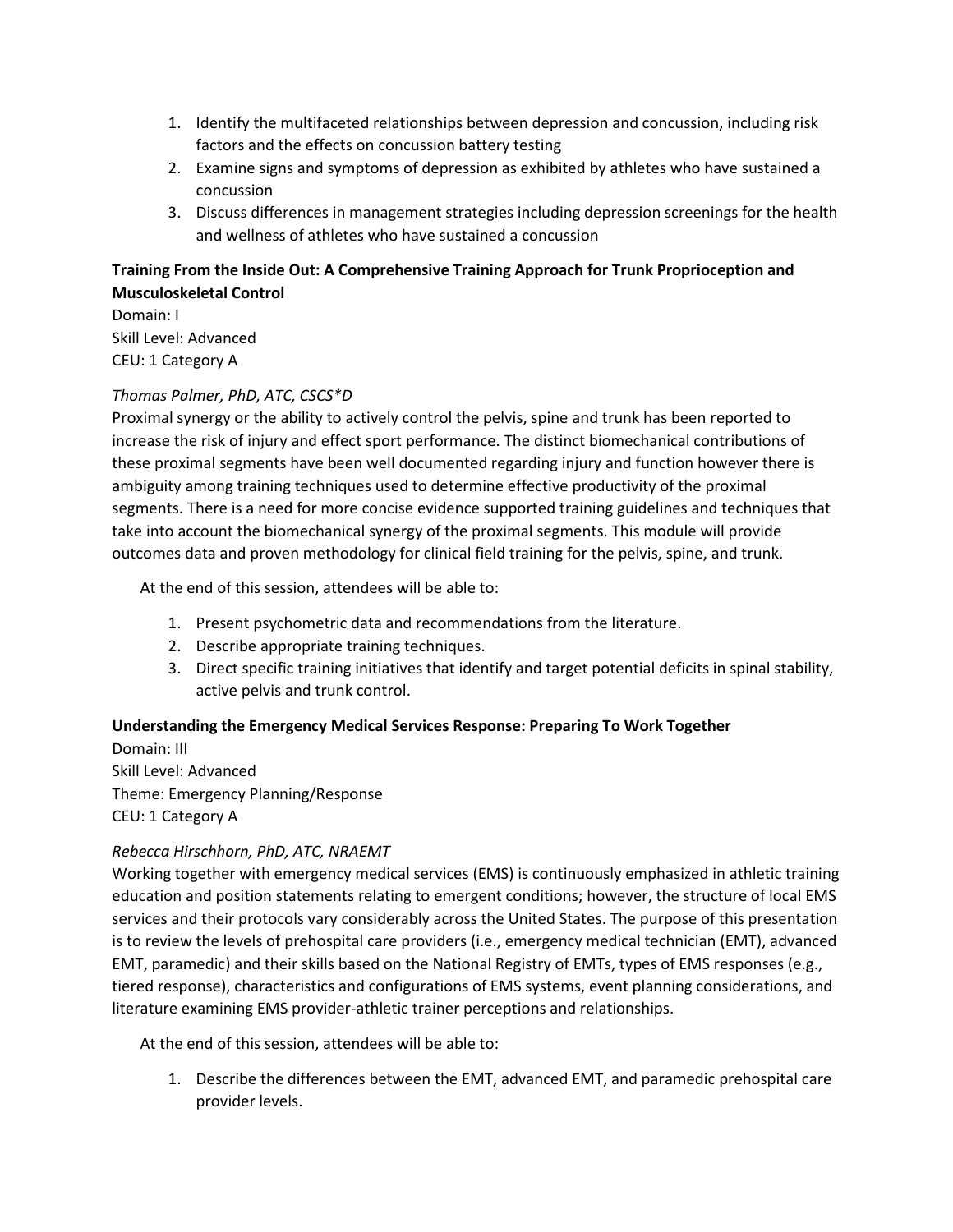- 1. Identify the multifaceted relationships between depression and concussion, including risk factors and the effects on concussion battery testing
- 2. Examine signs and symptoms of depression as exhibited by athletes who have sustained a concussion
- 3. Discuss differences in management strategies including depression screenings for the health and wellness of athletes who have sustained a concussion

## **Training From the Inside Out: A Comprehensive Training Approach for Trunk Proprioception and Musculoskeletal Control**

Domain: I Skill Level: Advanced CEU: 1 Category A

## *Thomas Palmer, PhD, ATC, CSCS\*D*

Proximal synergy or the ability to actively control the pelvis, spine and trunk has been reported to increase the risk of injury and effect sport performance. The distinct biomechanical contributions of these proximal segments have been well documented regarding injury and function however there is ambiguity among training techniques used to determine effective productivity of the proximal segments. There is a need for more concise evidence supported training guidelines and techniques that take into account the biomechanical synergy of the proximal segments. This module will provide outcomes data and proven methodology for clinical field training for the pelvis, spine, and trunk.

At the end of this session, attendees will be able to:

- 1. Present psychometric data and recommendations from the literature.
- 2. Describe appropriate training techniques.
- 3. Direct specific training initiatives that identify and target potential deficits in spinal stability, active pelvis and trunk control.

#### **Understanding the Emergency Medical Services Response: Preparing To Work Together**

Domain: III Skill Level: Advanced Theme: Emergency Planning/Response CEU: 1 Category A

#### *Rebecca Hirschhorn, PhD, ATC, NRAEMT*

Working together with emergency medical services (EMS) is continuously emphasized in athletic training education and position statements relating to emergent conditions; however, the structure of local EMS services and their protocols vary considerably across the United States. The purpose of this presentation is to review the levels of prehospital care providers (i.e., emergency medical technician (EMT), advanced EMT, paramedic) and their skills based on the National Registry of EMTs, types of EMS responses (e.g., tiered response), characteristics and configurations of EMS systems, event planning considerations, and literature examining EMS provider-athletic trainer perceptions and relationships.

At the end of this session, attendees will be able to:

1. Describe the differences between the EMT, advanced EMT, and paramedic prehospital care provider levels.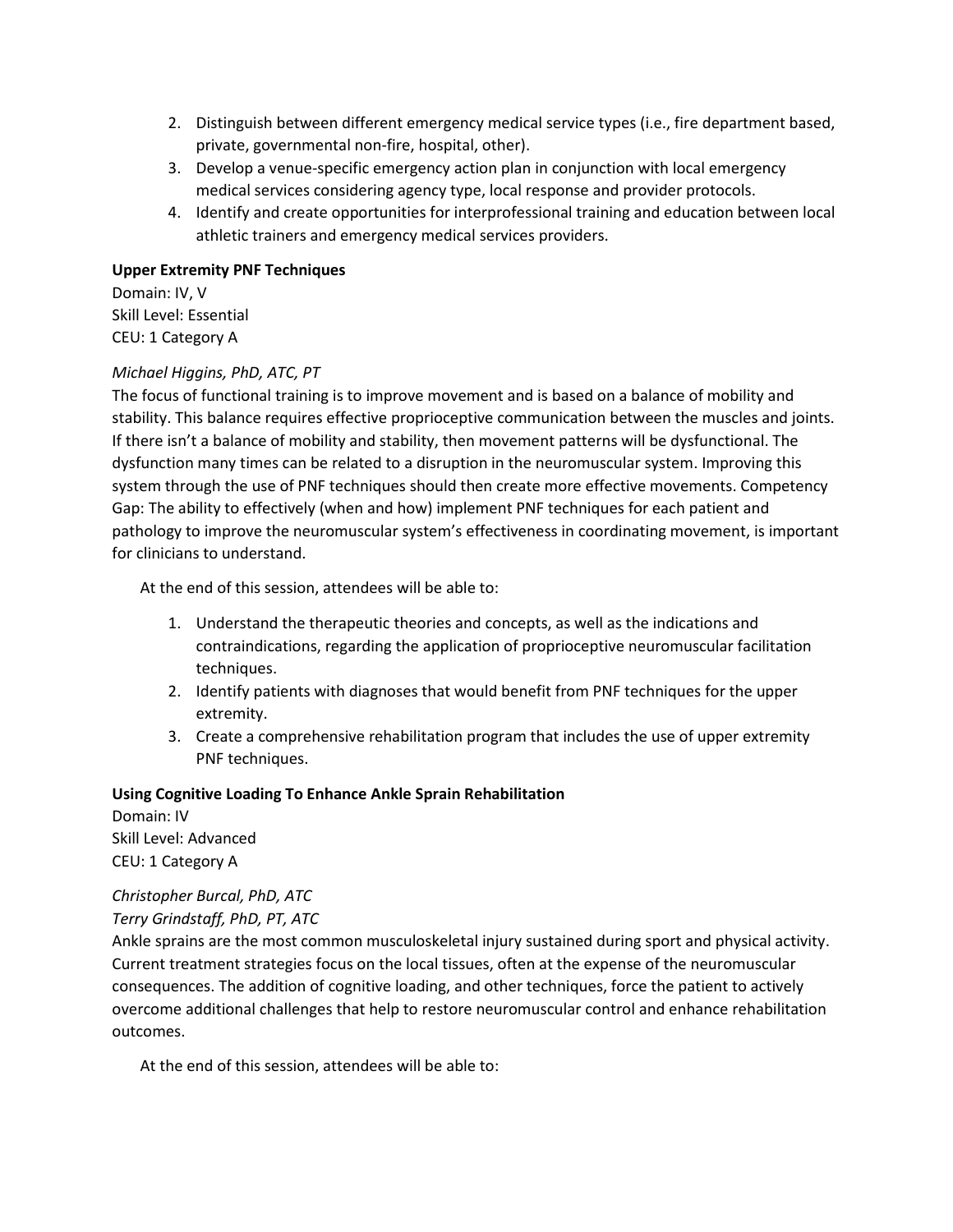- 2. Distinguish between different emergency medical service types (i.e., fire department based, private, governmental non-fire, hospital, other).
- 3. Develop a venue-specific emergency action plan in conjunction with local emergency medical services considering agency type, local response and provider protocols.
- 4. Identify and create opportunities for interprofessional training and education between local athletic trainers and emergency medical services providers.

#### **Upper Extremity PNF Techniques**

Domain: IV, V Skill Level: Essential CEU: 1 Category A

#### *Michael Higgins, PhD, ATC, PT*

The focus of functional training is to improve movement and is based on a balance of mobility and stability. This balance requires effective proprioceptive communication between the muscles and joints. If there isn't a balance of mobility and stability, then movement patterns will be dysfunctional. The dysfunction many times can be related to a disruption in the neuromuscular system. Improving this system through the use of PNF techniques should then create more effective movements. Competency Gap: The ability to effectively (when and how) implement PNF techniques for each patient and pathology to improve the neuromuscular system's effectiveness in coordinating movement, is important for clinicians to understand.

At the end of this session, attendees will be able to:

- 1. Understand the therapeutic theories and concepts, as well as the indications and contraindications, regarding the application of proprioceptive neuromuscular facilitation techniques.
- 2. Identify patients with diagnoses that would benefit from PNF techniques for the upper extremity.
- 3. Create a comprehensive rehabilitation program that includes the use of upper extremity PNF techniques.

#### **Using Cognitive Loading To Enhance Ankle Sprain Rehabilitation**

Domain: IV Skill Level: Advanced CEU: 1 Category A

# *Christopher Burcal, PhD, ATC*

*Terry Grindstaff, PhD, PT, ATC*

Ankle sprains are the most common musculoskeletal injury sustained during sport and physical activity. Current treatment strategies focus on the local tissues, often at the expense of the neuromuscular consequences. The addition of cognitive loading, and other techniques, force the patient to actively overcome additional challenges that help to restore neuromuscular control and enhance rehabilitation outcomes.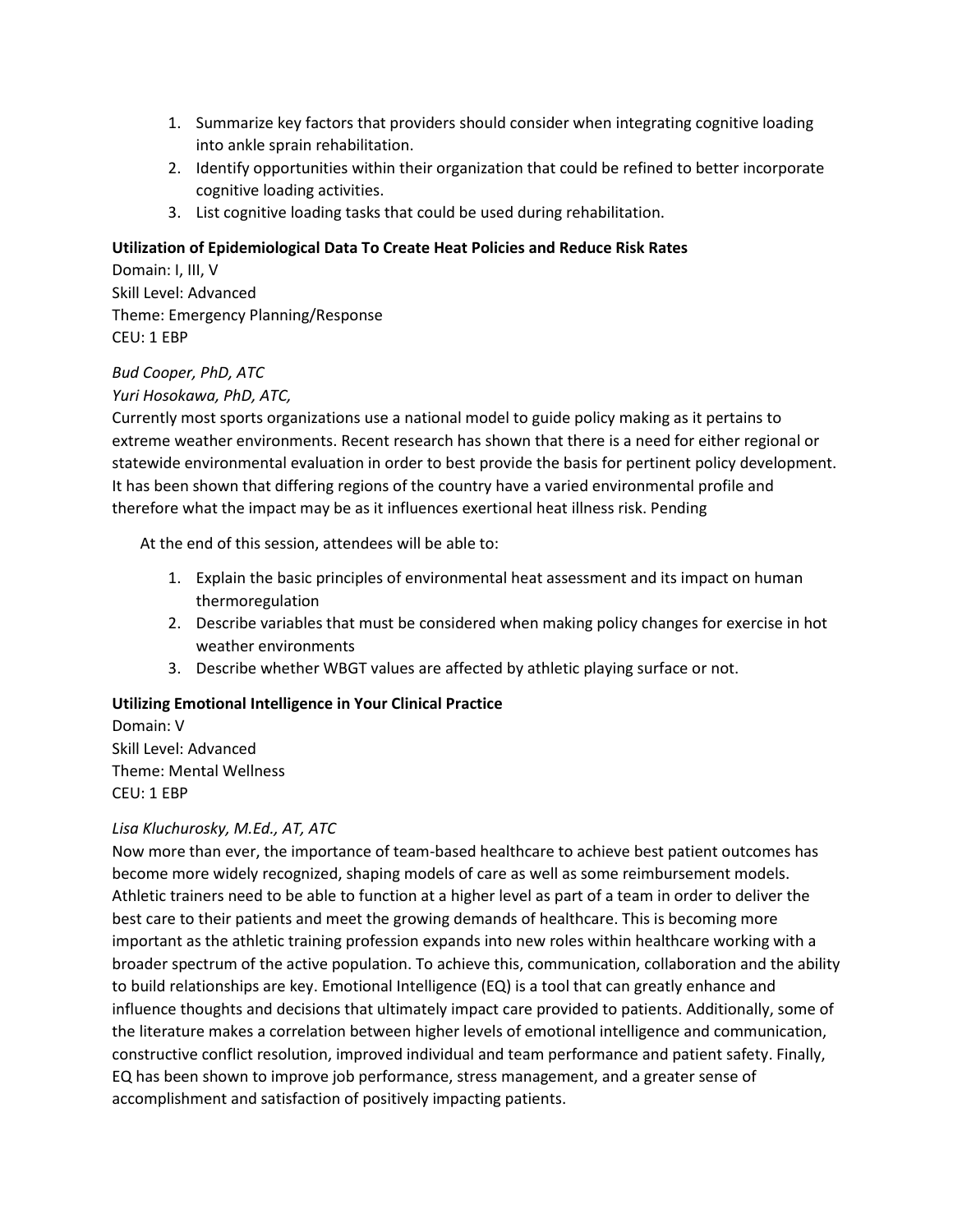- 1. Summarize key factors that providers should consider when integrating cognitive loading into ankle sprain rehabilitation.
- 2. Identify opportunities within their organization that could be refined to better incorporate cognitive loading activities.
- 3. List cognitive loading tasks that could be used during rehabilitation.

#### **Utilization of Epidemiological Data To Create Heat Policies and Reduce Risk Rates**

Domain: I, III, V Skill Level: Advanced Theme: Emergency Planning/Response CEU: 1 EBP

#### *Bud Cooper, PhD, ATC*

*Yuri Hosokawa, PhD, ATC,*

Currently most sports organizations use a national model to guide policy making as it pertains to extreme weather environments. Recent research has shown that there is a need for either regional or statewide environmental evaluation in order to best provide the basis for pertinent policy development. It has been shown that differing regions of the country have a varied environmental profile and therefore what the impact may be as it influences exertional heat illness risk. Pending

At the end of this session, attendees will be able to:

- 1. Explain the basic principles of environmental heat assessment and its impact on human thermoregulation
- 2. Describe variables that must be considered when making policy changes for exercise in hot weather environments
- 3. Describe whether WBGT values are affected by athletic playing surface or not.

#### **Utilizing Emotional Intelligence in Your Clinical Practice**

Domain: V Skill Level: Advanced Theme: Mental Wellness CEU: 1 EBP

## *Lisa Kluchurosky, M.Ed., AT, ATC*

Now more than ever, the importance of team-based healthcare to achieve best patient outcomes has become more widely recognized, shaping models of care as well as some reimbursement models. Athletic trainers need to be able to function at a higher level as part of a team in order to deliver the best care to their patients and meet the growing demands of healthcare. This is becoming more important as the athletic training profession expands into new roles within healthcare working with a broader spectrum of the active population. To achieve this, communication, collaboration and the ability to build relationships are key. Emotional Intelligence (EQ) is a tool that can greatly enhance and influence thoughts and decisions that ultimately impact care provided to patients. Additionally, some of the literature makes a correlation between higher levels of emotional intelligence and communication, constructive conflict resolution, improved individual and team performance and patient safety. Finally, EQ has been shown to improve job performance, stress management, and a greater sense of accomplishment and satisfaction of positively impacting patients.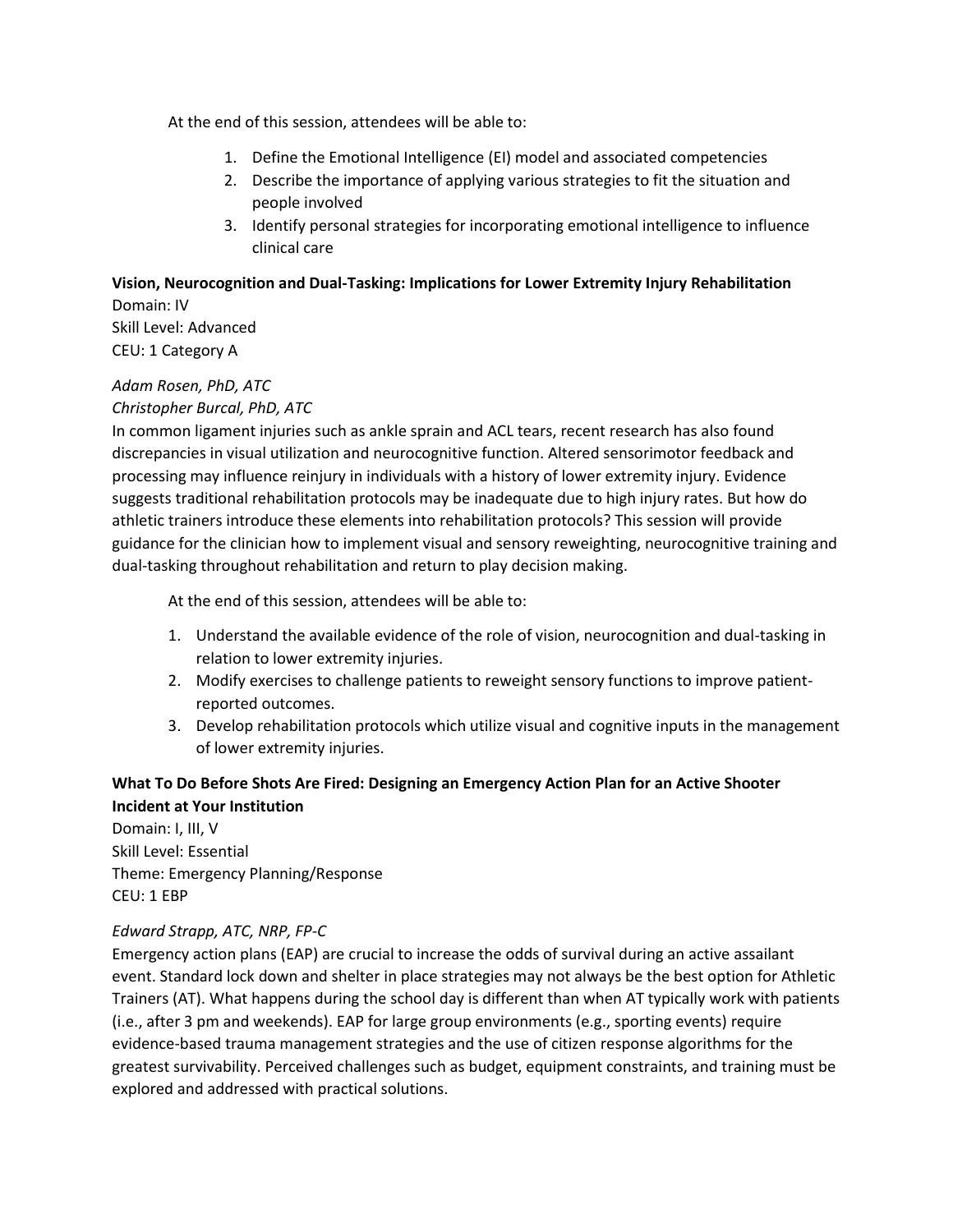At the end of this session, attendees will be able to:

- 1. Define the Emotional Intelligence (EI) model and associated competencies
- 2. Describe the importance of applying various strategies to fit the situation and people involved
- 3. Identify personal strategies for incorporating emotional intelligence to influence clinical care

## **Vision, Neurocognition and Dual-Tasking: Implications for Lower Extremity Injury Rehabilitation**

Domain: IV Skill Level: Advanced CEU: 1 Category A

# *Adam Rosen, PhD, ATC*

#### *Christopher Burcal, PhD, ATC*

In common ligament injuries such as ankle sprain and ACL tears, recent research has also found discrepancies in visual utilization and neurocognitive function. Altered sensorimotor feedback and processing may influence reinjury in individuals with a history of lower extremity injury. Evidence suggests traditional rehabilitation protocols may be inadequate due to high injury rates. But how do athletic trainers introduce these elements into rehabilitation protocols? This session will provide guidance for the clinician how to implement visual and sensory reweighting, neurocognitive training and dual-tasking throughout rehabilitation and return to play decision making.

At the end of this session, attendees will be able to:

- 1. Understand the available evidence of the role of vision, neurocognition and dual-tasking in relation to lower extremity injuries.
- 2. Modify exercises to challenge patients to reweight sensory functions to improve patientreported outcomes.
- 3. Develop rehabilitation protocols which utilize visual and cognitive inputs in the management of lower extremity injuries.

## **What To Do Before Shots Are Fired: Designing an Emergency Action Plan for an Active Shooter Incident at Your Institution**

Domain: I, III, V Skill Level: Essential Theme: Emergency Planning/Response CEU: 1 EBP

## *Edward Strapp, ATC, NRP, FP-C*

Emergency action plans (EAP) are crucial to increase the odds of survival during an active assailant event. Standard lock down and shelter in place strategies may not always be the best option for Athletic Trainers (AT). What happens during the school day is different than when AT typically work with patients (i.e., after 3 pm and weekends). EAP for large group environments (e.g., sporting events) require evidence-based trauma management strategies and the use of citizen response algorithms for the greatest survivability. Perceived challenges such as budget, equipment constraints, and training must be explored and addressed with practical solutions.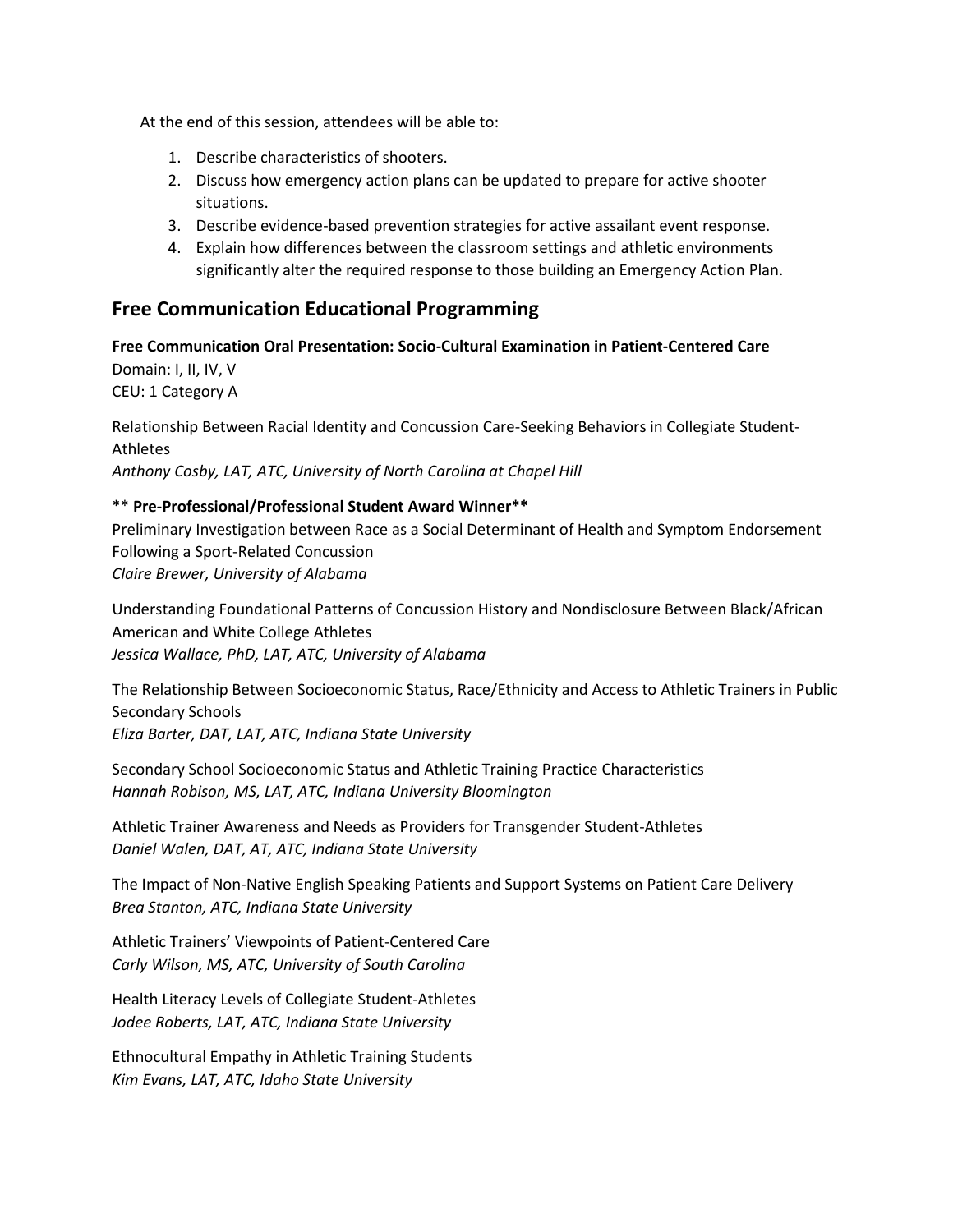At the end of this session, attendees will be able to:

- 1. Describe characteristics of shooters.
- 2. Discuss how emergency action plans can be updated to prepare for active shooter situations.
- 3. Describe evidence-based prevention strategies for active assailant event response.
- 4. Explain how differences between the classroom settings and athletic environments significantly alter the required response to those building an Emergency Action Plan.

## **Free Communication Educational Programming**

**Free Communication Oral Presentation: Socio-Cultural Examination in Patient-Centered Care** Domain: I, II, IV, V CEU: 1 Category A

Relationship Between Racial Identity and Concussion Care-Seeking Behaviors in Collegiate Student-Athletes *Anthony Cosby, LAT, ATC, University of North Carolina at Chapel Hill*

## \*\* **Pre-Professional/Professional Student Award Winner\*\***

Preliminary Investigation between Race as a Social Determinant of Health and Symptom Endorsement Following a Sport-Related Concussion *Claire Brewer, University of Alabama*

Understanding Foundational Patterns of Concussion History and Nondisclosure Between Black/African American and White College Athletes *Jessica Wallace, PhD, LAT, ATC, University of Alabama*

The Relationship Between Socioeconomic Status, Race/Ethnicity and Access to Athletic Trainers in Public Secondary Schools *Eliza Barter, DAT, LAT, ATC, Indiana State University*

Secondary School Socioeconomic Status and Athletic Training Practice Characteristics *Hannah Robison, MS, LAT, ATC, Indiana University Bloomington*

Athletic Trainer Awareness and Needs as Providers for Transgender Student-Athletes *Daniel Walen, DAT, AT, ATC, Indiana State University*

The Impact of Non-Native English Speaking Patients and Support Systems on Patient Care Delivery *Brea Stanton, ATC, Indiana State University*

Athletic Trainers' Viewpoints of Patient-Centered Care *Carly Wilson, MS, ATC, University of South Carolina*

Health Literacy Levels of Collegiate Student-Athletes *Jodee Roberts, LAT, ATC, Indiana State University*

Ethnocultural Empathy in Athletic Training Students *Kim Evans, LAT, ATC, Idaho State University*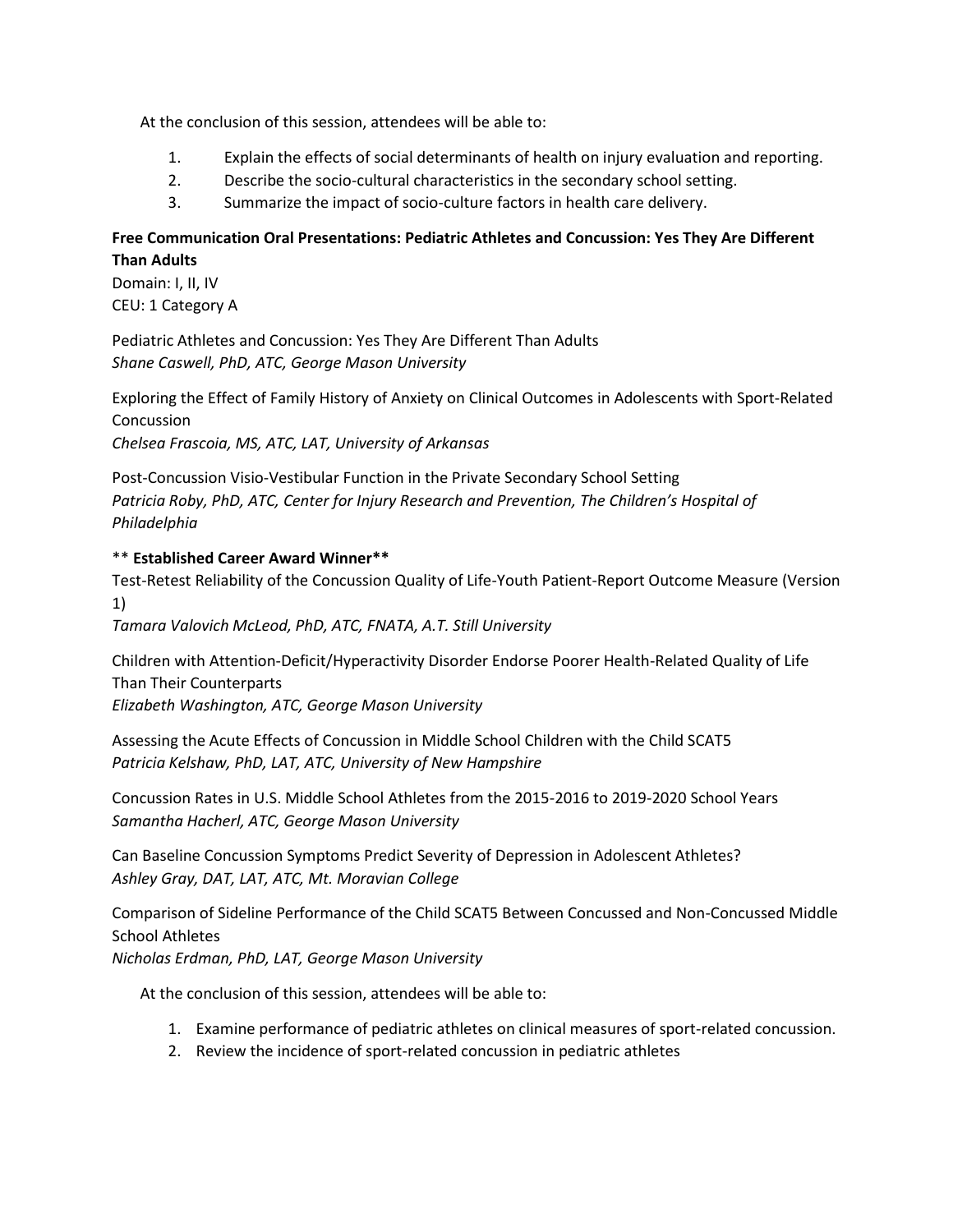At the conclusion of this session, attendees will be able to:

- 1. Explain the effects of social determinants of health on injury evaluation and reporting.
- 2. Describe the socio-cultural characteristics in the secondary school setting.
- 3. Summarize the impact of socio-culture factors in health care delivery.

## **Free Communication Oral Presentations: Pediatric Athletes and Concussion: Yes They Are Different Than Adults**

Domain: I, II, IV CEU: 1 Category A

Pediatric Athletes and Concussion: Yes They Are Different Than Adults *Shane Caswell, PhD, ATC, George Mason University*

Exploring the Effect of Family History of Anxiety on Clinical Outcomes in Adolescents with Sport-Related Concussion *Chelsea Frascoia, MS, ATC, LAT, University of Arkansas*

Post-Concussion Visio-Vestibular Function in the Private Secondary School Setting *Patricia Roby, PhD, ATC, Center for Injury Research and Prevention, The Children's Hospital of Philadelphia*

## \*\* **Established Career Award Winner\*\***

Test-Retest Reliability of the Concussion Quality of Life-Youth Patient-Report Outcome Measure (Version 1)

*Tamara Valovich McLeod, PhD, ATC, FNATA, A.T. Still University*

Children with Attention-Deficit/Hyperactivity Disorder Endorse Poorer Health-Related Quality of Life Than Their Counterparts

*Elizabeth Washington, ATC, George Mason University*

Assessing the Acute Effects of Concussion in Middle School Children with the Child SCAT5 *Patricia Kelshaw, PhD, LAT, ATC, University of New Hampshire*

Concussion Rates in U.S. Middle School Athletes from the 2015-2016 to 2019-2020 School Years *Samantha Hacherl, ATC, George Mason University*

Can Baseline Concussion Symptoms Predict Severity of Depression in Adolescent Athletes? *Ashley Gray, DAT, LAT, ATC, Mt. Moravian College*

Comparison of Sideline Performance of the Child SCAT5 Between Concussed and Non-Concussed Middle School Athletes

*Nicholas Erdman, PhD, LAT, George Mason University*

- 1. Examine performance of pediatric athletes on clinical measures of sport-related concussion.
- 2. Review the incidence of sport-related concussion in pediatric athletes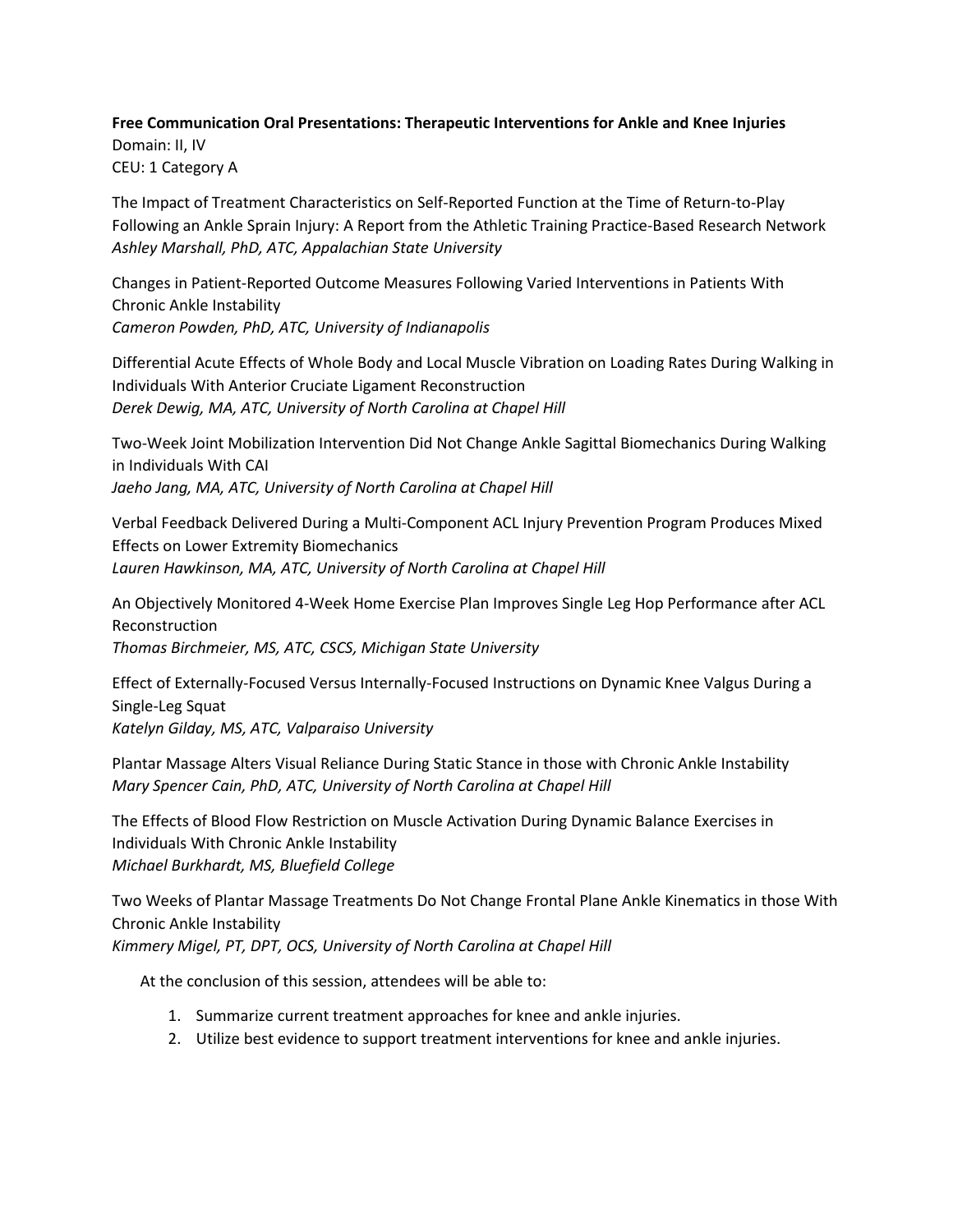# **Free Communication Oral Presentations: Therapeutic Interventions for Ankle and Knee Injuries**

Domain: II, IV CEU: 1 Category A

The Impact of Treatment Characteristics on Self-Reported Function at the Time of Return-to-Play Following an Ankle Sprain Injury: A Report from the Athletic Training Practice-Based Research Network *Ashley Marshall, PhD, ATC, Appalachian State University*

Changes in Patient-Reported Outcome Measures Following Varied Interventions in Patients With Chronic Ankle Instability *Cameron Powden, PhD, ATC, University of Indianapolis*

Differential Acute Effects of Whole Body and Local Muscle Vibration on Loading Rates During Walking in Individuals With Anterior Cruciate Ligament Reconstruction *Derek Dewig, MA, ATC, University of North Carolina at Chapel Hill*

Two-Week Joint Mobilization Intervention Did Not Change Ankle Sagittal Biomechanics During Walking in Individuals With CAI *Jaeho Jang, MA, ATC, University of North Carolina at Chapel Hill*

Verbal Feedback Delivered During a Multi-Component ACL Injury Prevention Program Produces Mixed Effects on Lower Extremity Biomechanics *Lauren Hawkinson, MA, ATC, University of North Carolina at Chapel Hill*

An Objectively Monitored 4-Week Home Exercise Plan Improves Single Leg Hop Performance after ACL Reconstruction *Thomas Birchmeier, MS, ATC, CSCS, Michigan State University*

Effect of Externally-Focused Versus Internally-Focused Instructions on Dynamic Knee Valgus During a Single-Leg Squat *Katelyn Gilday, MS, ATC, Valparaiso University*

Plantar Massage Alters Visual Reliance During Static Stance in those with Chronic Ankle Instability *Mary Spencer Cain, PhD, ATC, University of North Carolina at Chapel Hill*

The Effects of Blood Flow Restriction on Muscle Activation During Dynamic Balance Exercises in Individuals With Chronic Ankle Instability *Michael Burkhardt, MS, Bluefield College*

Two Weeks of Plantar Massage Treatments Do Not Change Frontal Plane Ankle Kinematics in those With Chronic Ankle Instability *Kimmery Migel, PT, DPT, OCS, University of North Carolina at Chapel Hill*

- 1. Summarize current treatment approaches for knee and ankle injuries.
- 2. Utilize best evidence to support treatment interventions for knee and ankle injuries.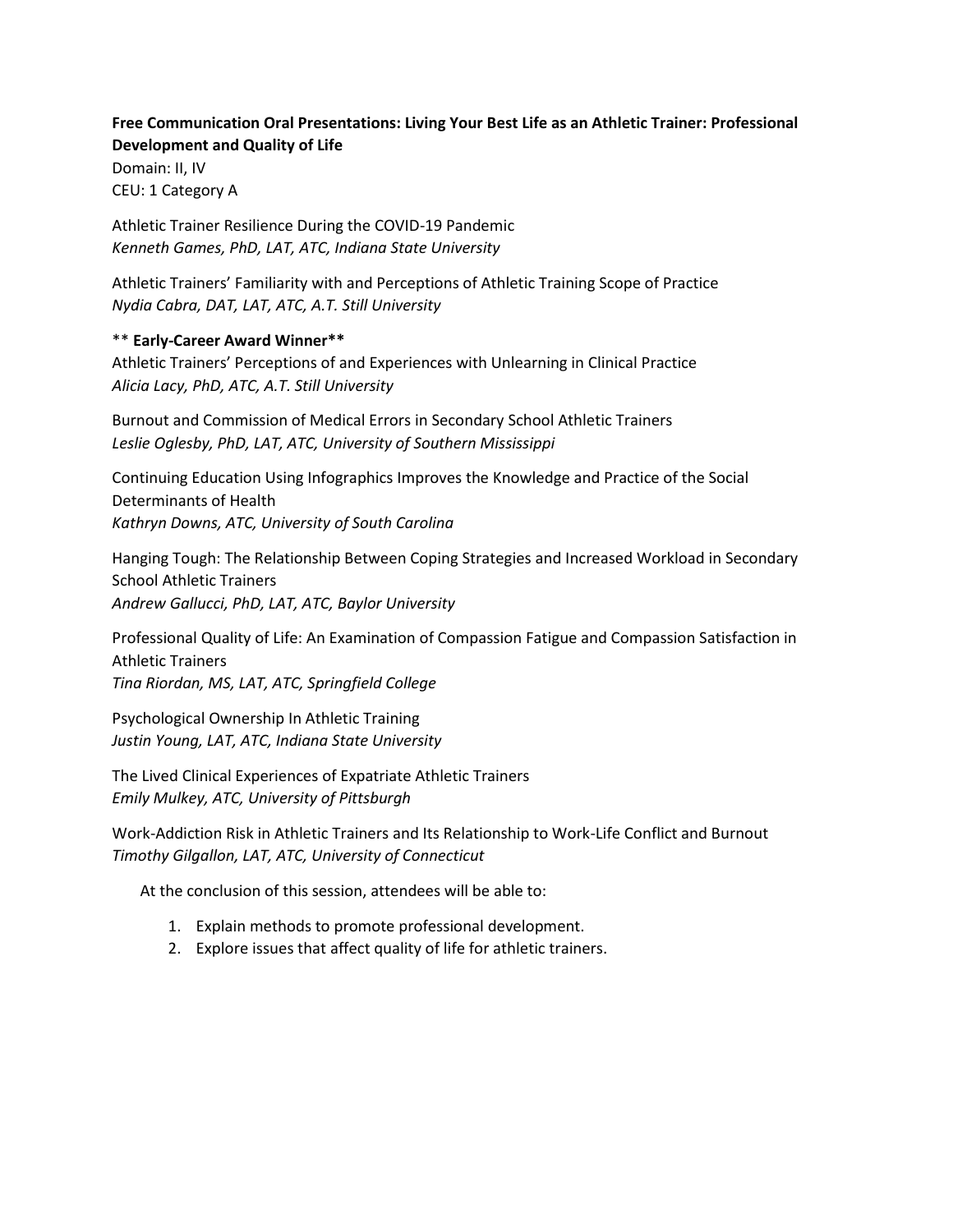## **Free Communication Oral Presentations: Living Your Best Life as an Athletic Trainer: Professional Development and Quality of Life**

Domain: II, IV CEU: 1 Category A

Athletic Trainer Resilience During the COVID-19 Pandemic *Kenneth Games, PhD, LAT, ATC, Indiana State University*

Athletic Trainers' Familiarity with and Perceptions of Athletic Training Scope of Practice *Nydia Cabra, DAT, LAT, ATC, A.T. Still University*

#### \*\* **Early-Career Award Winner\*\***

Athletic Trainers' Perceptions of and Experiences with Unlearning in Clinical Practice *Alicia Lacy, PhD, ATC, A.T. Still University*

Burnout and Commission of Medical Errors in Secondary School Athletic Trainers *Leslie Oglesby, PhD, LAT, ATC, University of Southern Mississippi*

Continuing Education Using Infographics Improves the Knowledge and Practice of the Social Determinants of Health *Kathryn Downs, ATC, University of South Carolina*

Hanging Tough: The Relationship Between Coping Strategies and Increased Workload in Secondary School Athletic Trainers *Andrew Gallucci, PhD, LAT, ATC, Baylor University*

Professional Quality of Life: An Examination of Compassion Fatigue and Compassion Satisfaction in Athletic Trainers *Tina Riordan, MS, LAT, ATC, Springfield College*

Psychological Ownership In Athletic Training *Justin Young, LAT, ATC, Indiana State University*

The Lived Clinical Experiences of Expatriate Athletic Trainers *Emily Mulkey, ATC, University of Pittsburgh*

Work-Addiction Risk in Athletic Trainers and Its Relationship to Work-Life Conflict and Burnout *Timothy Gilgallon, LAT, ATC, University of Connecticut*

- 1. Explain methods to promote professional development.
- 2. Explore issues that affect quality of life for athletic trainers.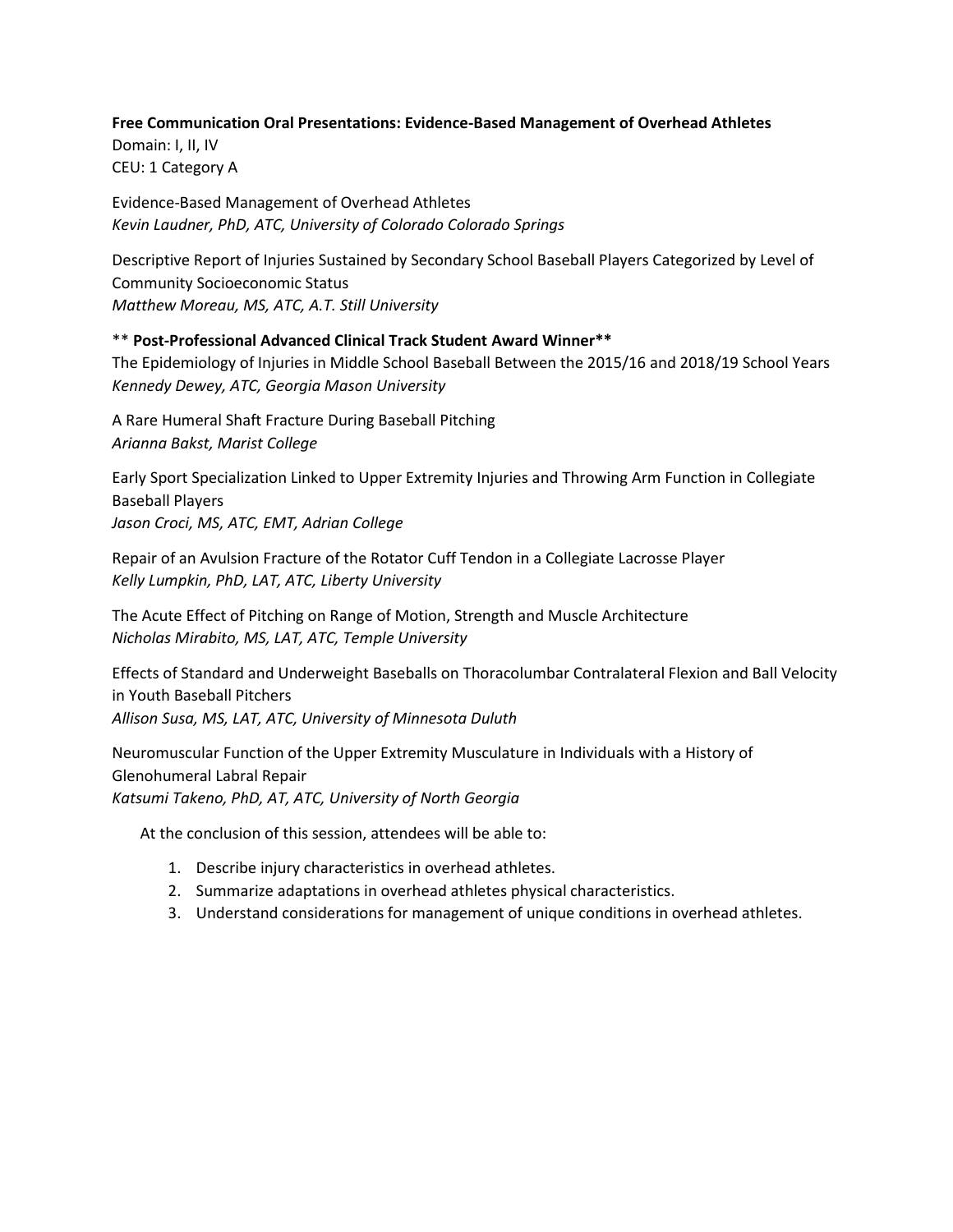#### **Free Communication Oral Presentations: Evidence-Based Management of Overhead Athletes**

Domain: I, II, IV CEU: 1 Category A

Evidence-Based Management of Overhead Athletes *Kevin Laudner, PhD, ATC, University of Colorado Colorado Springs*

Descriptive Report of Injuries Sustained by Secondary School Baseball Players Categorized by Level of Community Socioeconomic Status *Matthew Moreau, MS, ATC, A.T. Still University*

#### \*\* **Post-Professional Advanced Clinical Track Student Award Winner\*\***

The Epidemiology of Injuries in Middle School Baseball Between the 2015/16 and 2018/19 School Years *Kennedy Dewey, ATC, Georgia Mason University*

A Rare Humeral Shaft Fracture During Baseball Pitching *Arianna Bakst, Marist College*

Early Sport Specialization Linked to Upper Extremity Injuries and Throwing Arm Function in Collegiate Baseball Players *Jason Croci, MS, ATC, EMT, Adrian College*

Repair of an Avulsion Fracture of the Rotator Cuff Tendon in a Collegiate Lacrosse Player *Kelly Lumpkin, PhD, LAT, ATC, Liberty University*

The Acute Effect of Pitching on Range of Motion, Strength and Muscle Architecture *Nicholas Mirabito, MS, LAT, ATC, Temple University*

Effects of Standard and Underweight Baseballs on Thoracolumbar Contralateral Flexion and Ball Velocity in Youth Baseball Pitchers *Allison Susa, MS, LAT, ATC, University of Minnesota Duluth*

Neuromuscular Function of the Upper Extremity Musculature in Individuals with a History of Glenohumeral Labral Repair *Katsumi Takeno, PhD, AT, ATC, University of North Georgia*

- 1. Describe injury characteristics in overhead athletes.
- 2. Summarize adaptations in overhead athletes physical characteristics.
- 3. Understand considerations for management of unique conditions in overhead athletes.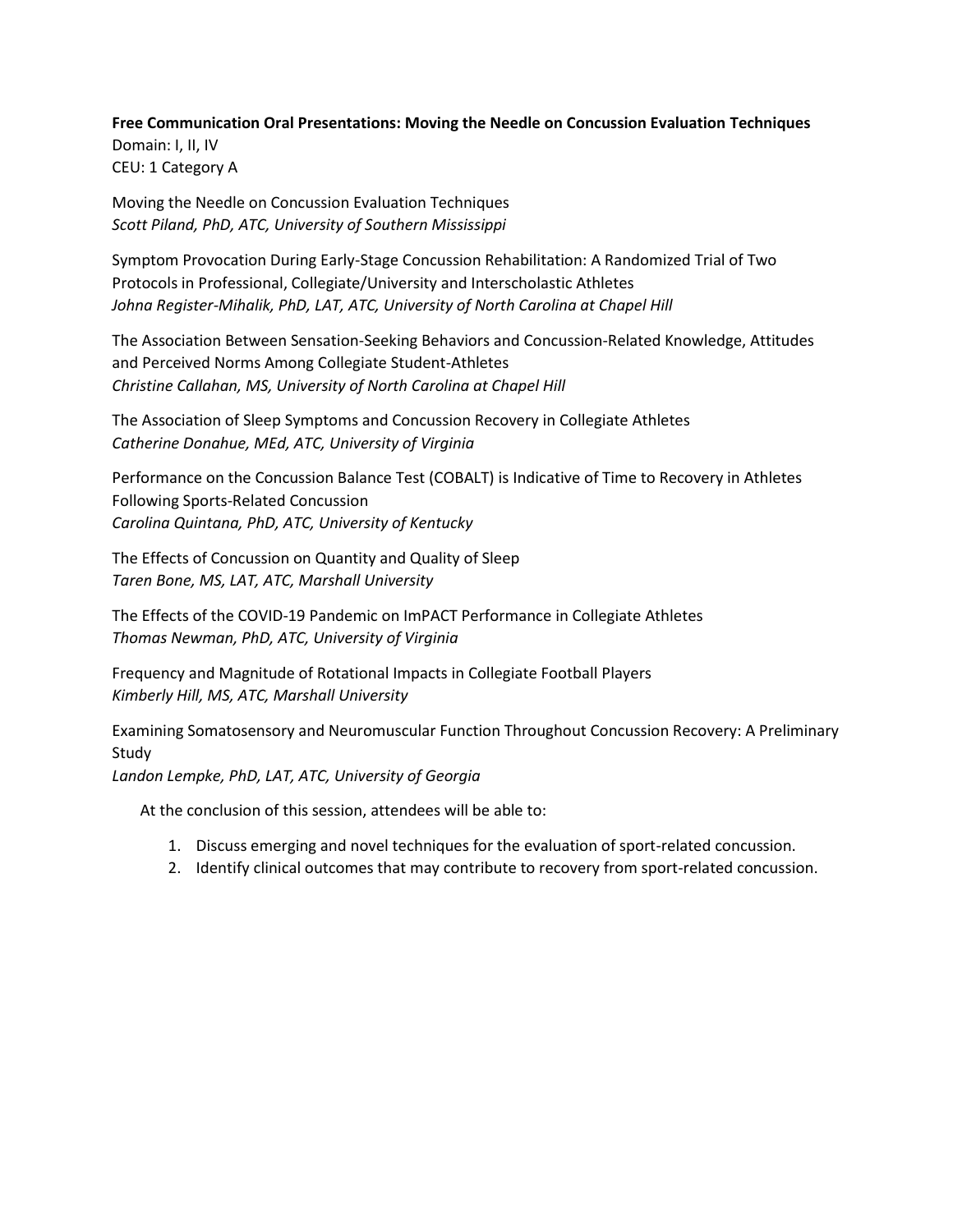**Free Communication Oral Presentations: Moving the Needle on Concussion Evaluation Techniques** Domain: I, II, IV CEU: 1 Category A

Moving the Needle on Concussion Evaluation Techniques *Scott Piland, PhD, ATC, University of Southern Mississippi*

Symptom Provocation During Early-Stage Concussion Rehabilitation: A Randomized Trial of Two Protocols in Professional, Collegiate/University and Interscholastic Athletes *Johna Register-Mihalik, PhD, LAT, ATC, University of North Carolina at Chapel Hill*

The Association Between Sensation-Seeking Behaviors and Concussion-Related Knowledge, Attitudes and Perceived Norms Among Collegiate Student-Athletes *Christine Callahan, MS, University of North Carolina at Chapel Hill*

The Association of Sleep Symptoms and Concussion Recovery in Collegiate Athletes *Catherine Donahue, MEd, ATC, University of Virginia*

Performance on the Concussion Balance Test (COBALT) is Indicative of Time to Recovery in Athletes Following Sports-Related Concussion *Carolina Quintana, PhD, ATC, University of Kentucky*

The Effects of Concussion on Quantity and Quality of Sleep *Taren Bone, MS, LAT, ATC, Marshall University*

The Effects of the COVID-19 Pandemic on ImPACT Performance in Collegiate Athletes *Thomas Newman, PhD, ATC, University of Virginia*

Frequency and Magnitude of Rotational Impacts in Collegiate Football Players *Kimberly Hill, MS, ATC, Marshall University*

Examining Somatosensory and Neuromuscular Function Throughout Concussion Recovery: A Preliminary Study

*Landon Lempke, PhD, LAT, ATC, University of Georgia*

- 1. Discuss emerging and novel techniques for the evaluation of sport-related concussion.
- 2. Identify clinical outcomes that may contribute to recovery from sport-related concussion.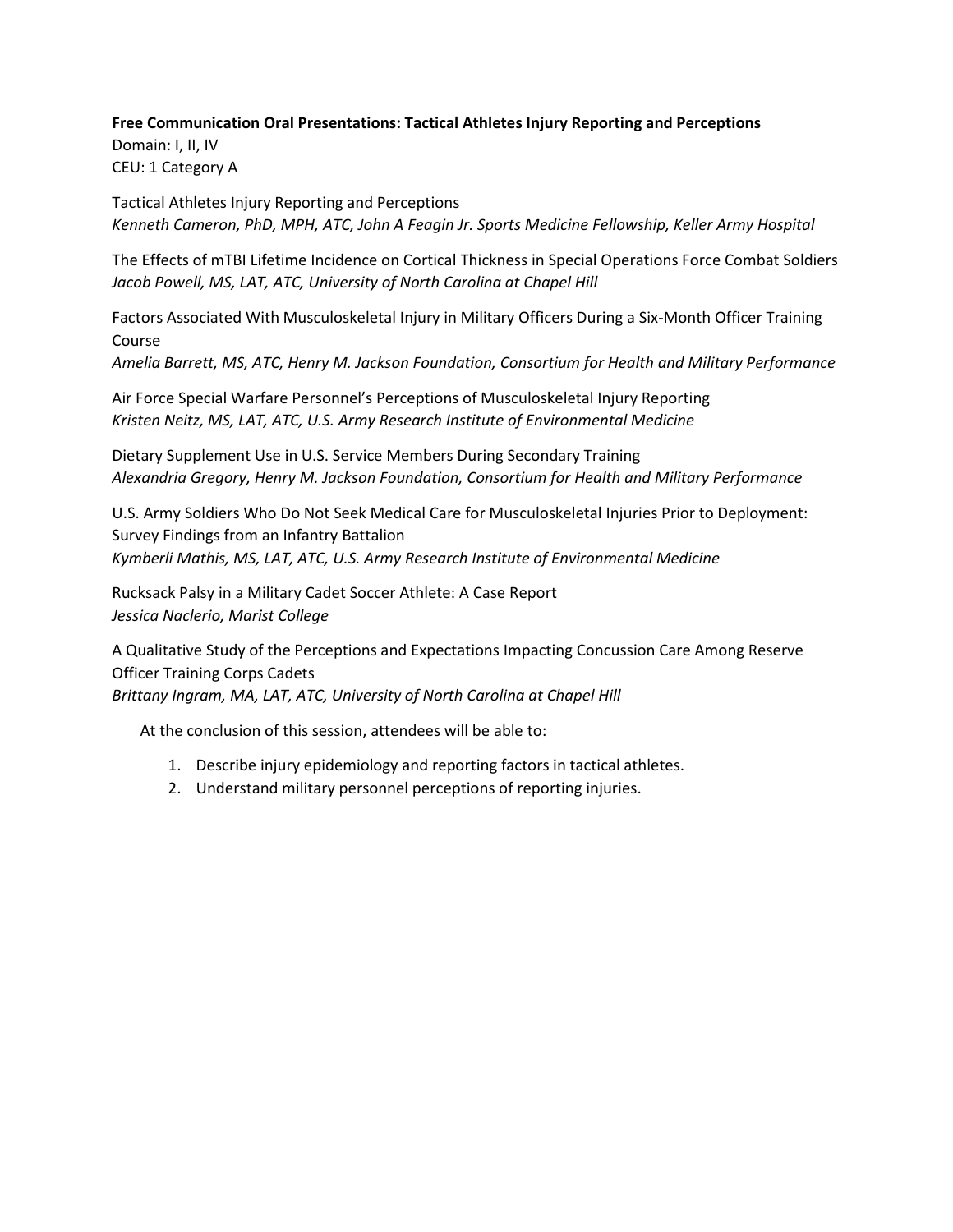#### **Free Communication Oral Presentations: Tactical Athletes Injury Reporting and Perceptions**

Domain: I, II, IV CEU: 1 Category A

Tactical Athletes Injury Reporting and Perceptions *Kenneth Cameron, PhD, MPH, ATC, John A Feagin Jr. Sports Medicine Fellowship, Keller Army Hospital*

The Effects of mTBI Lifetime Incidence on Cortical Thickness in Special Operations Force Combat Soldiers *Jacob Powell, MS, LAT, ATC, University of North Carolina at Chapel Hill*

Factors Associated With Musculoskeletal Injury in Military Officers During a Six-Month Officer Training Course

*Amelia Barrett, MS, ATC, Henry M. Jackson Foundation, Consortium for Health and Military Performance*

Air Force Special Warfare Personnel's Perceptions of Musculoskeletal Injury Reporting *Kristen Neitz, MS, LAT, ATC, U.S. Army Research Institute of Environmental Medicine*

Dietary Supplement Use in U.S. Service Members During Secondary Training *Alexandria Gregory, Henry M. Jackson Foundation, Consortium for Health and Military Performance*

U.S. Army Soldiers Who Do Not Seek Medical Care for Musculoskeletal Injuries Prior to Deployment: Survey Findings from an Infantry Battalion *Kymberli Mathis, MS, LAT, ATC, U.S. Army Research Institute of Environmental Medicine*

Rucksack Palsy in a Military Cadet Soccer Athlete: A Case Report *Jessica Naclerio, Marist College*

A Qualitative Study of the Perceptions and Expectations Impacting Concussion Care Among Reserve Officer Training Corps Cadets *Brittany Ingram, MA, LAT, ATC, University of North Carolina at Chapel Hill*

- 1. Describe injury epidemiology and reporting factors in tactical athletes.
- 2. Understand military personnel perceptions of reporting injuries.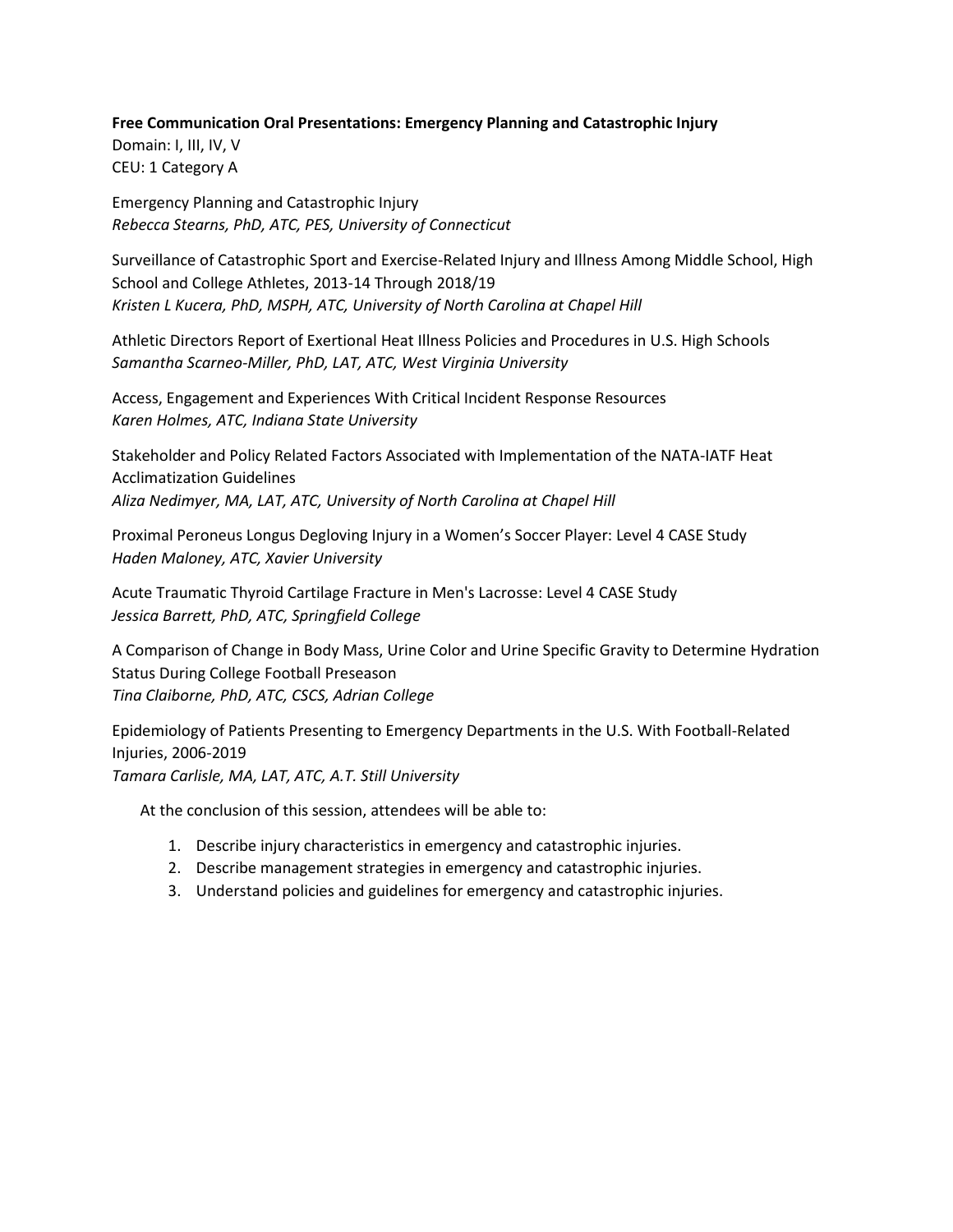#### **Free Communication Oral Presentations: Emergency Planning and Catastrophic Injury**

Domain: I, III, IV, V CEU: 1 Category A

Emergency Planning and Catastrophic Injury *Rebecca Stearns, PhD, ATC, PES, University of Connecticut*

Surveillance of Catastrophic Sport and Exercise-Related Injury and Illness Among Middle School, High School and College Athletes, 2013-14 Through 2018/19 *Kristen L Kucera, PhD, MSPH, ATC, University of North Carolina at Chapel Hill*

Athletic Directors Report of Exertional Heat Illness Policies and Procedures in U.S. High Schools *Samantha Scarneo-Miller, PhD, LAT, ATC, West Virginia University*

Access, Engagement and Experiences With Critical Incident Response Resources *Karen Holmes, ATC, Indiana State University*

Stakeholder and Policy Related Factors Associated with Implementation of the NATA-IATF Heat Acclimatization Guidelines *Aliza Nedimyer, MA, LAT, ATC, University of North Carolina at Chapel Hill*

Proximal Peroneus Longus Degloving Injury in a Women's Soccer Player: Level 4 CASE Study *Haden Maloney, ATC, Xavier University*

Acute Traumatic Thyroid Cartilage Fracture in Men's Lacrosse: Level 4 CASE Study *Jessica Barrett, PhD, ATC, Springfield College*

A Comparison of Change in Body Mass, Urine Color and Urine Specific Gravity to Determine Hydration Status During College Football Preseason *Tina Claiborne, PhD, ATC, CSCS, Adrian College*

Epidemiology of Patients Presenting to Emergency Departments in the U.S. With Football-Related Injuries, 2006-2019 *Tamara Carlisle, MA, LAT, ATC, A.T. Still University*

- 1. Describe injury characteristics in emergency and catastrophic injuries.
- 2. Describe management strategies in emergency and catastrophic injuries.
- 3. Understand policies and guidelines for emergency and catastrophic injuries.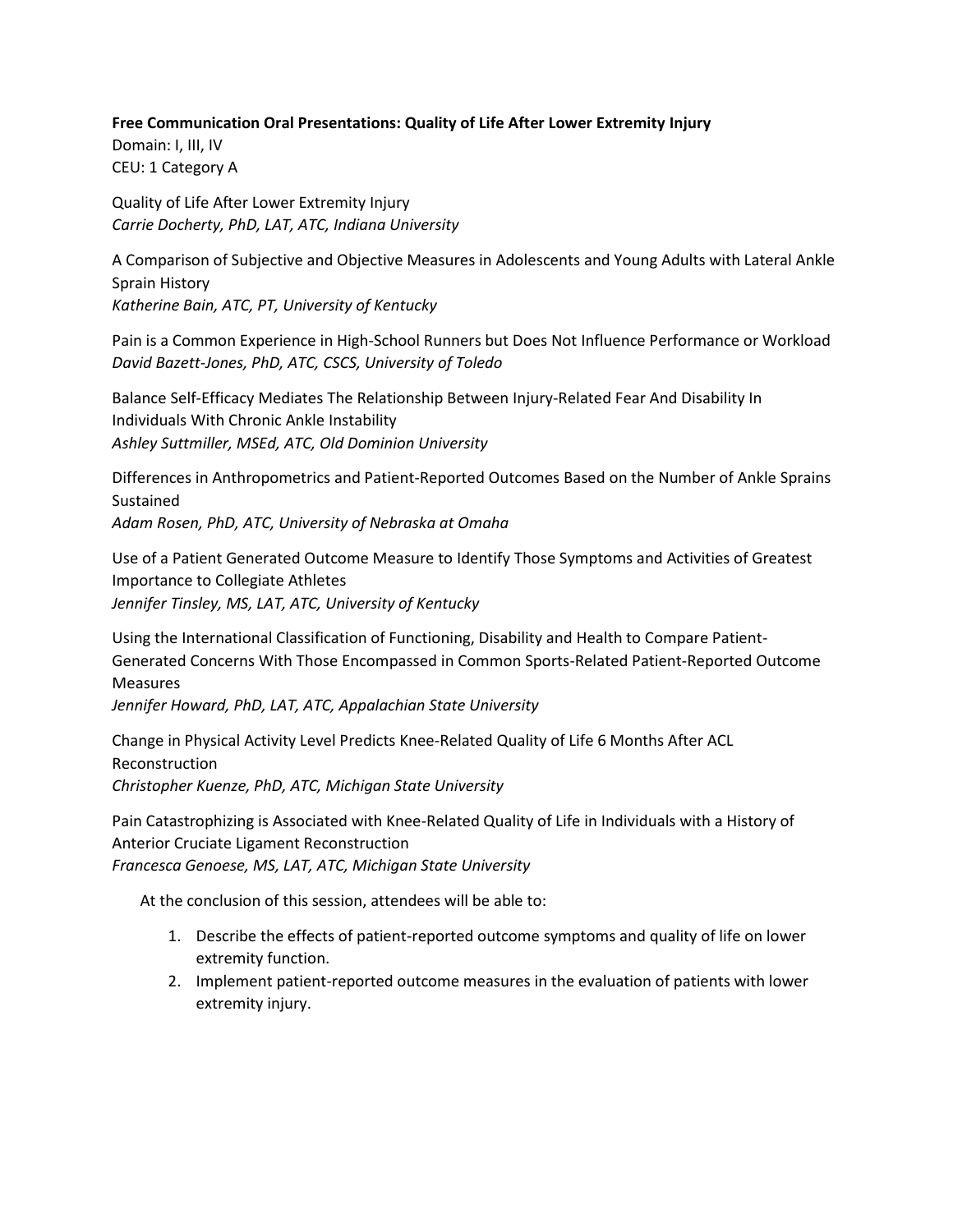#### **Free Communication Oral Presentations: Quality of Life After Lower Extremity Injury**

Domain: I, III, IV CEU: 1 Category A

Quality of Life After Lower Extremity Injury *Carrie Docherty, PhD, LAT, ATC, Indiana University*

A Comparison of Subjective and Objective Measures in Adolescents and Young Adults with Lateral Ankle Sprain History *Katherine Bain, ATC, PT, University of Kentucky*

Pain is a Common Experience in High-School Runners but Does Not Influence Performance or Workload *David Bazett-Jones, PhD, ATC, CSCS, University of Toledo*

Balance Self-Efficacy Mediates The Relationship Between Injury-Related Fear And Disability In Individuals With Chronic Ankle Instability *Ashley Suttmiller, MSEd, ATC, Old Dominion University*

Differences in Anthropometrics and Patient-Reported Outcomes Based on the Number of Ankle Sprains Sustained

*Adam Rosen, PhD, ATC, University of Nebraska at Omaha*

Use of a Patient Generated Outcome Measure to Identify Those Symptoms and Activities of Greatest Importance to Collegiate Athletes *Jennifer Tinsley, MS, LAT, ATC, University of Kentucky*

Using the International Classification of Functioning, Disability and Health to Compare Patient-Generated Concerns With Those Encompassed in Common Sports-Related Patient-Reported Outcome Measures *Jennifer Howard, PhD, LAT, ATC, Appalachian State University*

Change in Physical Activity Level Predicts Knee-Related Quality of Life 6 Months After ACL Reconstruction *Christopher Kuenze, PhD, ATC, Michigan State University*

Pain Catastrophizing is Associated with Knee-Related Quality of Life in Individuals with a History of Anterior Cruciate Ligament Reconstruction *Francesca Genoese, MS, LAT, ATC, Michigan State University*

- 1. Describe the effects of patient-reported outcome symptoms and quality of life on lower extremity function.
- 2. Implement patient-reported outcome measures in the evaluation of patients with lower extremity injury.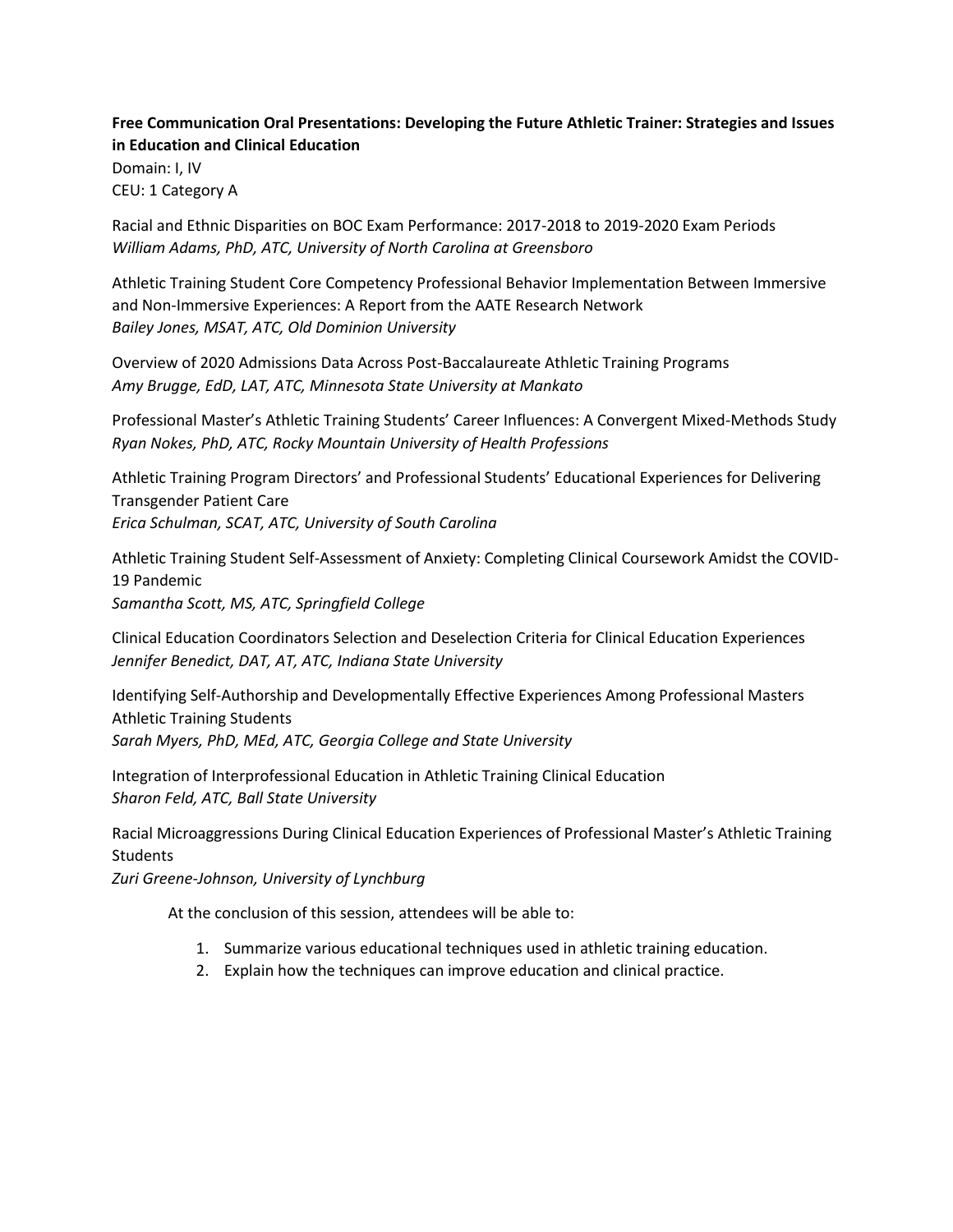## **Free Communication Oral Presentations: Developing the Future Athletic Trainer: Strategies and Issues in Education and Clinical Education**

Domain: I, IV CEU: 1 Category A

Racial and Ethnic Disparities on BOC Exam Performance: 2017-2018 to 2019-2020 Exam Periods *William Adams, PhD, ATC, University of North Carolina at Greensboro*

Athletic Training Student Core Competency Professional Behavior Implementation Between Immersive and Non-Immersive Experiences: A Report from the AATE Research Network *Bailey Jones, MSAT, ATC, Old Dominion University*

Overview of 2020 Admissions Data Across Post-Baccalaureate Athletic Training Programs *Amy Brugge, EdD, LAT, ATC, Minnesota State University at Mankato*

Professional Master's Athletic Training Students' Career Influences: A Convergent Mixed-Methods Study *Ryan Nokes, PhD, ATC, Rocky Mountain University of Health Professions*

Athletic Training Program Directors' and Professional Students' Educational Experiences for Delivering Transgender Patient Care *Erica Schulman, SCAT, ATC, University of South Carolina*

Athletic Training Student Self-Assessment of Anxiety: Completing Clinical Coursework Amidst the COVID-19 Pandemic

*Samantha Scott, MS, ATC, Springfield College*

Clinical Education Coordinators Selection and Deselection Criteria for Clinical Education Experiences *Jennifer Benedict, DAT, AT, ATC, Indiana State University*

Identifying Self-Authorship and Developmentally Effective Experiences Among Professional Masters Athletic Training Students *Sarah Myers, PhD, MEd, ATC, Georgia College and State University*

Integration of Interprofessional Education in Athletic Training Clinical Education *Sharon Feld, ATC, Ball State University*

Racial Microaggressions During Clinical Education Experiences of Professional Master's Athletic Training **Students** 

*Zuri Greene-Johnson, University of Lynchburg*

- 1. Summarize various educational techniques used in athletic training education.
- 2. Explain how the techniques can improve education and clinical practice.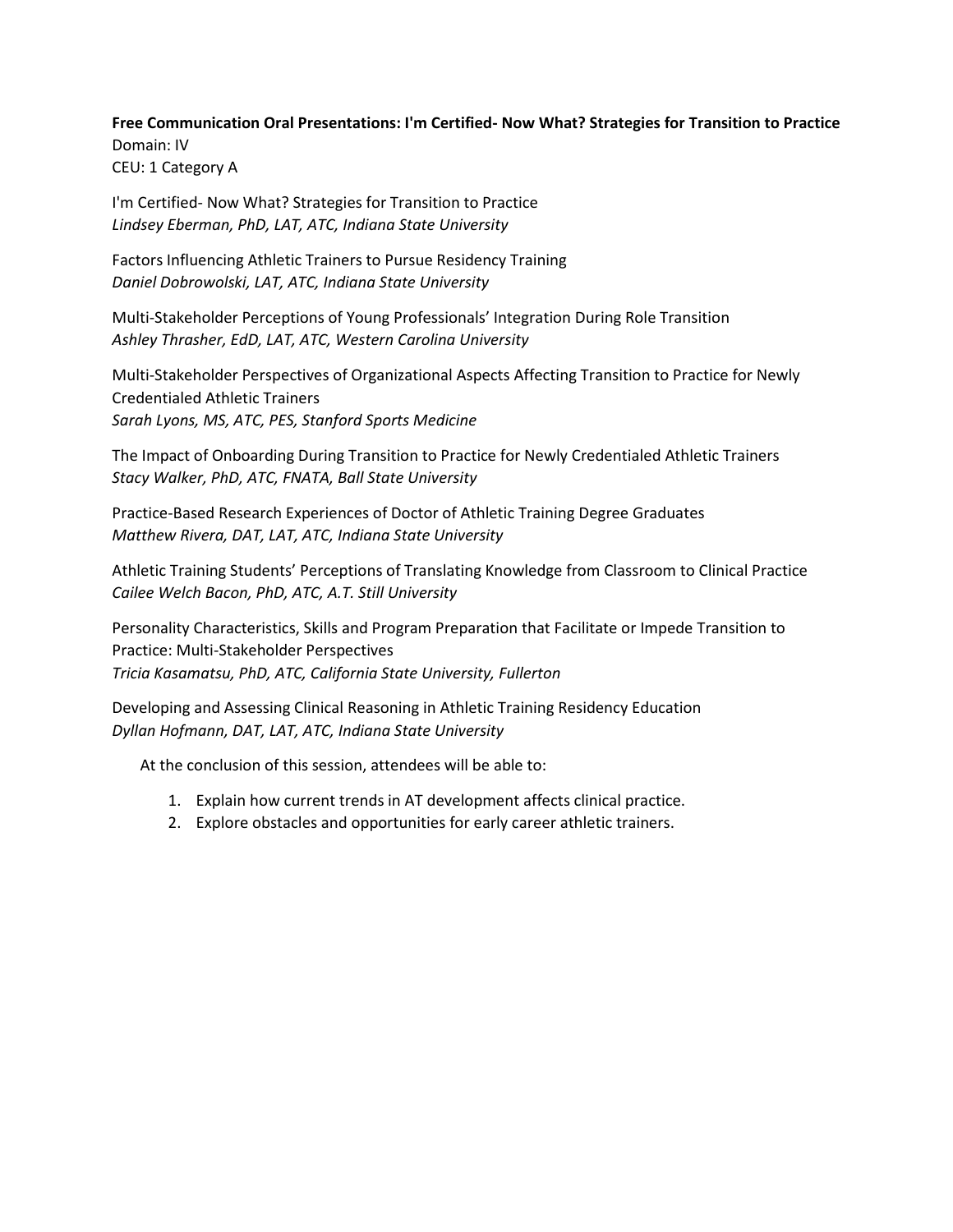**Free Communication Oral Presentations: I'm Certified- Now What? Strategies for Transition to Practice** Domain: IV CEU: 1 Category A

I'm Certified- Now What? Strategies for Transition to Practice *Lindsey Eberman, PhD, LAT, ATC, Indiana State University*

Factors Influencing Athletic Trainers to Pursue Residency Training *Daniel Dobrowolski, LAT, ATC, Indiana State University*

Multi-Stakeholder Perceptions of Young Professionals' Integration During Role Transition *Ashley Thrasher, EdD, LAT, ATC, Western Carolina University*

Multi-Stakeholder Perspectives of Organizational Aspects Affecting Transition to Practice for Newly Credentialed Athletic Trainers *Sarah Lyons, MS, ATC, PES, Stanford Sports Medicine*

The Impact of Onboarding During Transition to Practice for Newly Credentialed Athletic Trainers *Stacy Walker, PhD, ATC, FNATA, Ball State University*

Practice-Based Research Experiences of Doctor of Athletic Training Degree Graduates *Matthew Rivera, DAT, LAT, ATC, Indiana State University*

Athletic Training Students' Perceptions of Translating Knowledge from Classroom to Clinical Practice *Cailee Welch Bacon, PhD, ATC, A.T. Still University*

Personality Characteristics, Skills and Program Preparation that Facilitate or Impede Transition to Practice: Multi-Stakeholder Perspectives *Tricia Kasamatsu, PhD, ATC, California State University, Fullerton*

Developing and Assessing Clinical Reasoning in Athletic Training Residency Education *Dyllan Hofmann, DAT, LAT, ATC, Indiana State University*

- 1. Explain how current trends in AT development affects clinical practice.
- 2. Explore obstacles and opportunities for early career athletic trainers.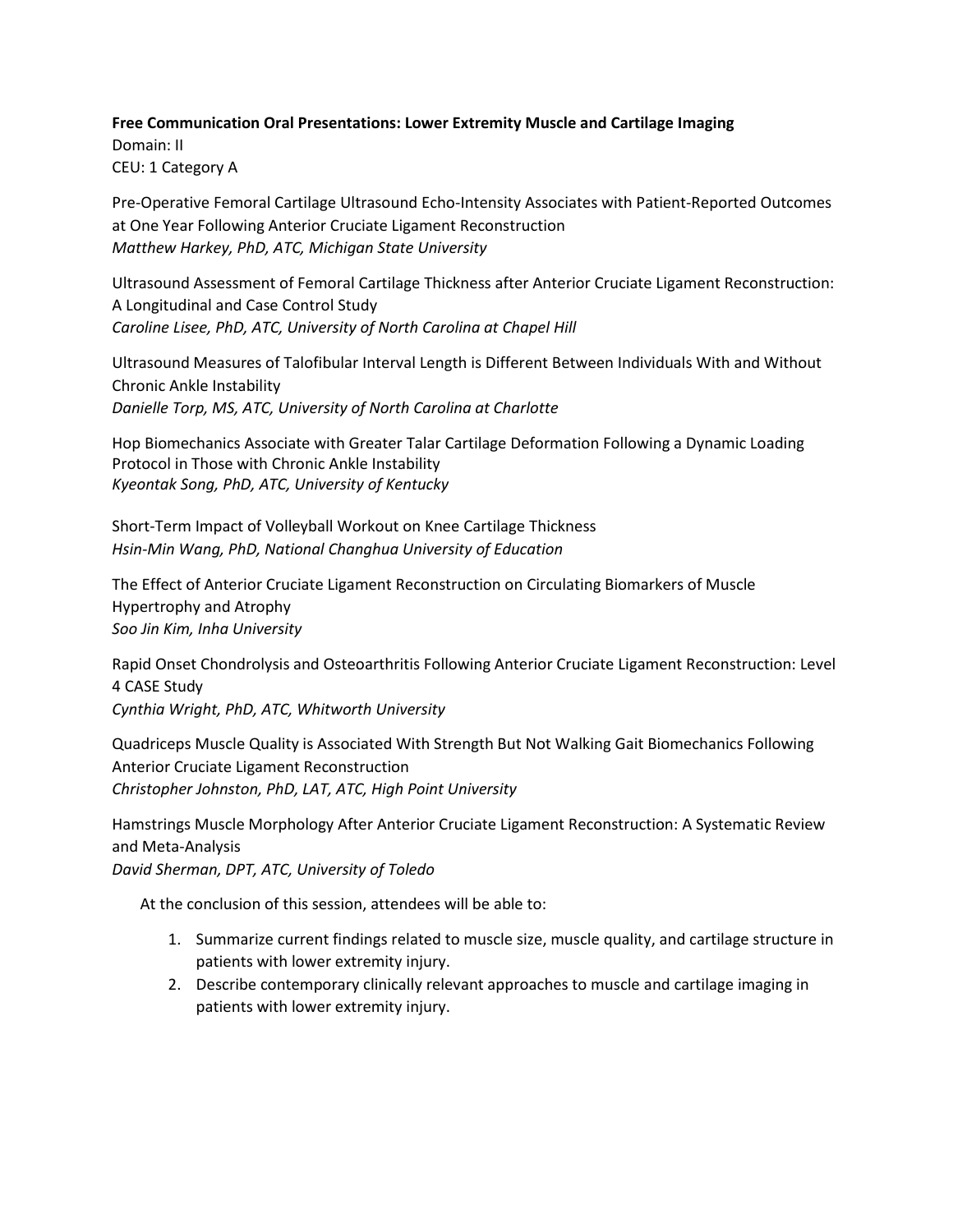#### **Free Communication Oral Presentations: Lower Extremity Muscle and Cartilage Imaging**

Domain: II CEU: 1 Category A

Pre-Operative Femoral Cartilage Ultrasound Echo-Intensity Associates with Patient-Reported Outcomes at One Year Following Anterior Cruciate Ligament Reconstruction *Matthew Harkey, PhD, ATC, Michigan State University*

Ultrasound Assessment of Femoral Cartilage Thickness after Anterior Cruciate Ligament Reconstruction: A Longitudinal and Case Control Study *Caroline Lisee, PhD, ATC, University of North Carolina at Chapel Hill*

Ultrasound Measures of Talofibular Interval Length is Different Between Individuals With and Without Chronic Ankle Instability *Danielle Torp, MS, ATC, University of North Carolina at Charlotte*

Hop Biomechanics Associate with Greater Talar Cartilage Deformation Following a Dynamic Loading Protocol in Those with Chronic Ankle Instability *Kyeontak Song, PhD, ATC, University of Kentucky*

Short-Term Impact of Volleyball Workout on Knee Cartilage Thickness *Hsin-Min Wang, PhD, National Changhua University of Education*

The Effect of Anterior Cruciate Ligament Reconstruction on Circulating Biomarkers of Muscle Hypertrophy and Atrophy *Soo Jin Kim, Inha University*

Rapid Onset Chondrolysis and Osteoarthritis Following Anterior Cruciate Ligament Reconstruction: Level 4 CASE Study

*Cynthia Wright, PhD, ATC, Whitworth University*

Quadriceps Muscle Quality is Associated With Strength But Not Walking Gait Biomechanics Following Anterior Cruciate Ligament Reconstruction *Christopher Johnston, PhD, LAT, ATC, High Point University*

Hamstrings Muscle Morphology After Anterior Cruciate Ligament Reconstruction: A Systematic Review and Meta-Analysis *David Sherman, DPT, ATC, University of Toledo*

- 1. Summarize current findings related to muscle size, muscle quality, and cartilage structure in patients with lower extremity injury.
- 2. Describe contemporary clinically relevant approaches to muscle and cartilage imaging in patients with lower extremity injury.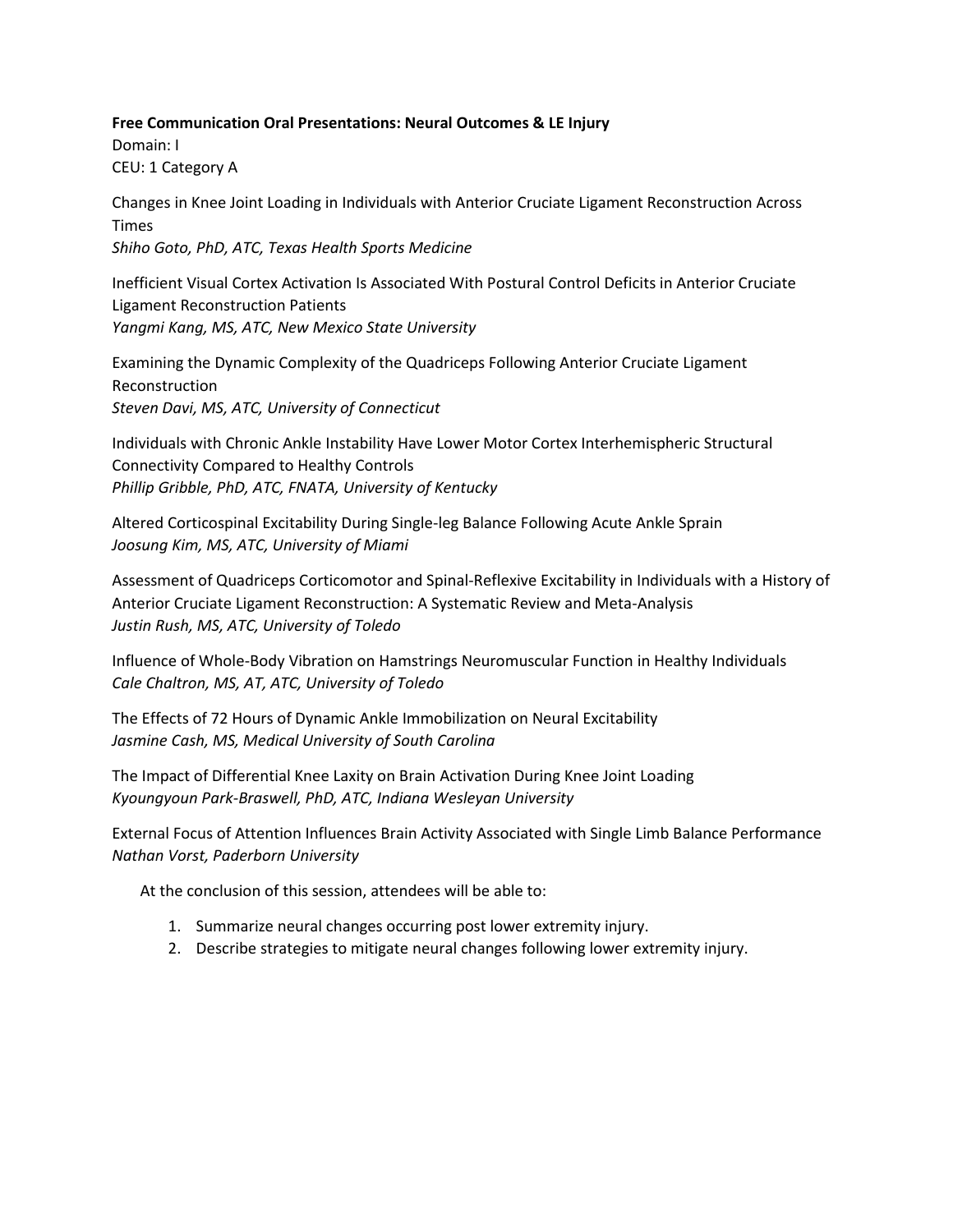#### **Free Communication Oral Presentations: Neural Outcomes & LE Injury**

Domain: I CEU: 1 Category A

Changes in Knee Joint Loading in Individuals with Anterior Cruciate Ligament Reconstruction Across Times *Shiho Goto, PhD, ATC, Texas Health Sports Medicine*

Inefficient Visual Cortex Activation Is Associated With Postural Control Deficits in Anterior Cruciate Ligament Reconstruction Patients *Yangmi Kang, MS, ATC, New Mexico State University*

Examining the Dynamic Complexity of the Quadriceps Following Anterior Cruciate Ligament Reconstruction *Steven Davi, MS, ATC, University of Connecticut*

Individuals with Chronic Ankle Instability Have Lower Motor Cortex Interhemispheric Structural Connectivity Compared to Healthy Controls *Phillip Gribble, PhD, ATC, FNATA, University of Kentucky*

Altered Corticospinal Excitability During Single-leg Balance Following Acute Ankle Sprain *Joosung Kim, MS, ATC, University of Miami*

Assessment of Quadriceps Corticomotor and Spinal-Reflexive Excitability in Individuals with a History of Anterior Cruciate Ligament Reconstruction: A Systematic Review and Meta-Analysis *Justin Rush, MS, ATC, University of Toledo*

Influence of Whole-Body Vibration on Hamstrings Neuromuscular Function in Healthy Individuals *Cale Chaltron, MS, AT, ATC, University of Toledo*

The Effects of 72 Hours of Dynamic Ankle Immobilization on Neural Excitability *Jasmine Cash, MS, Medical University of South Carolina*

The Impact of Differential Knee Laxity on Brain Activation During Knee Joint Loading *Kyoungyoun Park-Braswell, PhD, ATC, Indiana Wesleyan University*

External Focus of Attention Influences Brain Activity Associated with Single Limb Balance Performance *Nathan Vorst, Paderborn University*

- 1. Summarize neural changes occurring post lower extremity injury.
- 2. Describe strategies to mitigate neural changes following lower extremity injury.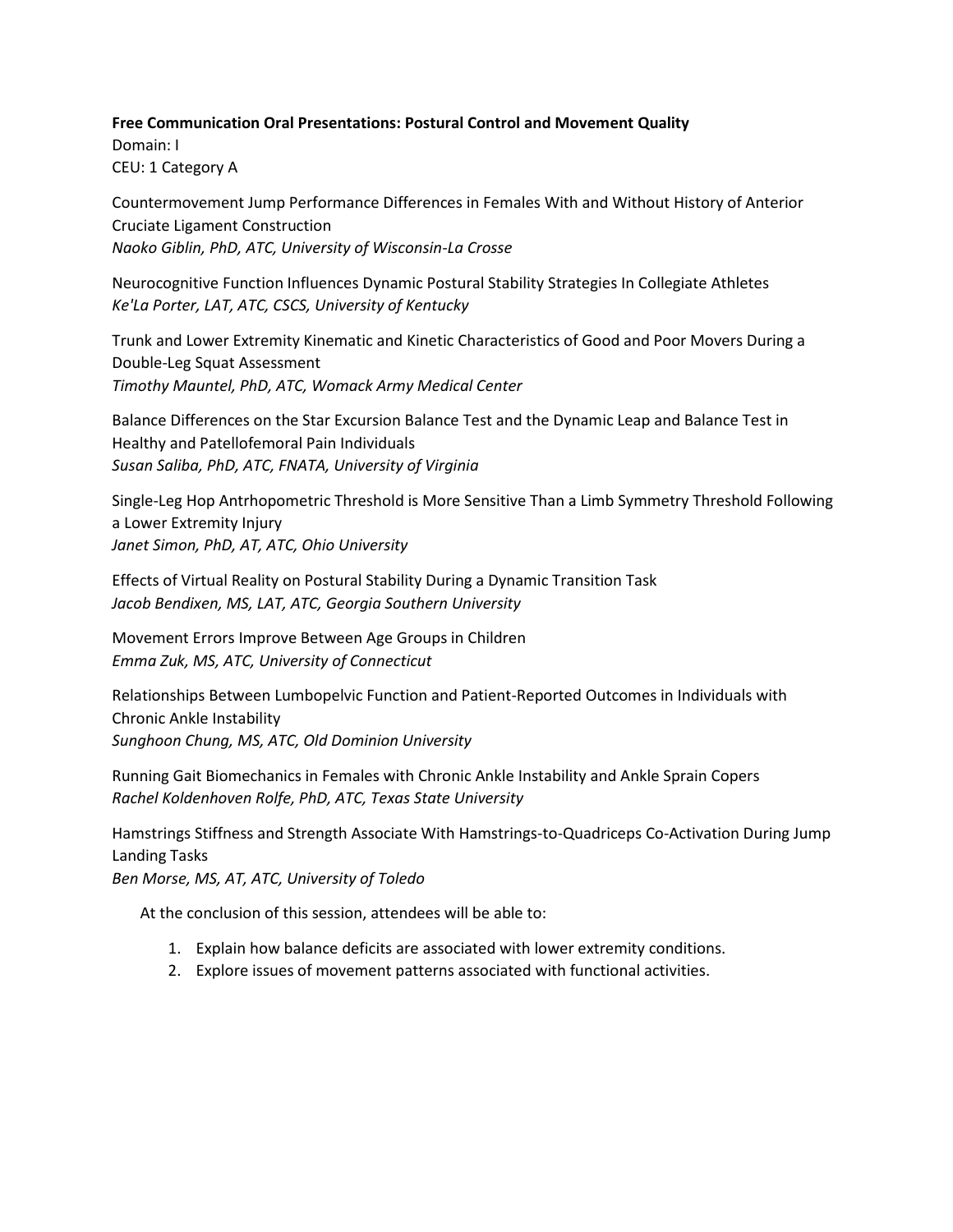#### **Free Communication Oral Presentations: Postural Control and Movement Quality**

Domain: I CEU: 1 Category A

Countermovement Jump Performance Differences in Females With and Without History of Anterior Cruciate Ligament Construction *Naoko Giblin, PhD, ATC, University of Wisconsin-La Crosse*

Neurocognitive Function Influences Dynamic Postural Stability Strategies In Collegiate Athletes *Ke'La Porter, LAT, ATC, CSCS, University of Kentucky*

Trunk and Lower Extremity Kinematic and Kinetic Characteristics of Good and Poor Movers During a Double-Leg Squat Assessment *Timothy Mauntel, PhD, ATC, Womack Army Medical Center*

Balance Differences on the Star Excursion Balance Test and the Dynamic Leap and Balance Test in Healthy and Patellofemoral Pain Individuals *Susan Saliba, PhD, ATC, FNATA, University of Virginia*

Single-Leg Hop Antrhopometric Threshold is More Sensitive Than a Limb Symmetry Threshold Following a Lower Extremity Injury *Janet Simon, PhD, AT, ATC, Ohio University*

Effects of Virtual Reality on Postural Stability During a Dynamic Transition Task *Jacob Bendixen, MS, LAT, ATC, Georgia Southern University*

Movement Errors Improve Between Age Groups in Children *Emma Zuk, MS, ATC, University of Connecticut*

Relationships Between Lumbopelvic Function and Patient-Reported Outcomes in Individuals with Chronic Ankle Instability *Sunghoon Chung, MS, ATC, Old Dominion University*

Running Gait Biomechanics in Females with Chronic Ankle Instability and Ankle Sprain Copers *Rachel Koldenhoven Rolfe, PhD, ATC, Texas State University*

Hamstrings Stiffness and Strength Associate With Hamstrings-to-Quadriceps Co-Activation During Jump Landing Tasks

*Ben Morse, MS, AT, ATC, University of Toledo*

- 1. Explain how balance deficits are associated with lower extremity conditions.
- 2. Explore issues of movement patterns associated with functional activities.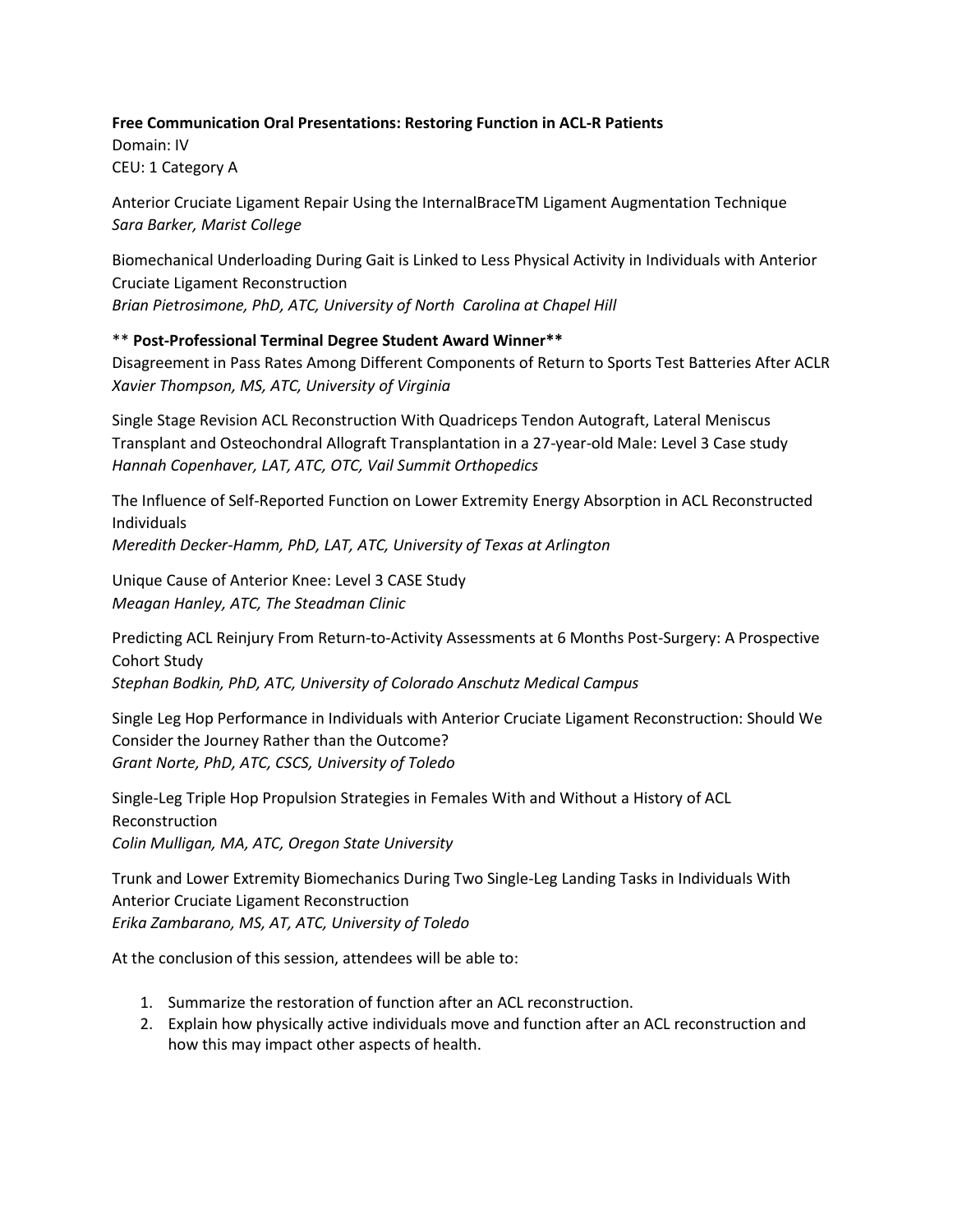## **Free Communication Oral Presentations: Restoring Function in ACL-R Patients**

Domain: IV CEU: 1 Category A

Anterior Cruciate Ligament Repair Using the InternalBraceTM Ligament Augmentation Technique *Sara Barker, Marist College*

Biomechanical Underloading During Gait is Linked to Less Physical Activity in Individuals with Anterior Cruciate Ligament Reconstruction *Brian Pietrosimone, PhD, ATC, University of North Carolina at Chapel Hill*

#### \*\* **Post-Professional Terminal Degree Student Award Winner\*\***

Disagreement in Pass Rates Among Different Components of Return to Sports Test Batteries After ACLR *Xavier Thompson, MS, ATC, University of Virginia*

Single Stage Revision ACL Reconstruction With Quadriceps Tendon Autograft, Lateral Meniscus Transplant and Osteochondral Allograft Transplantation in a 27-year-old Male: Level 3 Case study *Hannah Copenhaver, LAT, ATC, OTC, Vail Summit Orthopedics*

The Influence of Self-Reported Function on Lower Extremity Energy Absorption in ACL Reconstructed Individuals *Meredith Decker-Hamm, PhD, LAT, ATC, University of Texas at Arlington*

Unique Cause of Anterior Knee: Level 3 CASE Study *Meagan Hanley, ATC, The Steadman Clinic*

Predicting ACL Reinjury From Return-to-Activity Assessments at 6 Months Post-Surgery: A Prospective Cohort Study

*Stephan Bodkin, PhD, ATC, University of Colorado Anschutz Medical Campus* 

Single Leg Hop Performance in Individuals with Anterior Cruciate Ligament Reconstruction: Should We Consider the Journey Rather than the Outcome? *Grant Norte, PhD, ATC, CSCS, University of Toledo*

Single-Leg Triple Hop Propulsion Strategies in Females With and Without a History of ACL Reconstruction *Colin Mulligan, MA, ATC, Oregon State University*

Trunk and Lower Extremity Biomechanics During Two Single-Leg Landing Tasks in Individuals With Anterior Cruciate Ligament Reconstruction *Erika Zambarano, MS, AT, ATC, University of Toledo*

- 1. Summarize the restoration of function after an ACL reconstruction.
- 2. Explain how physically active individuals move and function after an ACL reconstruction and how this may impact other aspects of health.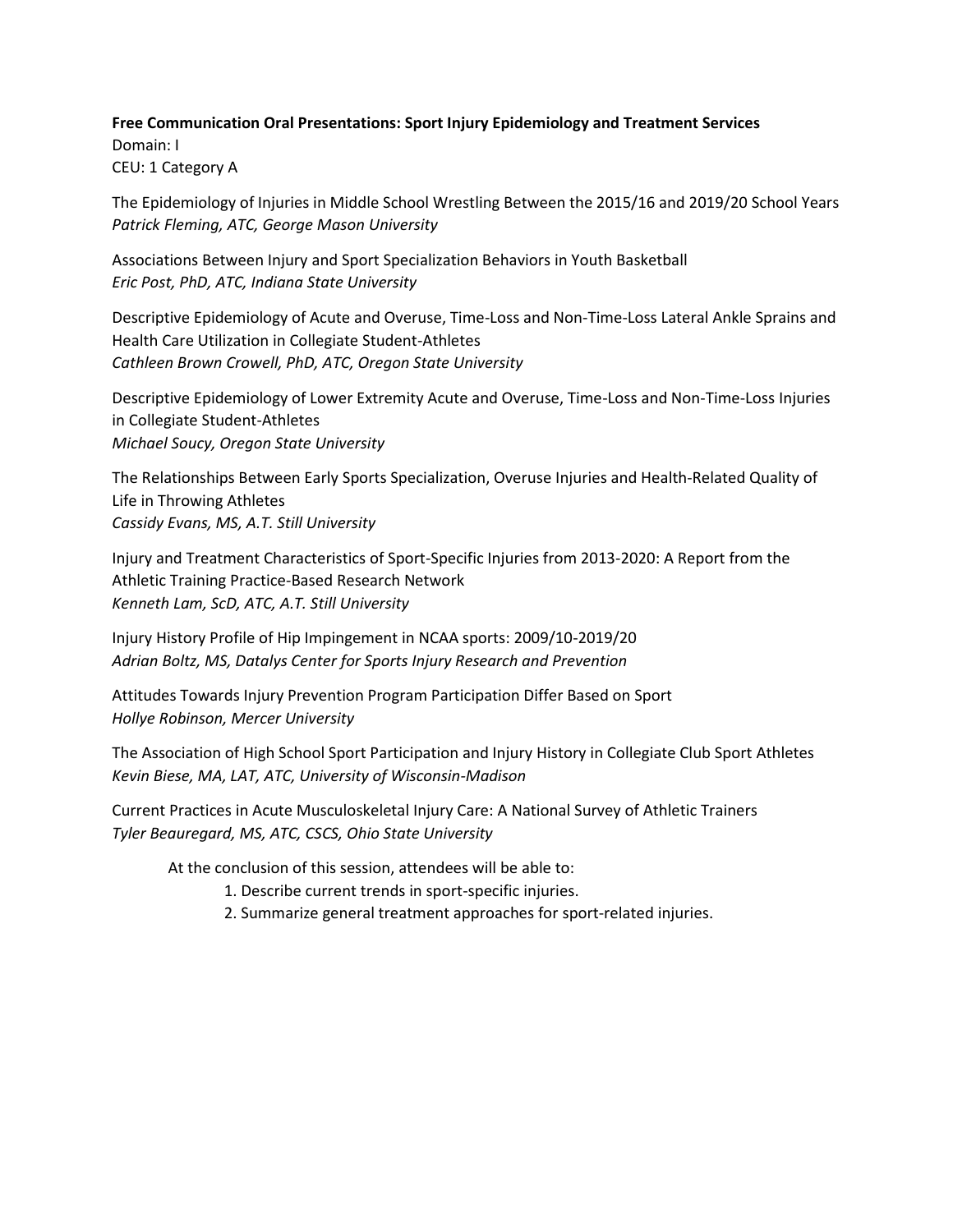#### **Free Communication Oral Presentations: Sport Injury Epidemiology and Treatment Services**

Domain: I CEU: 1 Category A

The Epidemiology of Injuries in Middle School Wrestling Between the 2015/16 and 2019/20 School Years *Patrick Fleming, ATC, George Mason University*

Associations Between Injury and Sport Specialization Behaviors in Youth Basketball *Eric Post, PhD, ATC, Indiana State University*

Descriptive Epidemiology of Acute and Overuse, Time-Loss and Non-Time-Loss Lateral Ankle Sprains and Health Care Utilization in Collegiate Student-Athletes *Cathleen Brown Crowell, PhD, ATC, Oregon State University*

Descriptive Epidemiology of Lower Extremity Acute and Overuse, Time-Loss and Non-Time-Loss Injuries in Collegiate Student-Athletes *Michael Soucy, Oregon State University*

The Relationships Between Early Sports Specialization, Overuse Injuries and Health-Related Quality of Life in Throwing Athletes *Cassidy Evans, MS, A.T. Still University*

Injury and Treatment Characteristics of Sport-Specific Injuries from 2013-2020: A Report from the Athletic Training Practice-Based Research Network *Kenneth Lam, ScD, ATC, A.T. Still University*

Injury History Profile of Hip Impingement in NCAA sports: 2009/10-2019/20 *Adrian Boltz, MS, Datalys Center for Sports Injury Research and Prevention*

Attitudes Towards Injury Prevention Program Participation Differ Based on Sport *Hollye Robinson, Mercer University*

The Association of High School Sport Participation and Injury History in Collegiate Club Sport Athletes *Kevin Biese, MA, LAT, ATC, University of Wisconsin-Madison*

Current Practices in Acute Musculoskeletal Injury Care: A National Survey of Athletic Trainers *Tyler Beauregard, MS, ATC, CSCS, Ohio State University*

- 1. Describe current trends in sport-specific injuries.
- 2. Summarize general treatment approaches for sport-related injuries.